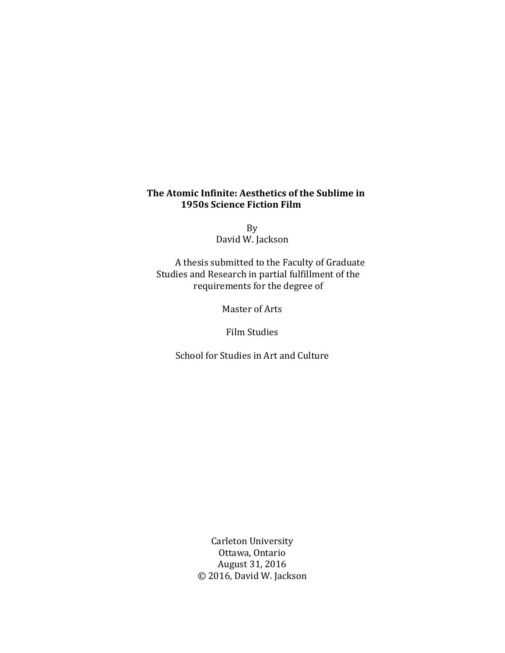## **The Atomic Infinite: Aesthetics of the Sublime in 1950s Science Fiction Film**

By David W. Jackson

A thesis submitted to the Faculty of Graduate Studies and Research in partial fulfillment of the requirements for the degree of

Master of Arts

Film Studies

School for Studies in Art and Culture

Carleton University Ottawa, Ontario August 31, 2016 © 2016, David W. Jackson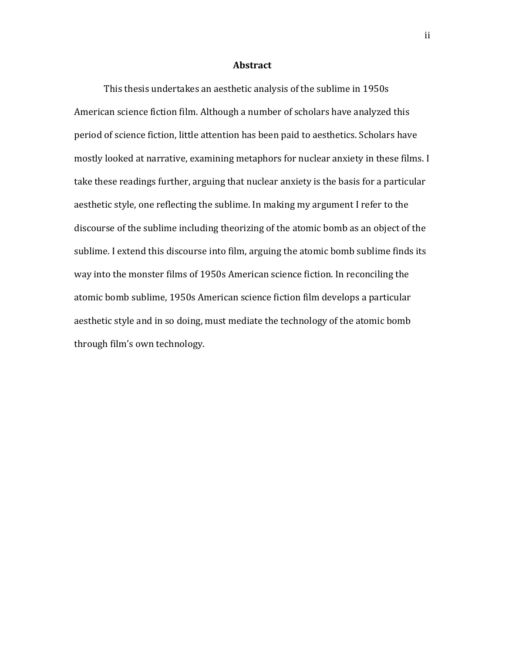### **Abstract**

This thesis undertakes an aesthetic analysis of the sublime in 1950s American science fiction film. Although a number of scholars have analyzed this period of science fiction, little attention has been paid to aesthetics. Scholars have mostly looked at narrative, examining metaphors for nuclear anxiety in these films. I take these readings further, arguing that nuclear anxiety is the basis for a particular aesthetic style, one reflecting the sublime. In making my argument I refer to the discourse of the sublime including theorizing of the atomic bomb as an object of the sublime. I extend this discourse into film, arguing the atomic bomb sublime finds its way into the monster films of 1950s American science fiction. In reconciling the atomic bomb sublime, 1950s American science fiction film develops a particular aesthetic style and in so doing, must mediate the technology of the atomic bomb through film's own technology.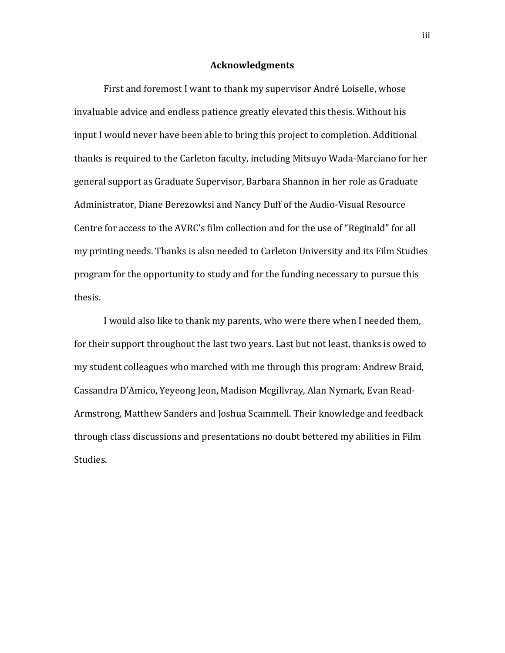### **Acknowledgments**

First and foremost I want to thank my supervisor André Loiselle, whose invaluable advice and endless patience greatly elevated this thesis. Without his input I would never have been able to bring this project to completion. Additional thanks is required to the Carleton faculty, including Mitsuyo Wada-Marciano for her general support as Graduate Supervisor, Barbara Shannon in her role as Graduate Administrator, Diane Berezowksi and Nancy Duff of the Audio-Visual Resource Centre for access to the AVRC's film collection and for the use of "Reginald" for all my printing needs. Thanks is also needed to Carleton University and its Film Studies program for the opportunity to study and for the funding necessary to pursue this thesis.

I would also like to thank my parents, who were there when I needed them, for their support throughout the last two years. Last but not least, thanks is owed to my student colleagues who marched with me through this program: Andrew Braid, Cassandra D'Amico, Yeyeong Jeon, Madison Mcgillvray, Alan Nymark, Evan Read-Armstrong, Matthew Sanders and Joshua Scammell. Their knowledge and feedback through class discussions and presentations no doubt bettered my abilities in Film Studies.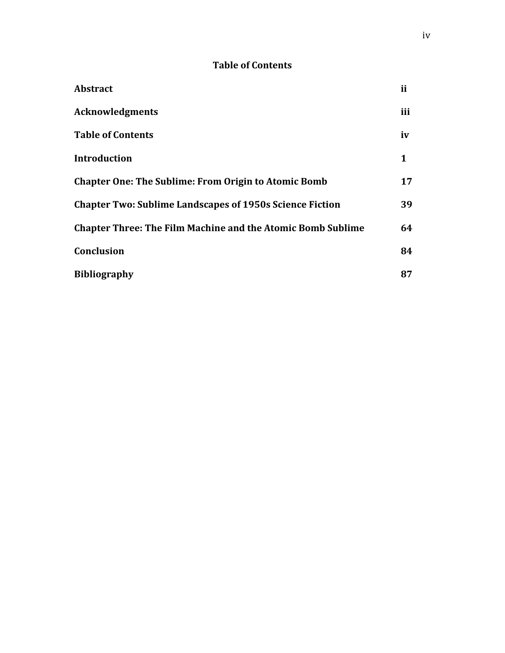# **Table of Contents**

| <b>Abstract</b>                                                    | ii  |
|--------------------------------------------------------------------|-----|
| <b>Acknowledgments</b>                                             | iii |
| <b>Table of Contents</b>                                           | iv  |
| <b>Introduction</b>                                                | 1   |
| <b>Chapter One: The Sublime: From Origin to Atomic Bomb</b>        | 17  |
| <b>Chapter Two: Sublime Landscapes of 1950s Science Fiction</b>    | 39  |
| <b>Chapter Three: The Film Machine and the Atomic Bomb Sublime</b> | 64  |
| <b>Conclusion</b>                                                  | 84  |
| <b>Bibliography</b>                                                | 87  |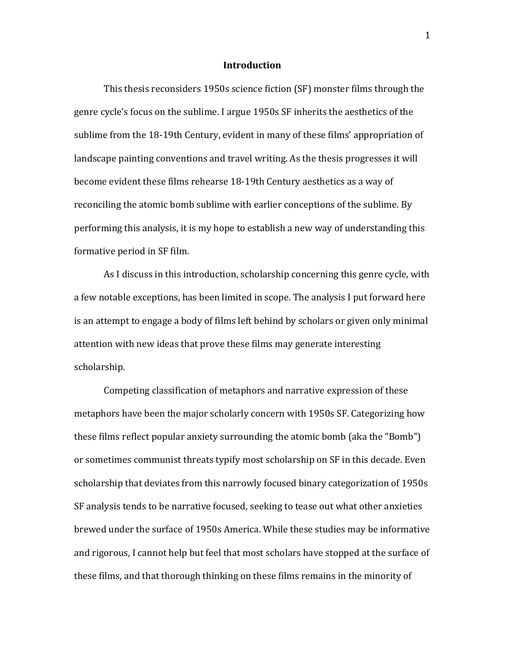### **Introduction**

This thesis reconsiders 1950s science fiction (SF) monster films through the genre cycle's focus on the sublime. I argue 1950s SF inherits the aesthetics of the sublime from the 18-19th Century, evident in many of these films' appropriation of landscape painting conventions and travel writing. As the thesis progresses it will become evident these films rehearse 18-19th Century aesthetics as a way of reconciling the atomic bomb sublime with earlier conceptions of the sublime. By performing this analysis, it is my hope to establish a new way of understanding this formative period in SF film.

As I discuss in this introduction, scholarship concerning this genre cycle, with a few notable exceptions, has been limited in scope. The analysis I put forward here is an attempt to engage a body of films left behind by scholars or given only minimal attention with new ideas that prove these films may generate interesting scholarship.

Competing classification of metaphors and narrative expression of these metaphors have been the major scholarly concern with 1950s SF. Categorizing how these films reflect popular anxiety surrounding the atomic bomb (aka the "Bomb") or sometimes communist threats typify most scholarship on SF in this decade. Even scholarship that deviates from this narrowly focused binary categorization of 1950s SF analysis tends to be narrative focused, seeking to tease out what other anxieties brewed under the surface of 1950s America. While these studies may be informative and rigorous, I cannot help but feel that most scholars have stopped at the surface of these films, and that thorough thinking on these films remains in the minority of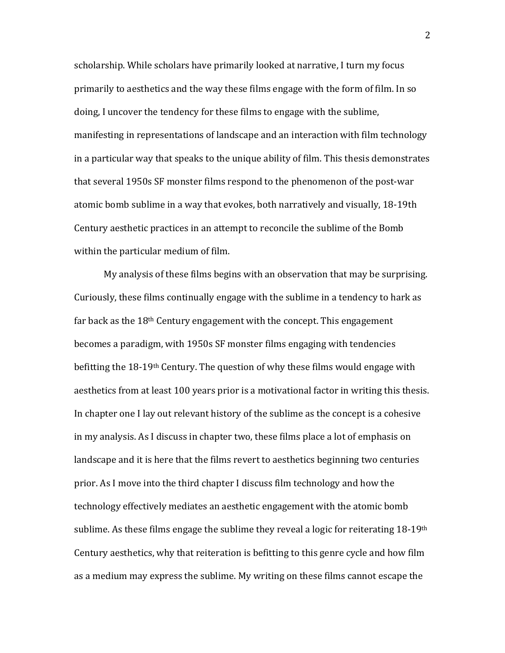scholarship. While scholars have primarily looked at narrative, I turn my focus primarily to aesthetics and the way these films engage with the form of film. In so doing, I uncover the tendency for these films to engage with the sublime, manifesting in representations of landscape and an interaction with film technology in a particular way that speaks to the unique ability of film. This thesis demonstrates that several 1950s SF monster films respond to the phenomenon of the post-war atomic bomb sublime in a way that evokes, both narratively and visually, 18-19th Century aesthetic practices in an attempt to reconcile the sublime of the Bomb within the particular medium of film.

My analysis of these films begins with an observation that may be surprising. Curiously, these films continually engage with the sublime in a tendency to hark as far back as the  $18<sup>th</sup>$  Century engagement with the concept. This engagement becomes a paradigm, with 1950s SF monster films engaging with tendencies befitting the 18-19<sup>th</sup> Century. The question of why these films would engage with aesthetics from at least 100 years prior is a motivational factor in writing this thesis. In chapter one I lay out relevant history of the sublime as the concept is a cohesive in my analysis. As I discuss in chapter two, these films place a lot of emphasis on landscape and it is here that the films revert to aesthetics beginning two centuries prior. As I move into the third chapter I discuss film technology and how the technology effectively mediates an aesthetic engagement with the atomic bomb sublime. As these films engage the sublime they reveal a logic for reiterating 18-19<sup>th</sup> Century aesthetics, why that reiteration is befitting to this genre cycle and how film as a medium may express the sublime. My writing on these films cannot escape the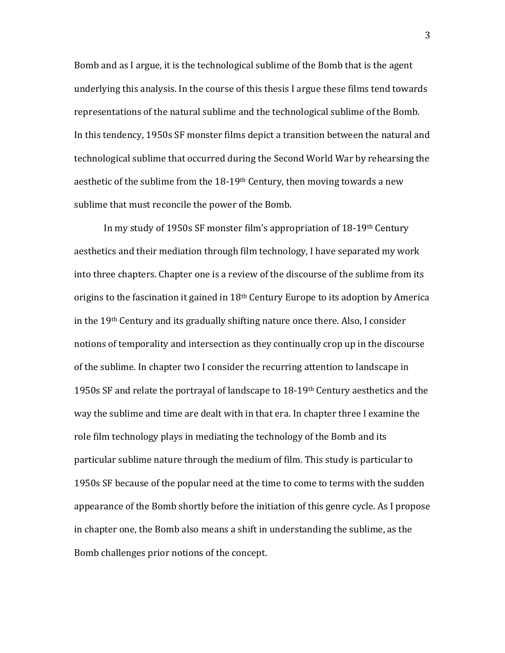Bomb and as I argue, it is the technological sublime of the Bomb that is the agent underlying this analysis. In the course of this thesis I argue these films tend towards representations of the natural sublime and the technological sublime of the Bomb. In this tendency, 1950s SF monster films depict a transition between the natural and technological sublime that occurred during the Second World War by rehearsing the aesthetic of the sublime from the  $18-19$ <sup>th</sup> Century, then moving towards a new sublime that must reconcile the power of the Bomb.

In my study of 1950s SF monster film's appropriation of 18-19th Century aesthetics and their mediation through film technology, I have separated my work into three chapters. Chapter one is a review of the discourse of the sublime from its origins to the fascination it gained in  $18<sup>th</sup>$  Century Europe to its adoption by America in the 19th Century and its gradually shifting nature once there. Also, I consider notions of temporality and intersection as they continually crop up in the discourse of the sublime. In chapter two I consider the recurring attention to landscape in 1950s SF and relate the portrayal of landscape to 18-19th Century aesthetics and the way the sublime and time are dealt with in that era. In chapter three I examine the role film technology plays in mediating the technology of the Bomb and its particular sublime nature through the medium of film. This study is particular to 1950s SF because of the popular need at the time to come to terms with the sudden appearance of the Bomb shortly before the initiation of this genre cycle. As I propose in chapter one, the Bomb also means a shift in understanding the sublime, as the Bomb challenges prior notions of the concept.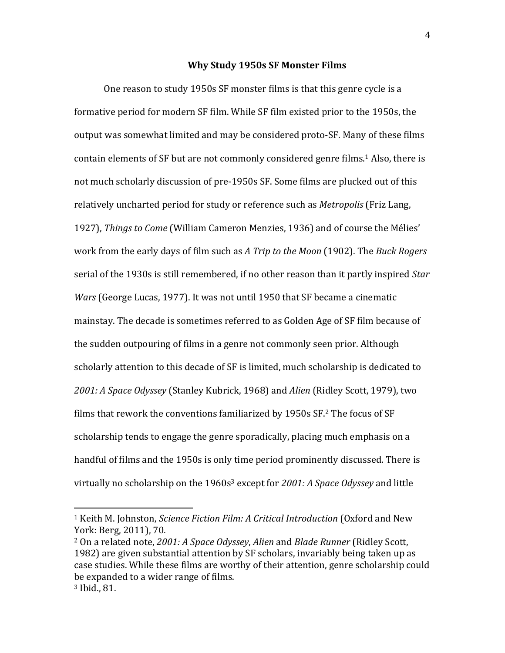### **Why Study 1950s SF Monster Films**

One reason to study 1950s SF monster films is that this genre cycle is a formative period for modern SF film. While SF film existed prior to the 1950s, the output was somewhat limited and may be considered proto-SF. Many of these films contain elements of SF but are not commonly considered genre films.<sup>1</sup> Also, there is not much scholarly discussion of pre-1950s SF. Some films are plucked out of this relatively uncharted period for study or reference such as *Metropolis* (Friz Lang, 1927), *Things to Come* (William Cameron Menzies, 1936) and of course the Mélies' work from the early days of film such as *A Trip to the Moon* (1902). The *Buck Rogers*  serial of the 1930s is still remembered, if no other reason than it partly inspired *Star Wars* (George Lucas, 1977). It was not until 1950 that SF became a cinematic mainstay. The decade is sometimes referred to as Golden Age of SF film because of the sudden outpouring of films in a genre not commonly seen prior. Although scholarly attention to this decade of SF is limited, much scholarship is dedicated to *2001: A Space Odyssey* (Stanley Kubrick, 1968) and *Alien* (Ridley Scott, 1979), two films that rework the conventions familiarized by 1950s SF.<sup>2</sup> The focus of SF scholarship tends to engage the genre sporadically, placing much emphasis on a handful of films and the 1950s is only time period prominently discussed. There is virtually no scholarship on the 1960s<sup>3</sup> except for *2001: A Space Odyssey* and little

<sup>1</sup> Keith M. Johnston, *Science Fiction Film: A Critical Introduction* (Oxford and New York: Berg, 2011), 70.

<sup>2</sup> On a related note, *2001: A Space Odyssey*, *Alien* and *Blade Runner* (Ridley Scott, 1982) are given substantial attention by SF scholars, invariably being taken up as case studies. While these films are worthy of their attention, genre scholarship could be expanded to a wider range of films. <sup>3</sup> Ibid., 81.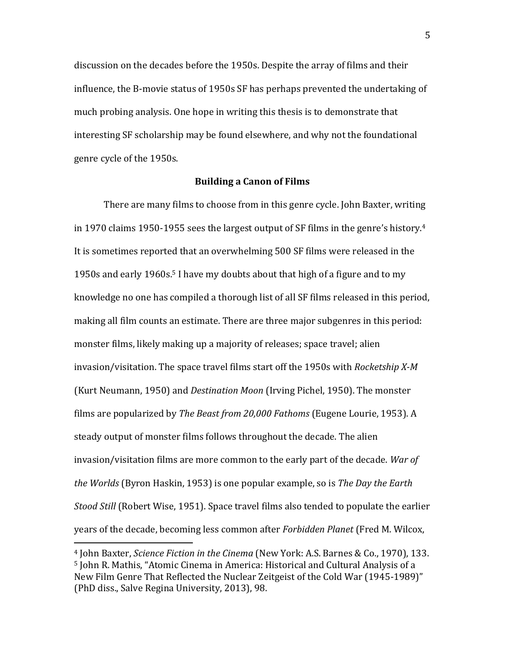discussion on the decades before the 1950s. Despite the array of films and their influence, the B-movie status of 1950s SF has perhaps prevented the undertaking of much probing analysis. One hope in writing this thesis is to demonstrate that interesting SF scholarship may be found elsewhere, and why not the foundational genre cycle of the 1950s.

### **Building a Canon of Films**

There are many films to choose from in this genre cycle. John Baxter, writing in 1970 claims 1950-1955 sees the largest output of SF films in the genre's history.<sup>4</sup> It is sometimes reported that an overwhelming 500 SF films were released in the 1950s and early 1960s.<sup>5</sup> I have my doubts about that high of a figure and to my knowledge no one has compiled a thorough list of all SF films released in this period, making all film counts an estimate. There are three major subgenres in this period: monster films, likely making up a majority of releases; space travel; alien invasion/visitation. The space travel films start off the 1950s with *Rocketship X-M* (Kurt Neumann, 1950) and *Destination Moon* (Irving Pichel, 1950). The monster films are popularized by *The Beast from 20,000 Fathoms* (Eugene Lourie, 1953). A steady output of monster films follows throughout the decade. The alien invasion/visitation films are more common to the early part of the decade. *War of the Worlds* (Byron Haskin, 1953) is one popular example, so is *The Day the Earth Stood Still* (Robert Wise, 1951). Space travel films also tended to populate the earlier years of the decade, becoming less common after *Forbidden Planet* (Fred M. Wilcox,

<sup>4</sup> John Baxter, *Science Fiction in the Cinema* (New York: A.S. Barnes & Co., 1970), 133. <sup>5</sup> John R. Mathis, "Atomic Cinema in America: Historical and Cultural Analysis of a New Film Genre That Reflected the Nuclear Zeitgeist of the Cold War (1945-1989)" (PhD diss., Salve Regina University, 2013), 98.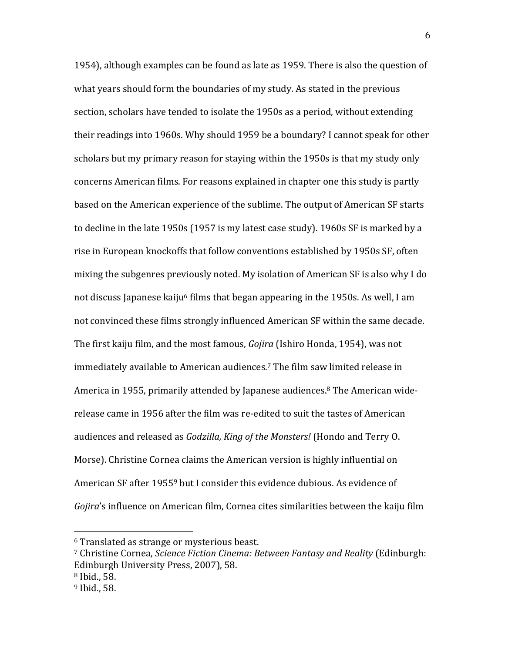1954), although examples can be found as late as 1959. There is also the question of what years should form the boundaries of my study. As stated in the previous section, scholars have tended to isolate the 1950s as a period, without extending their readings into 1960s. Why should 1959 be a boundary? I cannot speak for other scholars but my primary reason for staying within the 1950s is that my study only concerns American films. For reasons explained in chapter one this study is partly based on the American experience of the sublime. The output of American SF starts to decline in the late 1950s (1957 is my latest case study). 1960s SF is marked by a rise in European knockoffs that follow conventions established by 1950s SF, often mixing the subgenres previously noted. My isolation of American SF is also why I do not discuss Japanese kaiju<sup>6</sup> films that began appearing in the 1950s. As well, I am not convinced these films strongly influenced American SF within the same decade. The first kaiju film, and the most famous, *Gojira* (Ishiro Honda, 1954), was not immediately available to American audiences.<sup>7</sup> The film saw limited release in America in 1955, primarily attended by Japanese audiences.<sup>8</sup> The American widerelease came in 1956 after the film was re-edited to suit the tastes of American audiences and released as *Godzilla, King of the Monsters!* (Hondo and Terry O. Morse). Christine Cornea claims the American version is highly influential on American SF after 1955<sup>9</sup> but I consider this evidence dubious. As evidence of *Gojira*'s influence on American film, Cornea cites similarities between the kaiju film

<sup>6</sup> Translated as strange or mysterious beast.

<sup>7</sup> Christine Cornea, *Science Fiction Cinema: Between Fantasy and Reality* (Edinburgh: Edinburgh University Press, 2007), 58. <sup>8</sup> Ibid., 58.

<sup>9</sup> Ibid., 58.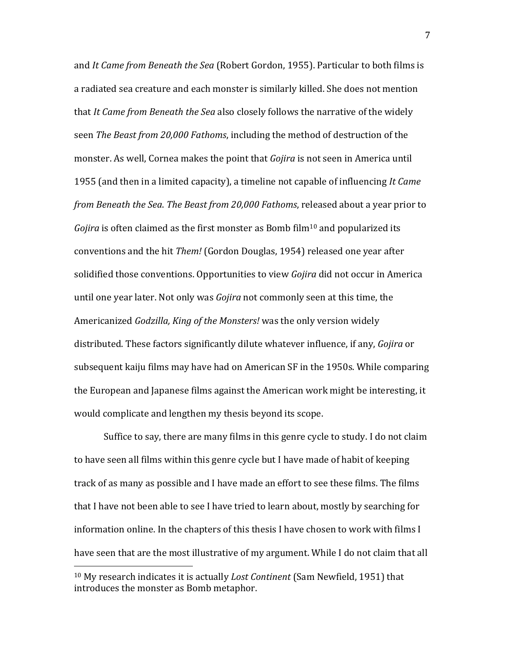and *It Came from Beneath the Sea* (Robert Gordon, 1955). Particular to both films is a radiated sea creature and each monster is similarly killed. She does not mention that *It Came from Beneath the Sea* also closely follows the narrative of the widely seen *The Beast from 20,000 Fathoms*, including the method of destruction of the monster. As well, Cornea makes the point that *Gojira* is not seen in America until 1955 (and then in a limited capacity), a timeline not capable of influencing *It Came from Beneath the Sea*. *The Beast from 20,000 Fathoms*, released about a year prior to *Gojira* is often claimed as the first monster as Bomb film<sup>10</sup> and popularized its conventions and the hit *Them!* (Gordon Douglas, 1954) released one year after solidified those conventions. Opportunities to view *Gojira* did not occur in America until one year later. Not only was *Gojira* not commonly seen at this time, the Americanized *Godzilla, King of the Monsters!* was the only version widely distributed. These factors significantly dilute whatever influence, if any, *Gojira* or subsequent kaiju films may have had on American SF in the 1950s. While comparing the European and Japanese films against the American work might be interesting, it would complicate and lengthen my thesis beyond its scope.

Suffice to say, there are many films in this genre cycle to study. I do not claim to have seen all films within this genre cycle but I have made of habit of keeping track of as many as possible and I have made an effort to see these films. The films that I have not been able to see I have tried to learn about, mostly by searching for information online. In the chapters of this thesis I have chosen to work with films I have seen that are the most illustrative of my argument. While I do not claim that all

<sup>10</sup> My research indicates it is actually *Lost Continent* (Sam Newfield, 1951) that introduces the monster as Bomb metaphor.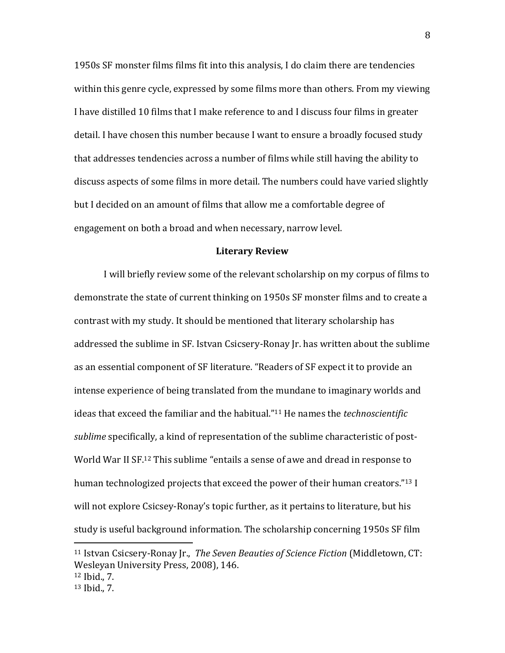1950s SF monster films films fit into this analysis, I do claim there are tendencies within this genre cycle, expressed by some films more than others. From my viewing I have distilled 10 films that I make reference to and I discuss four films in greater detail. I have chosen this number because I want to ensure a broadly focused study that addresses tendencies across a number of films while still having the ability to discuss aspects of some films in more detail. The numbers could have varied slightly but I decided on an amount of films that allow me a comfortable degree of engagement on both a broad and when necessary, narrow level.

#### **Literary Review**

I will briefly review some of the relevant scholarship on my corpus of films to demonstrate the state of current thinking on 1950s SF monster films and to create a contrast with my study. It should be mentioned that literary scholarship has addressed the sublime in SF. Istvan Csicsery-Ronay Jr. has written about the sublime as an essential component of SF literature. "Readers of SF expect it to provide an intense experience of being translated from the mundane to imaginary worlds and ideas that exceed the familiar and the habitual." <sup>11</sup> He names the *technoscientific sublime* specifically, a kind of representation of the sublime characteristic of post-World War II SF.<sup>12</sup> This sublime "entails a sense of awe and dread in response to human technologized projects that exceed the power of their human creators." <sup>13</sup> I will not explore Csicsey-Ronay's topic further, as it pertains to literature, but his study is useful background information. The scholarship concerning 1950s SF film

<sup>11</sup> Istvan Csicsery-Ronay Jr., *The Seven Beauties of Science Fiction* (Middletown, CT: Wesleyan University Press, 2008), 146.

<sup>12</sup> Ibid., 7.

<sup>13</sup> Ibid., 7.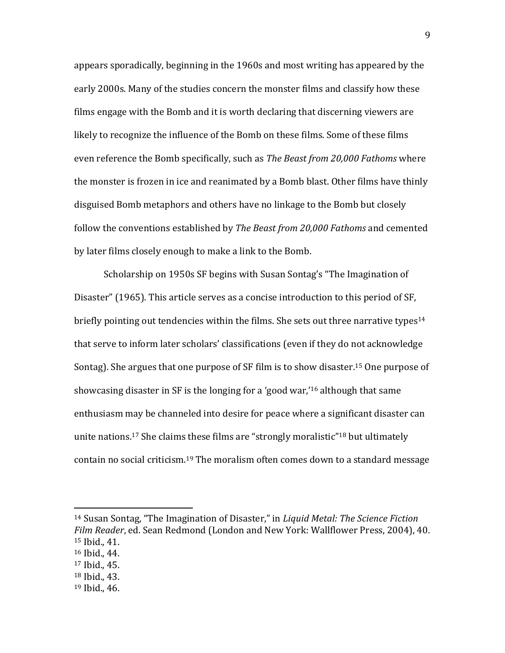appears sporadically, beginning in the 1960s and most writing has appeared by the early 2000s. Many of the studies concern the monster films and classify how these films engage with the Bomb and it is worth declaring that discerning viewers are likely to recognize the influence of the Bomb on these films. Some of these films even reference the Bomb specifically, such as *The Beast from 20,000 Fathoms* where the monster is frozen in ice and reanimated by a Bomb blast. Other films have thinly disguised Bomb metaphors and others have no linkage to the Bomb but closely follow the conventions established by *The Beast from 20,000 Fathoms* and cemented by later films closely enough to make a link to the Bomb.

Scholarship on 1950s SF begins with Susan Sontag's "The Imagination of Disaster" (1965). This article serves as a concise introduction to this period of SF, briefly pointing out tendencies within the films. She sets out three narrative types<sup>14</sup> that serve to inform later scholars' classifications (even if they do not acknowledge Sontag). She argues that one purpose of SF film is to show disaster.<sup>15</sup> One purpose of showcasing disaster in SF is the longing for a 'good war,'<sup>16</sup> although that same enthusiasm may be channeled into desire for peace where a significant disaster can unite nations.<sup>17</sup> She claims these films are "strongly moralistic"<sup>18</sup> but ultimately contain no social criticism.<sup>19</sup> The moralism often comes down to a standard message

<sup>14</sup> Susan Sontag, "The Imagination of Disaster," in *Liquid Metal: The Science Fiction Film Reader*, ed. Sean Redmond (London and New York: Wallflower Press, 2004), 40. <sup>15</sup> Ibid., 41.

<sup>16</sup> Ibid., 44.

<sup>17</sup> Ibid., 45.

<sup>18</sup> Ibid., 43.

<sup>19</sup> Ibid., 46.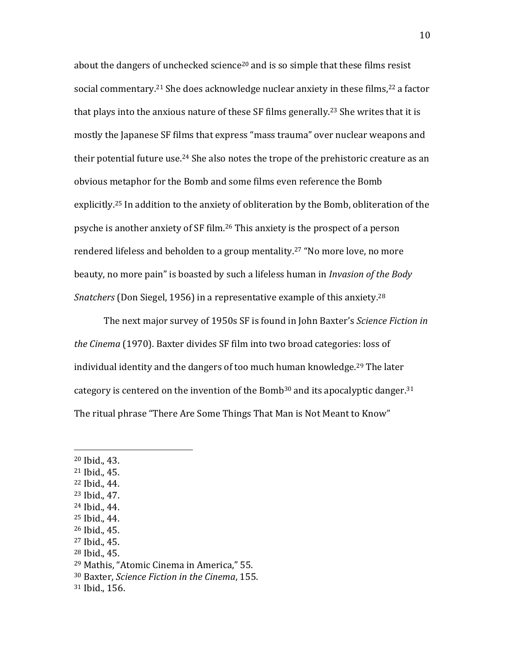about the dangers of unchecked science<sup>20</sup> and is so simple that these films resist social commentary.<sup>21</sup> She does acknowledge nuclear anxiety in these films,<sup>22</sup> a factor that plays into the anxious nature of these  $SF$  films generally.<sup>23</sup> She writes that it is mostly the Japanese SF films that express "mass trauma" over nuclear weapons and their potential future use.<sup>24</sup> She also notes the trope of the prehistoric creature as an obvious metaphor for the Bomb and some films even reference the Bomb explicitly.<sup>25</sup> In addition to the anxiety of obliteration by the Bomb, obliteration of the psyche is another anxiety of SF film.<sup>26</sup> This anxiety is the prospect of a person rendered lifeless and beholden to a group mentality.<sup>27</sup> "No more love, no more beauty, no more pain" is boasted by such a lifeless human in *Invasion of the Body Snatchers* (Don Siegel, 1956) in a representative example of this anxiety.<sup>28</sup>

The next major survey of 1950s SF is found in John Baxter's *Science Fiction in the Cinema* (1970). Baxter divides SF film into two broad categories: loss of individual identity and the dangers of too much human knowledge.<sup>29</sup> The later category is centered on the invention of the Bomb<sup>30</sup> and its apocalyptic danger.<sup>31</sup> The ritual phrase "There Are Some Things That Man is Not Meant to Know"

<sup>20</sup> Ibid., 43.

l

- <sup>21</sup> Ibid., 45.
- <sup>22</sup> Ibid., 44.
- <sup>23</sup> Ibid., 47.
- <sup>24</sup> Ibid., 44.
- <sup>25</sup> Ibid., 44.
- <sup>26</sup> Ibid., 45.
- <sup>27</sup> Ibid., 45.
- <sup>28</sup> Ibid., 45.

<sup>30</sup> Baxter, *Science Fiction in the Cinema*, 155.

<sup>29</sup> Mathis, "Atomic Cinema in America," 55.

<sup>31</sup> Ibid., 156.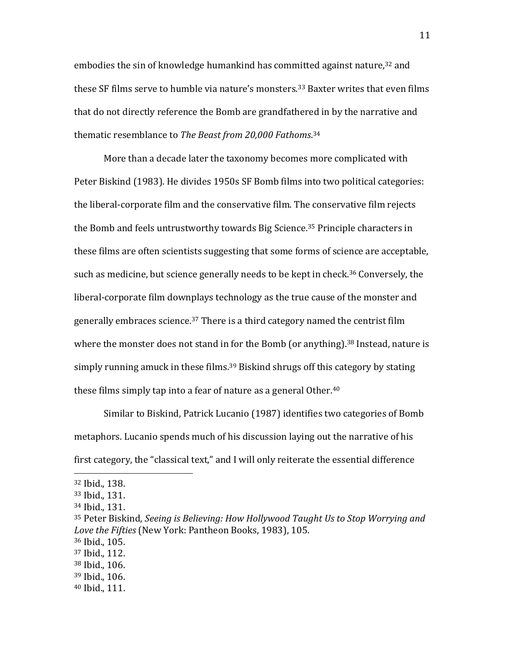embodies the sin of knowledge humankind has committed against nature,<sup>32</sup> and these SF films serve to humble via nature's monsters.<sup>33</sup> Baxter writes that even films that do not directly reference the Bomb are grandfathered in by the narrative and thematic resemblance to *The Beast from 20,000 Fathoms*. 34

More than a decade later the taxonomy becomes more complicated with Peter Biskind (1983). He divides 1950s SF Bomb films into two political categories: the liberal-corporate film and the conservative film. The conservative film rejects the Bomb and feels untrustworthy towards Big Science.<sup>35</sup> Principle characters in these films are often scientists suggesting that some forms of science are acceptable, such as medicine, but science generally needs to be kept in check.<sup>36</sup> Conversely, the liberal-corporate film downplays technology as the true cause of the monster and generally embraces science.<sup>37</sup> There is a third category named the centrist film where the monster does not stand in for the Bomb (or anything).<sup>38</sup> Instead, nature is simply running amuck in these films.<sup>39</sup> Biskind shrugs off this category by stating these films simply tap into a fear of nature as a general Other.<sup>40</sup>

Similar to Biskind, Patrick Lucanio (1987) identifies two categories of Bomb metaphors. Lucanio spends much of his discussion laying out the narrative of his first category, the "classical text," and I will only reiterate the essential difference

l

<sup>36</sup> Ibid., 105.

<sup>39</sup> Ibid., 106.

<sup>32</sup> Ibid., 138.

<sup>33</sup> Ibid., 131.

<sup>34</sup> Ibid., 131.

<sup>35</sup> Peter Biskind, *Seeing is Believing: How Hollywood Taught Us to Stop Worrying and Love the Fifties* (New York: Pantheon Books, 1983), 105.

<sup>37</sup> Ibid., 112.

<sup>38</sup> Ibid., 106.

<sup>40</sup> Ibid., 111.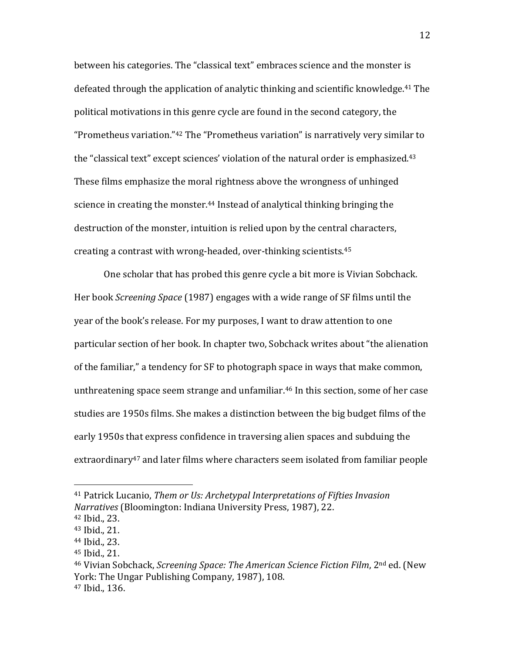between his categories. The "classical text" embraces science and the monster is defeated through the application of analytic thinking and scientific knowledge.<sup>41</sup> The political motivations in this genre cycle are found in the second category, the "Prometheus variation."<sup>42</sup> The "Prometheus variation" is narratively very similar to the "classical text" except sciences' violation of the natural order is emphasized.<sup>43</sup> These films emphasize the moral rightness above the wrongness of unhinged science in creating the monster.<sup>44</sup> Instead of analytical thinking bringing the destruction of the monster, intuition is relied upon by the central characters, creating a contrast with wrong-headed, over-thinking scientists.<sup>45</sup>

One scholar that has probed this genre cycle a bit more is Vivian Sobchack. Her book *Screening Space* (1987) engages with a wide range of SF films until the year of the book's release. For my purposes, I want to draw attention to one particular section of her book. In chapter two, Sobchack writes about "the alienation of the familiar," a tendency for SF to photograph space in ways that make common, unthreatening space seem strange and unfamiliar.<sup>46</sup> In this section, some of her case studies are 1950s films. She makes a distinction between the big budget films of the early 1950s that express confidence in traversing alien spaces and subduing the extraordinary<sup>47</sup> and later films where characters seem isolated from familiar people

<sup>41</sup> Patrick Lucanio, *Them or Us: Archetypal Interpretations of Fifties Invasion Narratives* (Bloomington: Indiana University Press, 1987), 22.

<sup>42</sup> Ibid., 23.

<sup>43</sup> Ibid., 21.

<sup>44</sup> Ibid., 23.

<sup>45</sup> Ibid., 21.

<sup>46</sup> Vivian Sobchack, *Screening Space: The American Science Fiction Film*, 2nd ed. (New York: The Ungar Publishing Company, 1987), 108. <sup>47</sup> Ibid., 136.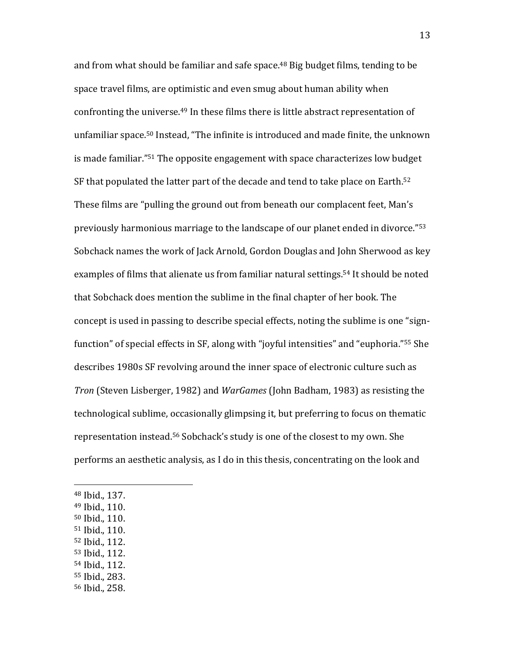and from what should be familiar and safe space.<sup>48</sup> Big budget films, tending to be space travel films, are optimistic and even smug about human ability when confronting the universe.<sup>49</sup> In these films there is little abstract representation of unfamiliar space.<sup>50</sup> Instead, "The infinite is introduced and made finite, the unknown is made familiar."<sup>51</sup> The opposite engagement with space characterizes low budget SF that populated the latter part of the decade and tend to take place on Earth.<sup>52</sup> These films are "pulling the ground out from beneath our complacent feet, Man's previously harmonious marriage to the landscape of our planet ended in divorce."<sup>53</sup> Sobchack names the work of Jack Arnold, Gordon Douglas and John Sherwood as key examples of films that alienate us from familiar natural settings.<sup>54</sup> It should be noted that Sobchack does mention the sublime in the final chapter of her book. The concept is used in passing to describe special effects, noting the sublime is one "signfunction" of special effects in SF, along with "joyful intensities" and "euphoria."<sup>55</sup> She describes 1980s SF revolving around the inner space of electronic culture such as *Tron* (Steven Lisberger, 1982) and *WarGames* (John Badham, 1983) as resisting the technological sublime, occasionally glimpsing it, but preferring to focus on thematic representation instead.<sup>56</sup> Sobchack's study is one of the closest to my own. She performs an aesthetic analysis, as I do in this thesis, concentrating on the look and

<sup>48</sup> Ibid., 137.

- <sup>49</sup> Ibid., 110.
- <sup>50</sup> Ibid., 110.
- <sup>51</sup> Ibid., 110.
- <sup>52</sup> Ibid., 112.
- <sup>53</sup> Ibid., 112.
- <sup>54</sup> Ibid., 112.
- <sup>55</sup> Ibid., 283.
- <sup>56</sup> Ibid., 258.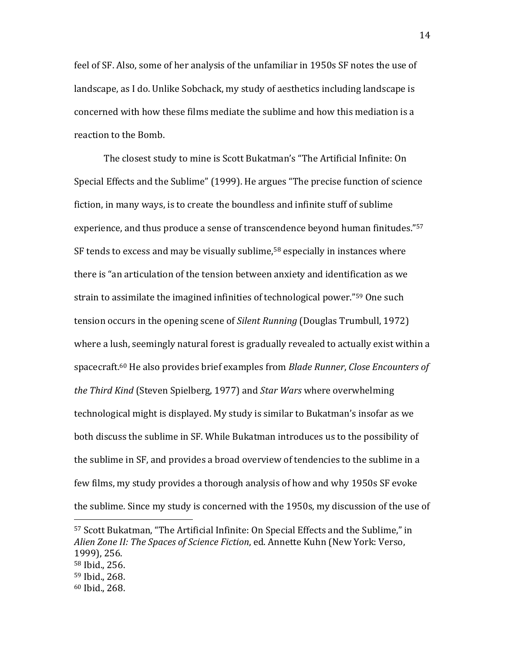feel of SF. Also, some of her analysis of the unfamiliar in 1950s SF notes the use of landscape, as I do. Unlike Sobchack, my study of aesthetics including landscape is concerned with how these films mediate the sublime and how this mediation is a reaction to the Bomb.

The closest study to mine is Scott Bukatman's "The Artificial Infinite: On Special Effects and the Sublime" (1999). He argues "The precise function of science fiction, in many ways, is to create the boundless and infinite stuff of sublime experience, and thus produce a sense of transcendence beyond human finitudes."<sup>57</sup> SF tends to excess and may be visually sublime,<sup>58</sup> especially in instances where there is "an articulation of the tension between anxiety and identification as we strain to assimilate the imagined infinities of technological power."<sup>59</sup> One such tension occurs in the opening scene of *Silent Running* (Douglas Trumbull, 1972) where a lush, seemingly natural forest is gradually revealed to actually exist within a spacecraft.<sup>60</sup> He also provides brief examples from *Blade Runner*, *Close Encounters of the Third Kind* (Steven Spielberg, 1977) and *Star Wars* where overwhelming technological might is displayed. My study is similar to Bukatman's insofar as we both discuss the sublime in SF. While Bukatman introduces us to the possibility of the sublime in SF, and provides a broad overview of tendencies to the sublime in a few films, my study provides a thorough analysis of how and why 1950s SF evoke the sublime. Since my study is concerned with the 1950s, my discussion of the use of

<sup>57</sup> Scott Bukatman, "The Artificial Infinite: On Special Effects and the Sublime," in *Alien Zone II: The Spaces of Science Fiction*, ed. Annette Kuhn (New York: Verso, 1999), 256.

<sup>58</sup> Ibid., 256.

<sup>59</sup> Ibid., 268.

<sup>60</sup> Ibid., 268.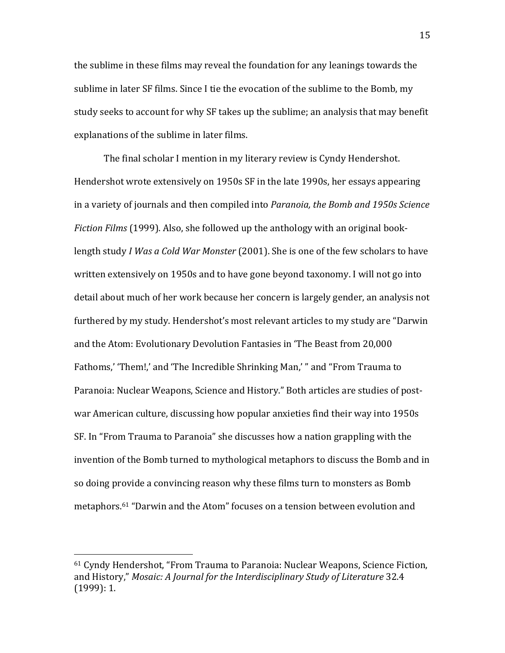the sublime in these films may reveal the foundation for any leanings towards the sublime in later SF films. Since I tie the evocation of the sublime to the Bomb, my study seeks to account for why SF takes up the sublime; an analysis that may benefit explanations of the sublime in later films.

The final scholar I mention in my literary review is Cyndy Hendershot. Hendershot wrote extensively on 1950s SF in the late 1990s, her essays appearing in a variety of journals and then compiled into *Paranoia, the Bomb and 1950s Science Fiction Films* (1999). Also, she followed up the anthology with an original booklength study *I Was a Cold War Monster* (2001). She is one of the few scholars to have written extensively on 1950s and to have gone beyond taxonomy. I will not go into detail about much of her work because her concern is largely gender, an analysis not furthered by my study. Hendershot's most relevant articles to my study are "Darwin and the Atom: Evolutionary Devolution Fantasies in 'The Beast from 20,000 Fathoms,' 'Them!,' and 'The Incredible Shrinking Man,' " and "From Trauma to Paranoia: Nuclear Weapons, Science and History." Both articles are studies of postwar American culture, discussing how popular anxieties find their way into 1950s SF. In "From Trauma to Paranoia" she discusses how a nation grappling with the invention of the Bomb turned to mythological metaphors to discuss the Bomb and in so doing provide a convincing reason why these films turn to monsters as Bomb metaphors.<sup>61</sup> "Darwin and the Atom" focuses on a tension between evolution and

<sup>61</sup> Cyndy Hendershot, "From Trauma to Paranoia: Nuclear Weapons, Science Fiction, and History," *Mosaic: A Journal for the Interdisciplinary Study of Literature* 32.4 (1999): 1.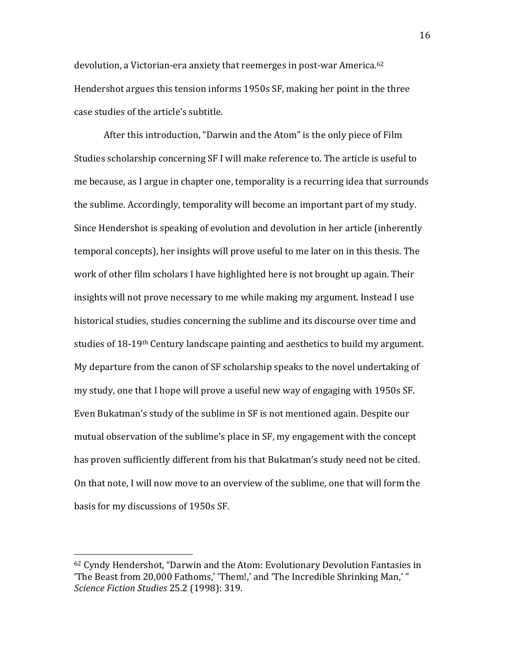devolution, a Victorian-era anxiety that reemerges in post-war America.<sup>62</sup> Hendershot argues this tension informs 1950s SF, making her point in the three case studies of the article's subtitle.

After this introduction, "Darwin and the Atom" is the only piece of Film Studies scholarship concerning SF I will make reference to. The article is useful to me because, as I argue in chapter one, temporality is a recurring idea that surrounds the sublime. Accordingly, temporality will become an important part of my study. Since Hendershot is speaking of evolution and devolution in her article (inherently temporal concepts), her insights will prove useful to me later on in this thesis. The work of other film scholars I have highlighted here is not brought up again. Their insights will not prove necessary to me while making my argument. Instead I use historical studies, studies concerning the sublime and its discourse over time and studies of 18-19th Century landscape painting and aesthetics to build my argument. My departure from the canon of SF scholarship speaks to the novel undertaking of my study, one that I hope will prove a useful new way of engaging with 1950s SF. Even Bukatman's study of the sublime in SF is not mentioned again. Despite our mutual observation of the sublime's place in SF, my engagement with the concept has proven sufficiently different from his that Bukatman's study need not be cited. On that note, I will now move to an overview of the sublime, one that will form the basis for my discussions of 1950s SF.

<sup>62</sup> Cyndy Hendershot, "Darwin and the Atom: Evolutionary Devolution Fantasies in 'The Beast from 20,000 Fathoms,' 'Them!,' and 'The Incredible Shrinking Man,' " *Science Fiction Studies* 25.2 (1998): 319.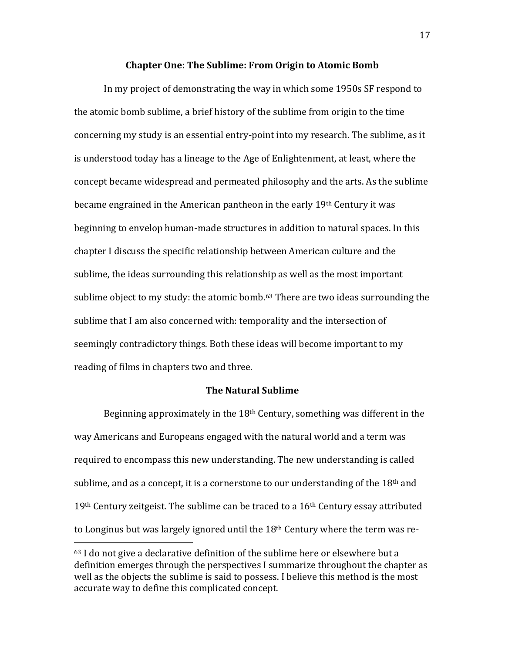### **Chapter One: The Sublime: From Origin to Atomic Bomb**

In my project of demonstrating the way in which some 1950s SF respond to the atomic bomb sublime, a brief history of the sublime from origin to the time concerning my study is an essential entry-point into my research. The sublime, as it is understood today has a lineage to the Age of Enlightenment, at least, where the concept became widespread and permeated philosophy and the arts. As the sublime became engrained in the American pantheon in the early 19th Century it was beginning to envelop human-made structures in addition to natural spaces. In this chapter I discuss the specific relationship between American culture and the sublime, the ideas surrounding this relationship as well as the most important sublime object to my study: the atomic bomb.<sup>63</sup> There are two ideas surrounding the sublime that I am also concerned with: temporality and the intersection of seemingly contradictory things. Both these ideas will become important to my reading of films in chapters two and three.

### **The Natural Sublime**

Beginning approximately in the  $18<sup>th</sup>$  Century, something was different in the way Americans and Europeans engaged with the natural world and a term was required to encompass this new understanding. The new understanding is called sublime, and as a concept, it is a cornerstone to our understanding of the  $18<sup>th</sup>$  and  $19<sup>th</sup>$  Century zeitgeist. The sublime can be traced to a  $16<sup>th</sup>$  Century essay attributed to Longinus but was largely ignored until the 18th Century where the term was re-

 $63$  I do not give a declarative definition of the sublime here or elsewhere but a definition emerges through the perspectives I summarize throughout the chapter as well as the objects the sublime is said to possess. I believe this method is the most accurate way to define this complicated concept.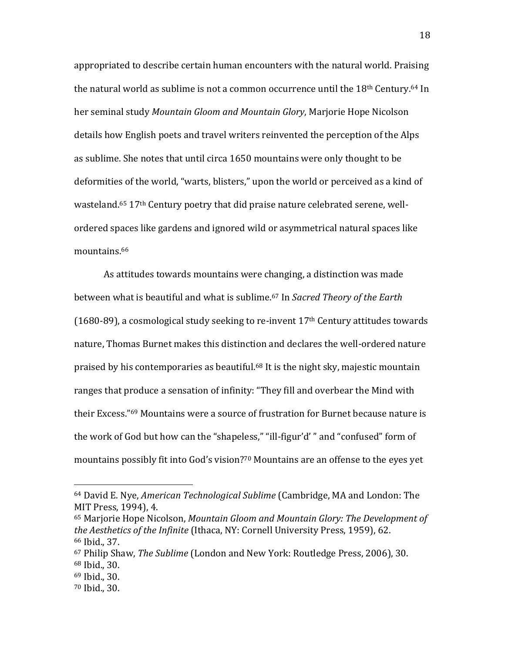appropriated to describe certain human encounters with the natural world. Praising the natural world as sublime is not a common occurrence until the  $18<sup>th</sup>$  Century.<sup>64</sup> In her seminal study *Mountain Gloom and Mountain Glory*, Marjorie Hope Nicolson details how English poets and travel writers reinvented the perception of the Alps as sublime. She notes that until circa 1650 mountains were only thought to be deformities of the world, "warts, blisters," upon the world or perceived as a kind of wasteland.<sup>65</sup> 17th Century poetry that did praise nature celebrated serene, wellordered spaces like gardens and ignored wild or asymmetrical natural spaces like mountains.<sup>66</sup>

As attitudes towards mountains were changing, a distinction was made between what is beautiful and what is sublime.<sup>67</sup> In *Sacred Theory of the Earth*   $(1680-89)$ , a cosmological study seeking to re-invent  $17<sup>th</sup>$  Century attitudes towards nature, Thomas Burnet makes this distinction and declares the well-ordered nature praised by his contemporaries as beautiful.<sup>68</sup> It is the night sky, majestic mountain ranges that produce a sensation of infinity: "They fill and overbear the Mind with their Excess."<sup>69</sup> Mountains were a source of frustration for Burnet because nature is the work of God but how can the "shapeless," "ill-figur'd' " and "confused" form of mountains possibly fit into God's vision?<sup>70</sup> Mountains are an offense to the eyes yet

<sup>64</sup> David E. Nye, *American Technological Sublime* (Cambridge, MA and London: The MIT Press, 1994), 4.

<sup>65</sup> Marjorie Hope Nicolson, *Mountain Gloom and Mountain Glory: The Development of the Aesthetics of the Infinite* (Ithaca, NY: Cornell University Press, 1959), 62. <sup>66</sup> Ibid., 37.

<sup>67</sup> Philip Shaw, *The Sublime* (London and New York: Routledge Press, 2006), 30. <sup>68</sup> Ibid., 30.

<sup>69</sup> Ibid., 30.

<sup>70</sup> Ibid., 30.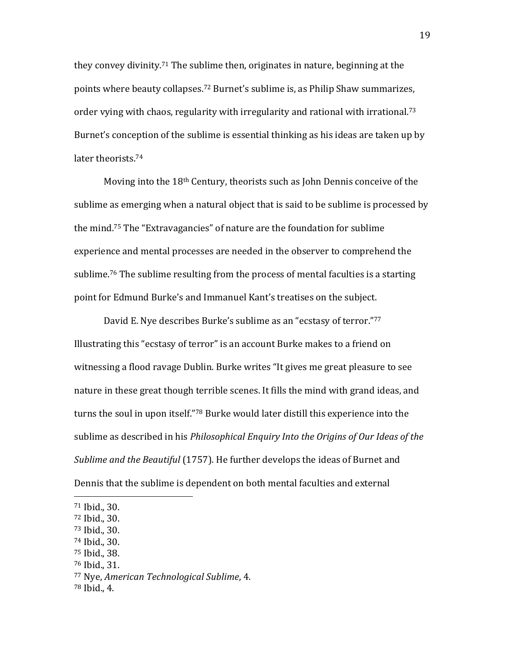they convey divinity.<sup>71</sup> The sublime then, originates in nature, beginning at the points where beauty collapses.<sup>72</sup> Burnet's sublime is, as Philip Shaw summarizes, order vying with chaos, regularity with irregularity and rational with irrational.<sup>73</sup> Burnet's conception of the sublime is essential thinking as his ideas are taken up by later theorists.<sup>74</sup>

Moving into the 18th Century, theorists such as John Dennis conceive of the sublime as emerging when a natural object that is said to be sublime is processed by the mind.<sup>75</sup> The "Extravagancies" of nature are the foundation for sublime experience and mental processes are needed in the observer to comprehend the sublime.<sup>76</sup> The sublime resulting from the process of mental faculties is a starting point for Edmund Burke's and Immanuel Kant's treatises on the subject.

David E. Nye describes Burke's sublime as an "ecstasy of terror."<sup>77</sup> Illustrating this "ecstasy of terror" is an account Burke makes to a friend on witnessing a flood ravage Dublin. Burke writes "It gives me great pleasure to see nature in these great though terrible scenes. It fills the mind with grand ideas, and turns the soul in upon itself."<sup>78</sup> Burke would later distill this experience into the sublime as described in his *Philosophical Enquiry Into the Origins of Our Ideas of the Sublime and the Beautiful* (1757). He further develops the ideas of Burnet and Dennis that the sublime is dependent on both mental faculties and external

l

<sup>76</sup> Ibid., 31.

<sup>71</sup> Ibid., 30.

<sup>72</sup> Ibid., 30.

<sup>73</sup> Ibid., 30.

<sup>74</sup> Ibid., 30.

<sup>75</sup> Ibid., 38.

<sup>77</sup> Nye, *American Technological Sublime*, 4.

<sup>78</sup> Ibid., 4.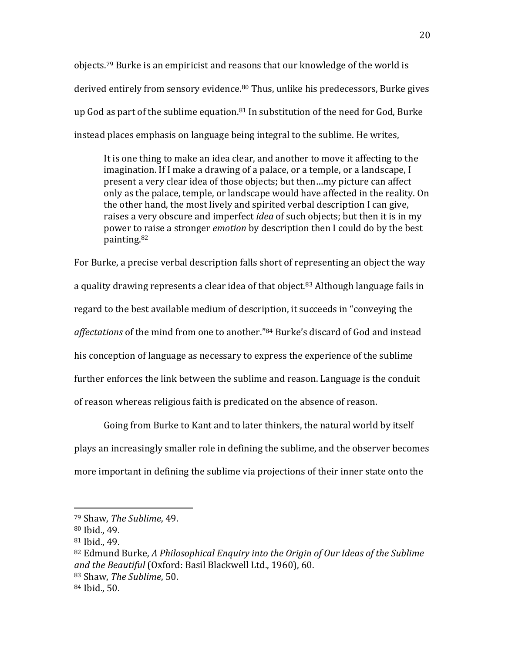objects.<sup>79</sup> Burke is an empiricist and reasons that our knowledge of the world is derived entirely from sensory evidence.<sup>80</sup> Thus, unlike his predecessors, Burke gives up God as part of the sublime equation. $81$  In substitution of the need for God, Burke instead places emphasis on language being integral to the sublime. He writes,

It is one thing to make an idea clear, and another to move it affecting to the imagination. If I make a drawing of a palace, or a temple, or a landscape, I present a very clear idea of those objects; but then…my picture can affect only as the palace, temple, or landscape would have affected in the reality. On the other hand, the most lively and spirited verbal description I can give, raises a very obscure and imperfect *idea* of such objects; but then it is in my power to raise a stronger *emotion* by description then I could do by the best painting.<sup>82</sup>

For Burke, a precise verbal description falls short of representing an object the way a quality drawing represents a clear idea of that object.<sup>83</sup> Although language fails in regard to the best available medium of description, it succeeds in "conveying the *affectations* of the mind from one to another."<sup>84</sup> Burke's discard of God and instead his conception of language as necessary to express the experience of the sublime further enforces the link between the sublime and reason. Language is the conduit of reason whereas religious faith is predicated on the absence of reason.

Going from Burke to Kant and to later thinkers, the natural world by itself plays an increasingly smaller role in defining the sublime, and the observer becomes more important in defining the sublime via projections of their inner state onto the

<sup>79</sup> Shaw, *The Sublime*, 49.

<sup>80</sup> Ibid., 49.

<sup>81</sup> Ibid., 49.

<sup>82</sup> Edmund Burke, *A Philosophical Enquiry into the Origin of Our Ideas of the Sublime and the Beautiful* (Oxford: Basil Blackwell Ltd., 1960), 60. <sup>83</sup> Shaw, *The Sublime*, 50.

<sup>84</sup> Ibid., 50.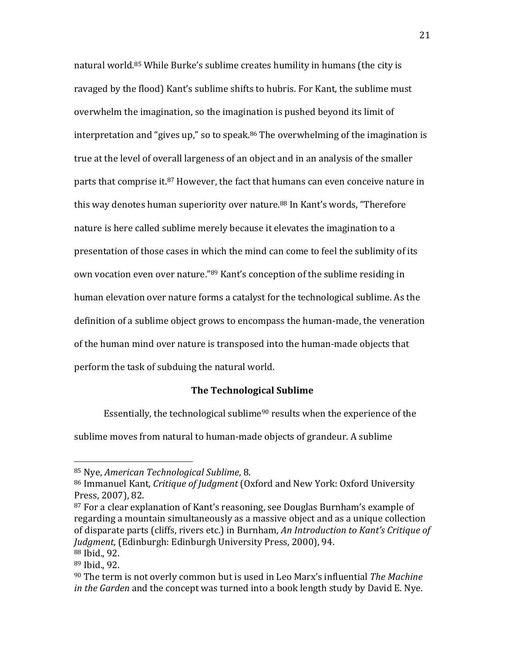natural world.<sup>85</sup> While Burke's sublime creates humility in humans (the city is ravaged by the flood) Kant's sublime shifts to hubris. For Kant, the sublime must overwhelm the imagination, so the imagination is pushed beyond its limit of interpretation and "gives up," so to speak. $86$  The overwhelming of the imagination is true at the level of overall largeness of an object and in an analysis of the smaller parts that comprise it.<sup>87</sup> However, the fact that humans can even conceive nature in this way denotes human superiority over nature.<sup>88</sup> In Kant's words, "Therefore nature is here called sublime merely because it elevates the imagination to a presentation of those cases in which the mind can come to feel the sublimity of its own vocation even over nature."<sup>89</sup> Kant's conception of the sublime residing in human elevation over nature forms a catalyst for the technological sublime. As the definition of a sublime object grows to encompass the human-made, the veneration of the human mind over nature is transposed into the human-made objects that perform the task of subduing the natural world.

### **The Technological Sublime**

Essentially, the technological sublime<sup>90</sup> results when the experience of the

sublime moves from natural to human-made objects of grandeur. A sublime

<sup>85</sup> Nye, *American Technological Sublime*, 8.

<sup>86</sup> Immanuel Kant, *Critique of Judgment* (Oxford and New York: Oxford University Press, 2007), 82.

<sup>87</sup> For a clear explanation of Kant's reasoning, see Douglas Burnham's example of regarding a mountain simultaneously as a massive object and as a unique collection of disparate parts (cliffs, rivers etc.) in Burnham, *An Introduction to Kant's Critique of Judgment*, (Edinburgh: Edinburgh University Press, 2000), 94.

<sup>88</sup> Ibid., 92.

<sup>89</sup> Ibid., 92.

<sup>90</sup> The term is not overly common but is used in Leo Marx's influential *The Machine in the Garden* and the concept was turned into a book length study by David E. Nye.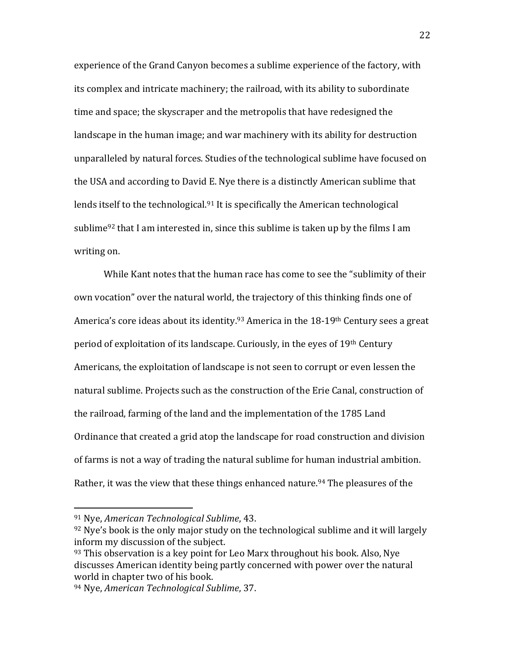experience of the Grand Canyon becomes a sublime experience of the factory, with its complex and intricate machinery; the railroad, with its ability to subordinate time and space; the skyscraper and the metropolis that have redesigned the landscape in the human image; and war machinery with its ability for destruction unparalleled by natural forces. Studies of the technological sublime have focused on the USA and according to David E. Nye there is a distinctly American sublime that lends itself to the technological.<sup>91</sup> It is specifically the American technological sublime<sup>92</sup> that I am interested in, since this sublime is taken up by the films I am writing on.

While Kant notes that the human race has come to see the "sublimity of their own vocation" over the natural world, the trajectory of this thinking finds one of America's core ideas about its identity.<sup>93</sup> America in the 18-19<sup>th</sup> Century sees a great period of exploitation of its landscape. Curiously, in the eyes of 19th Century Americans, the exploitation of landscape is not seen to corrupt or even lessen the natural sublime. Projects such as the construction of the Erie Canal, construction of the railroad, farming of the land and the implementation of the 1785 Land Ordinance that created a grid atop the landscape for road construction and division of farms is not a way of trading the natural sublime for human industrial ambition. Rather, it was the view that these things enhanced nature.<sup>94</sup> The pleasures of the

<sup>91</sup> Nye, *American Technological Sublime*, 43.

 $92$  Nye's book is the only major study on the technological sublime and it will largely inform my discussion of the subject.

 $93$  This observation is a key point for Leo Marx throughout his book. Also, Nye discusses American identity being partly concerned with power over the natural world in chapter two of his book.

<sup>94</sup> Nye, *American Technological Sublime*, 37.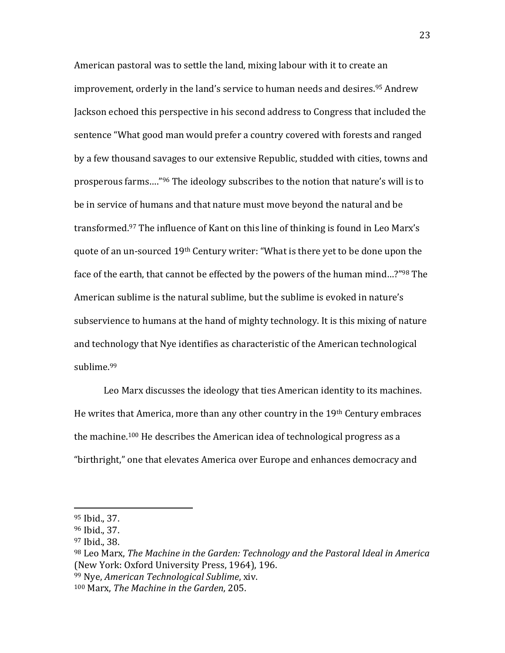American pastoral was to settle the land, mixing labour with it to create an improvement, orderly in the land's service to human needs and desires.<sup>95</sup> Andrew Jackson echoed this perspective in his second address to Congress that included the sentence "What good man would prefer a country covered with forests and ranged by a few thousand savages to our extensive Republic, studded with cities, towns and prosperous farms…."<sup>96</sup> The ideology subscribes to the notion that nature's will is to be in service of humans and that nature must move beyond the natural and be transformed.<sup>97</sup> The influence of Kant on this line of thinking is found in Leo Marx's quote of an un-sourced 19th Century writer: "What is there yet to be done upon the face of the earth, that cannot be effected by the powers of the human mind…?"<sup>98</sup> The American sublime is the natural sublime, but the sublime is evoked in nature's subservience to humans at the hand of mighty technology. It is this mixing of nature and technology that Nye identifies as characteristic of the American technological sublime.<sup>99</sup>

Leo Marx discusses the ideology that ties American identity to its machines. He writes that America, more than any other country in the 19th Century embraces the machine.<sup>100</sup> He describes the American idea of technological progress as a "birthright," one that elevates America over Europe and enhances democracy and

<sup>95</sup> Ibid., 37.

<sup>96</sup> Ibid., 37.

<sup>97</sup> Ibid., 38.

<sup>98</sup> Leo Marx, *The Machine in the Garden: Technology and the Pastoral Ideal in America*  (New York: Oxford University Press, 1964), 196.

<sup>99</sup> Nye, *American Technological Sublime*, xiv.

<sup>100</sup> Marx, *The Machine in the Garden*, 205.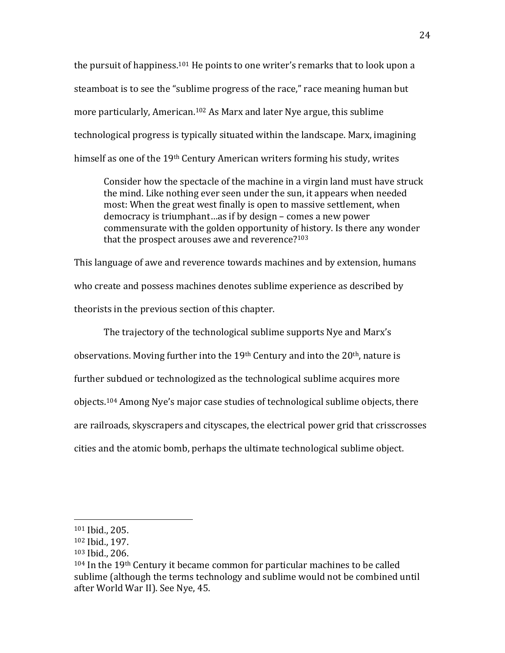the pursuit of happiness.<sup>101</sup> He points to one writer's remarks that to look upon a steamboat is to see the "sublime progress of the race," race meaning human but more particularly, American.<sup>102</sup> As Marx and later Nye argue, this sublime technological progress is typically situated within the landscape. Marx, imagining himself as one of the 19th Century American writers forming his study, writes

Consider how the spectacle of the machine in a virgin land must have struck the mind. Like nothing ever seen under the sun, it appears when needed most: When the great west finally is open to massive settlement, when democracy is triumphant…as if by design – comes a new power commensurate with the golden opportunity of history. Is there any wonder that the prospect arouses awe and reverence?<sup>103</sup>

This language of awe and reverence towards machines and by extension, humans who create and possess machines denotes sublime experience as described by theorists in the previous section of this chapter.

The trajectory of the technological sublime supports Nye and Marx's observations. Moving further into the 19<sup>th</sup> Century and into the 20<sup>th</sup>, nature is further subdued or technologized as the technological sublime acquires more objects.<sup>104</sup> Among Nye's major case studies of technological sublime objects, there are railroads, skyscrapers and cityscapes, the electrical power grid that crisscrosses cities and the atomic bomb, perhaps the ultimate technological sublime object.

<sup>101</sup> Ibid., 205.

<sup>102</sup> Ibid., 197.

<sup>103</sup> Ibid., 206.

 $104$  In the 19<sup>th</sup> Century it became common for particular machines to be called sublime (although the terms technology and sublime would not be combined until after World War II). See Nye, 45.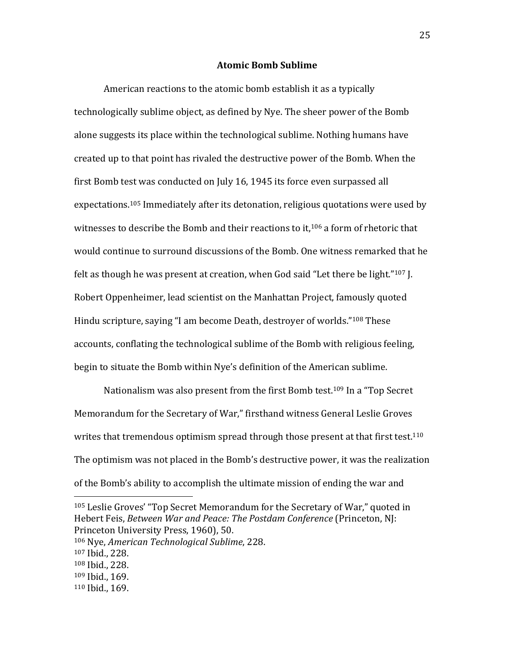### **Atomic Bomb Sublime**

American reactions to the atomic bomb establish it as a typically technologically sublime object, as defined by Nye. The sheer power of the Bomb alone suggests its place within the technological sublime. Nothing humans have created up to that point has rivaled the destructive power of the Bomb. When the first Bomb test was conducted on July 16, 1945 its force even surpassed all expectations.<sup>105</sup> Immediately after its detonation, religious quotations were used by witnesses to describe the Bomb and their reactions to it,<sup>106</sup> a form of rhetoric that would continue to surround discussions of the Bomb. One witness remarked that he felt as though he was present at creation, when God said "Let there be light."<sup>107</sup> J. Robert Oppenheimer, lead scientist on the Manhattan Project, famously quoted Hindu scripture, saying "I am become Death, destroyer of worlds."<sup>108</sup> These accounts, conflating the technological sublime of the Bomb with religious feeling, begin to situate the Bomb within Nye's definition of the American sublime.

Nationalism was also present from the first Bomb test.<sup>109</sup> In a "Top Secret" Memorandum for the Secretary of War," firsthand witness General Leslie Groves writes that tremendous optimism spread through those present at that first test.<sup>110</sup> The optimism was not placed in the Bomb's destructive power, it was the realization of the Bomb's ability to accomplish the ultimate mission of ending the war and

l

<sup>109</sup> Ibid., 169.

<sup>105</sup> Leslie Groves' "Top Secret Memorandum for the Secretary of War," quoted in Hebert Feis, *Between War and Peace: The Postdam Conference* (Princeton, NJ: Princeton University Press, 1960), 50.

<sup>106</sup> Nye, *American Technological Sublime*, 228.

<sup>107</sup> Ibid., 228.

<sup>108</sup> Ibid., 228.

<sup>110</sup> Ibid., 169.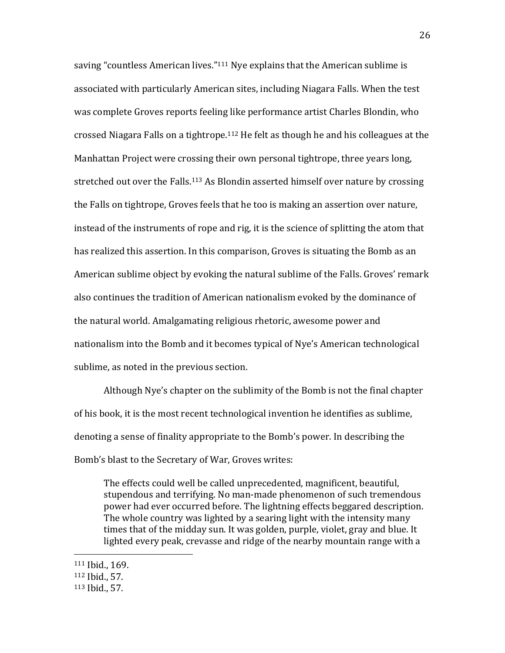saving "countless American lives."<sup>111</sup> Nye explains that the American sublime is associated with particularly American sites, including Niagara Falls. When the test was complete Groves reports feeling like performance artist Charles Blondin, who crossed Niagara Falls on a tightrope.<sup>112</sup> He felt as though he and his colleagues at the Manhattan Project were crossing their own personal tightrope, three years long, stretched out over the Falls.<sup>113</sup> As Blondin asserted himself over nature by crossing the Falls on tightrope, Groves feels that he too is making an assertion over nature, instead of the instruments of rope and rig, it is the science of splitting the atom that has realized this assertion. In this comparison, Groves is situating the Bomb as an American sublime object by evoking the natural sublime of the Falls. Groves' remark also continues the tradition of American nationalism evoked by the dominance of the natural world. Amalgamating religious rhetoric, awesome power and nationalism into the Bomb and it becomes typical of Nye's American technological sublime, as noted in the previous section.

Although Nye's chapter on the sublimity of the Bomb is not the final chapter of his book, it is the most recent technological invention he identifies as sublime, denoting a sense of finality appropriate to the Bomb's power. In describing the Bomb's blast to the Secretary of War, Groves writes:

The effects could well be called unprecedented, magnificent, beautiful, stupendous and terrifying. No man-made phenomenon of such tremendous power had ever occurred before. The lightning effects beggared description. The whole country was lighted by a searing light with the intensity many times that of the midday sun. It was golden, purple, violet, gray and blue. It lighted every peak, crevasse and ridge of the nearby mountain range with a

<sup>111</sup> Ibid., 169.

<sup>112</sup> Ibid., 57.

<sup>113</sup> Ibid., 57.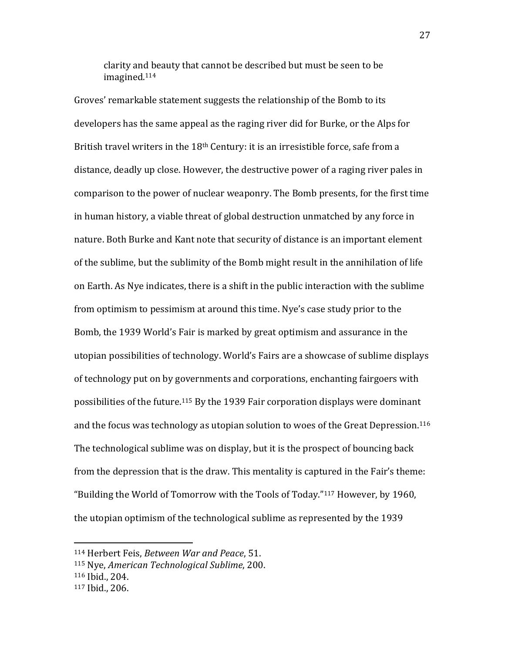clarity and beauty that cannot be described but must be seen to be imagined.<sup>114</sup>

Groves' remarkable statement suggests the relationship of the Bomb to its developers has the same appeal as the raging river did for Burke, or the Alps for British travel writers in the 18<sup>th</sup> Century: it is an irresistible force, safe from a distance, deadly up close. However, the destructive power of a raging river pales in comparison to the power of nuclear weaponry. The Bomb presents, for the first time in human history, a viable threat of global destruction unmatched by any force in nature. Both Burke and Kant note that security of distance is an important element of the sublime, but the sublimity of the Bomb might result in the annihilation of life on Earth. As Nye indicates, there is a shift in the public interaction with the sublime from optimism to pessimism at around this time. Nye's case study prior to the Bomb, the 1939 World's Fair is marked by great optimism and assurance in the utopian possibilities of technology. World's Fairs are a showcase of sublime displays of technology put on by governments and corporations, enchanting fairgoers with possibilities of the future.<sup>115</sup> By the 1939 Fair corporation displays were dominant and the focus was technology as utopian solution to woes of the Great Depression.<sup>116</sup> The technological sublime was on display, but it is the prospect of bouncing back from the depression that is the draw. This mentality is captured in the Fair's theme: "Building the World of Tomorrow with the Tools of Today."<sup>117</sup> However, by 1960, the utopian optimism of the technological sublime as represented by the 1939

<sup>114</sup> Herbert Feis, *Between War and Peace*, 51.

<sup>115</sup> Nye, *American Technological Sublime*, 200.

<sup>116</sup> Ibid., 204.

<sup>117</sup> Ibid., 206.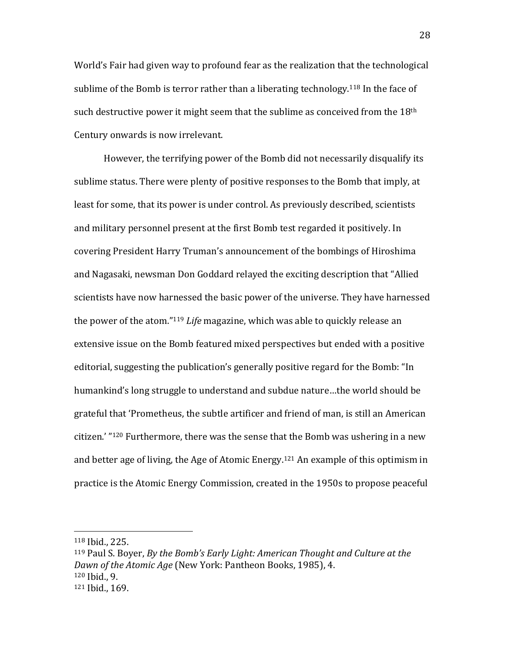World's Fair had given way to profound fear as the realization that the technological sublime of the Bomb is terror rather than a liberating technology.<sup>118</sup> In the face of such destructive power it might seem that the sublime as conceived from the  $18<sup>th</sup>$ Century onwards is now irrelevant.

However, the terrifying power of the Bomb did not necessarily disqualify its sublime status. There were plenty of positive responses to the Bomb that imply, at least for some, that its power is under control. As previously described, scientists and military personnel present at the first Bomb test regarded it positively. In covering President Harry Truman's announcement of the bombings of Hiroshima and Nagasaki, newsman Don Goddard relayed the exciting description that "Allied scientists have now harnessed the basic power of the universe. They have harnessed the power of the atom."<sup>119</sup> *Life* magazine, which was able to quickly release an extensive issue on the Bomb featured mixed perspectives but ended with a positive editorial, suggesting the publication's generally positive regard for the Bomb: "In humankind's long struggle to understand and subdue nature…the world should be grateful that 'Prometheus, the subtle artificer and friend of man, is still an American citizen.' "<sup>120</sup> Furthermore, there was the sense that the Bomb was ushering in a new and better age of living, the Age of Atomic Energy.<sup>121</sup> An example of this optimism in practice is the Atomic Energy Commission, created in the 1950s to propose peaceful

<sup>118</sup> Ibid., 225.

<sup>119</sup> Paul S. Boyer, *By the Bomb's Early Light: American Thought and Culture at the Dawn of the Atomic Age* (New York: Pantheon Books, 1985), 4. <sup>120</sup> Ibid., 9. <sup>121</sup> Ibid., 169.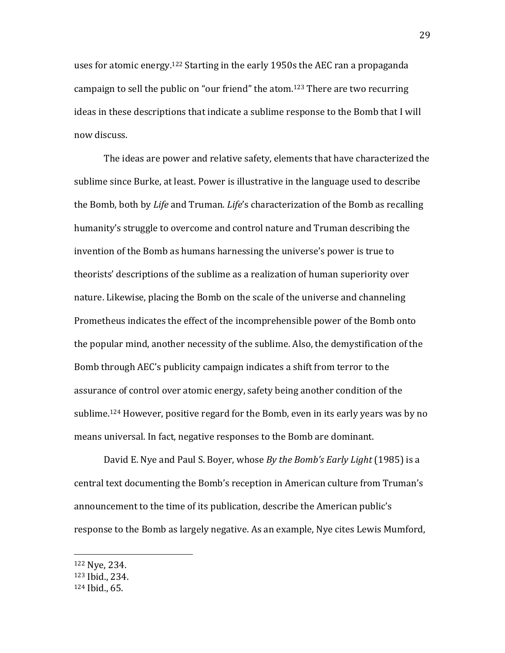uses for atomic energy.<sup>122</sup> Starting in the early 1950s the AEC ran a propaganda campaign to sell the public on "our friend" the atom.<sup>123</sup> There are two recurring ideas in these descriptions that indicate a sublime response to the Bomb that I will now discuss.

The ideas are power and relative safety, elements that have characterized the sublime since Burke, at least. Power is illustrative in the language used to describe the Bomb, both by *Life* and Truman. *Life*'s characterization of the Bomb as recalling humanity's struggle to overcome and control nature and Truman describing the invention of the Bomb as humans harnessing the universe's power is true to theorists' descriptions of the sublime as a realization of human superiority over nature. Likewise, placing the Bomb on the scale of the universe and channeling Prometheus indicates the effect of the incomprehensible power of the Bomb onto the popular mind, another necessity of the sublime. Also, the demystification of the Bomb through AEC's publicity campaign indicates a shift from terror to the assurance of control over atomic energy, safety being another condition of the sublime.<sup>124</sup> However, positive regard for the Bomb, even in its early years was by no means universal. In fact, negative responses to the Bomb are dominant.

David E. Nye and Paul S. Boyer, whose *By the Bomb's Early Light* (1985) is a central text documenting the Bomb's reception in American culture from Truman's announcement to the time of its publication, describe the American public's response to the Bomb as largely negative. As an example, Nye cites Lewis Mumford,

<sup>122</sup> Nye, 234.

<sup>123</sup> Ibid., 234.

<sup>124</sup> Ibid., 65.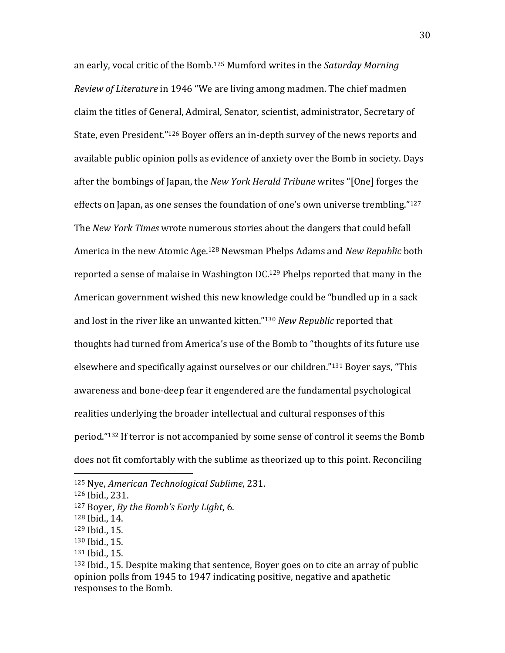an early, vocal critic of the Bomb.<sup>125</sup> Mumford writes in the *Saturday Morning Review of Literature* in 1946 "We are living among madmen. The chief madmen claim the titles of General, Admiral, Senator, scientist, administrator, Secretary of State, even President."<sup>126</sup> Boyer offers an in-depth survey of the news reports and available public opinion polls as evidence of anxiety over the Bomb in society. Days after the bombings of Japan, the *New York Herald Tribune* writes "[One] forges the effects on Japan, as one senses the foundation of one's own universe trembling."<sup>127</sup> The *New York Times* wrote numerous stories about the dangers that could befall America in the new Atomic Age.<sup>128</sup> Newsman Phelps Adams and *New Republic* both reported a sense of malaise in Washington DC.<sup>129</sup> Phelps reported that many in the American government wished this new knowledge could be "bundled up in a sack and lost in the river like an unwanted kitten."<sup>130</sup> *New Republic* reported that thoughts had turned from America's use of the Bomb to "thoughts of its future use elsewhere and specifically against ourselves or our children."<sup>131</sup> Boyer says, "This awareness and bone-deep fear it engendered are the fundamental psychological realities underlying the broader intellectual and cultural responses of this period."<sup>132</sup> If terror is not accompanied by some sense of control it seems the Bomb does not fit comfortably with the sublime as theorized up to this point. Reconciling

l

- <sup>128</sup> Ibid., 14.
- <sup>129</sup> Ibid., 15.
- <sup>130</sup> Ibid., 15.
- <sup>131</sup> Ibid., 15.

<sup>125</sup> Nye, *American Technological Sublime*, 231.

<sup>126</sup> Ibid., 231.

<sup>127</sup> Boyer, *By the Bomb's Early Light*, 6.

<sup>132</sup> Ibid., 15. Despite making that sentence, Boyer goes on to cite an array of public opinion polls from 1945 to 1947 indicating positive, negative and apathetic responses to the Bomb.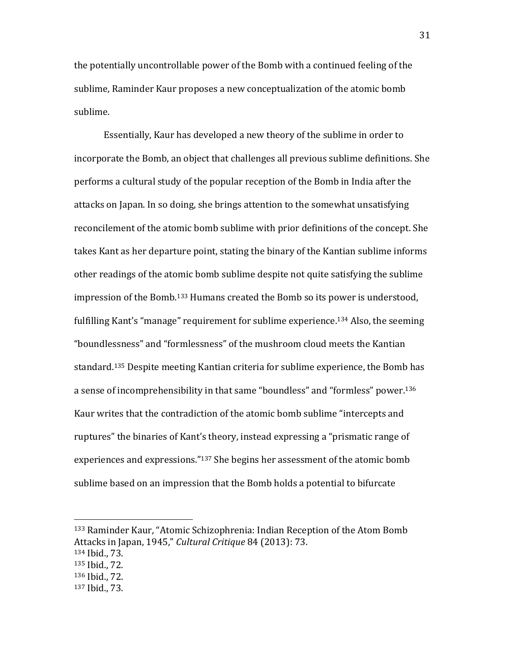the potentially uncontrollable power of the Bomb with a continued feeling of the sublime, Raminder Kaur proposes a new conceptualization of the atomic bomb sublime.

Essentially, Kaur has developed a new theory of the sublime in order to incorporate the Bomb, an object that challenges all previous sublime definitions. She performs a cultural study of the popular reception of the Bomb in India after the attacks on Japan. In so doing, she brings attention to the somewhat unsatisfying reconcilement of the atomic bomb sublime with prior definitions of the concept. She takes Kant as her departure point, stating the binary of the Kantian sublime informs other readings of the atomic bomb sublime despite not quite satisfying the sublime impression of the Bomb.<sup>133</sup> Humans created the Bomb so its power is understood, fulfilling Kant's "manage" requirement for sublime experience.<sup>134</sup> Also, the seeming "boundlessness" and "formlessness" of the mushroom cloud meets the Kantian standard.<sup>135</sup> Despite meeting Kantian criteria for sublime experience, the Bomb has a sense of incomprehensibility in that same "boundless" and "formless" power.<sup>136</sup> Kaur writes that the contradiction of the atomic bomb sublime "intercepts and ruptures" the binaries of Kant's theory, instead expressing a "prismatic range of experiences and expressions."<sup>137</sup> She begins her assessment of the atomic bomb sublime based on an impression that the Bomb holds a potential to bifurcate

<sup>133</sup> Raminder Kaur, "Atomic Schizophrenia: Indian Reception of the Atom Bomb Attacks in Japan, 1945," *Cultural Critique* 84 (2013): 73.

<sup>134</sup> Ibid., 73.

<sup>135</sup> Ibid., 72.

<sup>136</sup> Ibid., 72.

<sup>137</sup> Ibid., 73.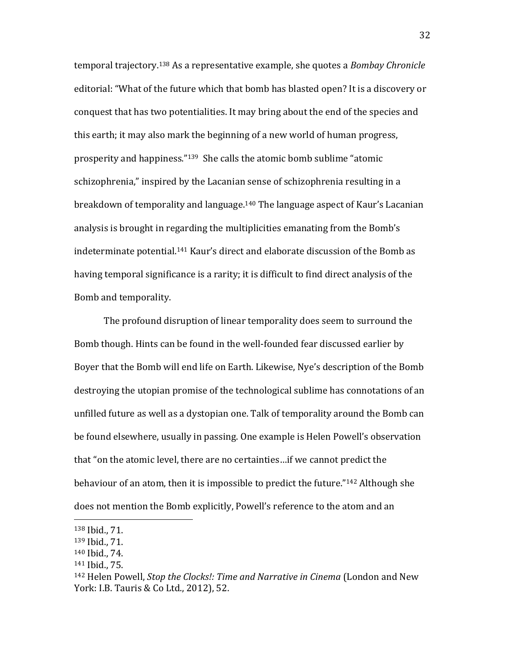temporal trajectory.<sup>138</sup> As a representative example, she quotes a *Bombay Chronicle*  editorial: "What of the future which that bomb has blasted open? It is a discovery or conquest that has two potentialities. It may bring about the end of the species and this earth; it may also mark the beginning of a new world of human progress, prosperity and happiness."<sup>139</sup> She calls the atomic bomb sublime "atomic schizophrenia," inspired by the Lacanian sense of schizophrenia resulting in a breakdown of temporality and language.<sup>140</sup> The language aspect of Kaur's Lacanian analysis is brought in regarding the multiplicities emanating from the Bomb's indeterminate potential.<sup>141</sup> Kaur's direct and elaborate discussion of the Bomb as having temporal significance is a rarity; it is difficult to find direct analysis of the Bomb and temporality.

The profound disruption of linear temporality does seem to surround the Bomb though. Hints can be found in the well-founded fear discussed earlier by Boyer that the Bomb will end life on Earth. Likewise, Nye's description of the Bomb destroying the utopian promise of the technological sublime has connotations of an unfilled future as well as a dystopian one. Talk of temporality around the Bomb can be found elsewhere, usually in passing. One example is Helen Powell's observation that "on the atomic level, there are no certainties…if we cannot predict the behaviour of an atom, then it is impossible to predict the future."<sup>142</sup> Although she does not mention the Bomb explicitly, Powell's reference to the atom and an

<sup>138</sup> Ibid., 71.

<sup>139</sup> Ibid., 71.

<sup>140</sup> Ibid., 74.

<sup>141</sup> Ibid., 75.

<sup>142</sup> Helen Powell, *Stop the Clocks!: Time and Narrative in Cinema* (London and New York: I.B. Tauris & Co Ltd., 2012), 52.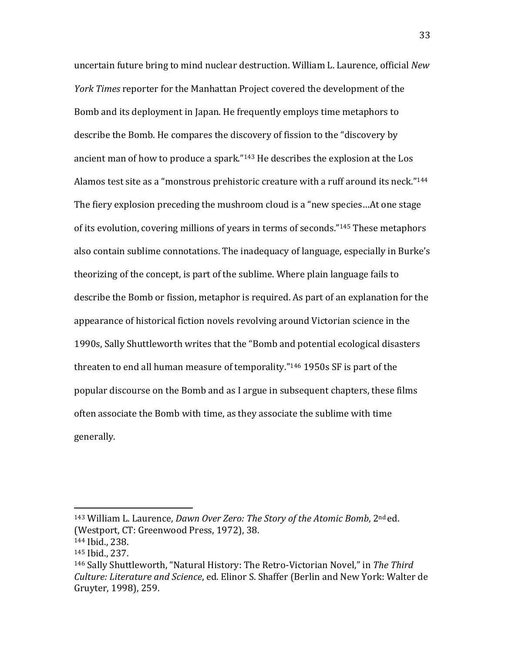uncertain future bring to mind nuclear destruction. William L. Laurence, official *New York Times* reporter for the Manhattan Project covered the development of the Bomb and its deployment in Japan. He frequently employs time metaphors to describe the Bomb. He compares the discovery of fission to the "discovery by ancient man of how to produce a spark."<sup>143</sup> He describes the explosion at the Los Alamos test site as a "monstrous prehistoric creature with a ruff around its neck."<sup>144</sup> The fiery explosion preceding the mushroom cloud is a "new species…At one stage of its evolution, covering millions of years in terms of seconds."<sup>145</sup> These metaphors also contain sublime connotations. The inadequacy of language, especially in Burke's theorizing of the concept, is part of the sublime. Where plain language fails to describe the Bomb or fission, metaphor is required. As part of an explanation for the appearance of historical fiction novels revolving around Victorian science in the 1990s, Sally Shuttleworth writes that the "Bomb and potential ecological disasters threaten to end all human measure of temporality."<sup>146</sup> 1950s SF is part of the popular discourse on the Bomb and as I argue in subsequent chapters, these films often associate the Bomb with time, as they associate the sublime with time generally.

<sup>143</sup> William L. Laurence, *Dawn Over Zero: The Story of the Atomic Bomb*, 2nd ed. (Westport, CT: Greenwood Press, 1972), 38.

<sup>144</sup> Ibid., 238.

<sup>145</sup> Ibid., 237.

<sup>146</sup> Sally Shuttleworth, "Natural History: The Retro-Victorian Novel," in *The Third Culture: Literature and Science*, ed. Elinor S. Shaffer (Berlin and New York: Walter de Gruyter, 1998), 259.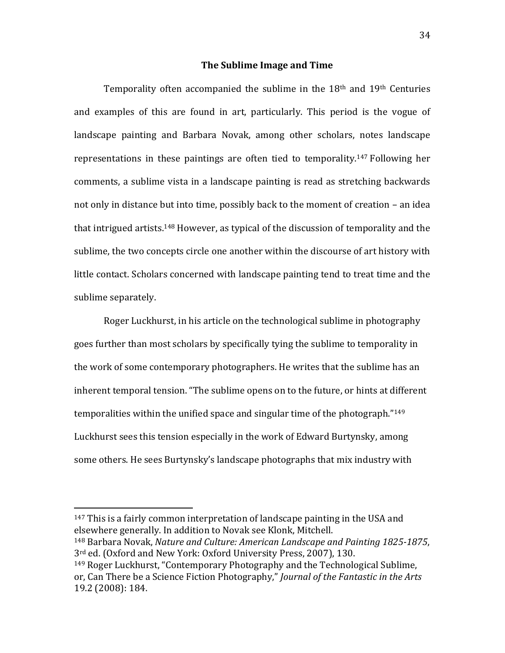### **The Sublime Image and Time**

Temporality often accompanied the sublime in the 18th and 19th Centuries and examples of this are found in art, particularly. This period is the vogue of landscape painting and Barbara Novak, among other scholars, notes landscape representations in these paintings are often tied to temporality.<sup>147</sup> Following her comments, a sublime vista in a landscape painting is read as stretching backwards not only in distance but into time, possibly back to the moment of creation – an idea that intrigued artists.<sup>148</sup> However, as typical of the discussion of temporality and the sublime, the two concepts circle one another within the discourse of art history with little contact. Scholars concerned with landscape painting tend to treat time and the sublime separately.

Roger Luckhurst, in his article on the technological sublime in photography goes further than most scholars by specifically tying the sublime to temporality in the work of some contemporary photographers. He writes that the sublime has an inherent temporal tension. "The sublime opens on to the future, or hints at different temporalities within the unified space and singular time of the photograph."<sup>149</sup> Luckhurst sees this tension especially in the work of Edward Burtynsky, among some others. He sees Burtynsky's landscape photographs that mix industry with

<sup>147</sup> This is a fairly common interpretation of landscape painting in the USA and elsewhere generally. In addition to Novak see Klonk, Mitchell. <sup>148</sup> Barbara Novak, *Nature and Culture: American Landscape and Painting 1825-1875*,

3rd ed. (Oxford and New York: Oxford University Press, 2007), 130.

 $\overline{a}$ 

<sup>149</sup> Roger Luckhurst, "Contemporary Photography and the Technological Sublime, or, Can There be a Science Fiction Photography," *Journal of the Fantastic in the Arts* 19.2 (2008): 184.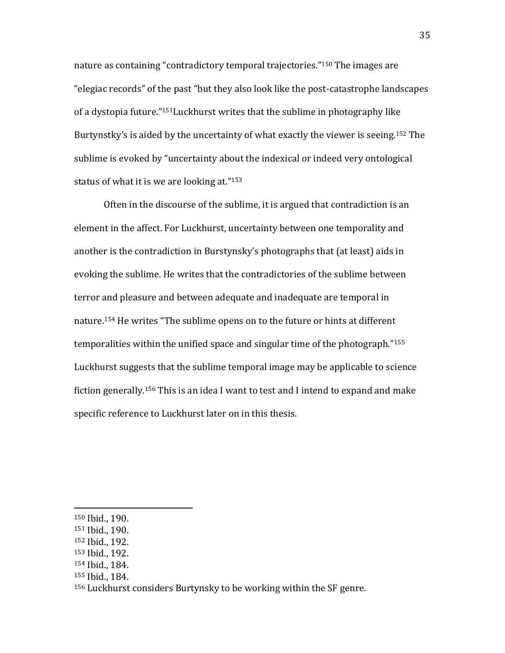nature as containing "contradictory temporal trajectories."<sup>150</sup> The images are "elegiac records" of the past "but they also look like the post-catastrophe landscapes of a dystopia future."151Luckhurst writes that the sublime in photography like Burtynstky's is aided by the uncertainty of what exactly the viewer is seeing.<sup>152</sup> The sublime is evoked by "uncertainty about the indexical or indeed very ontological status of what it is we are looking at."<sup>153</sup>

Often in the discourse of the sublime, it is argued that contradiction is an element in the affect. For Luckhurst, uncertainty between one temporality and another is the contradiction in Burstynsky's photographs that (at least) aids in evoking the sublime. He writes that the contradictories of the sublime between terror and pleasure and between adequate and inadequate are temporal in nature.<sup>154</sup> He writes "The sublime opens on to the future or hints at different temporalities within the unified space and singular time of the photograph."<sup>155</sup> Luckhurst suggests that the sublime temporal image may be applicable to science fiction generally.<sup>156</sup> This is an idea I want to test and I intend to expand and make specific reference to Luckhurst later on in this thesis.

<sup>150</sup> Ibid., 190.

<sup>151</sup> Ibid., 190.

<sup>152</sup> Ibid., 192.

<sup>153</sup> Ibid., 192.

<sup>154</sup> Ibid., 184.

<sup>155</sup> Ibid., 184.

<sup>156</sup> Luckhurst considers Burtynsky to be working within the SF genre.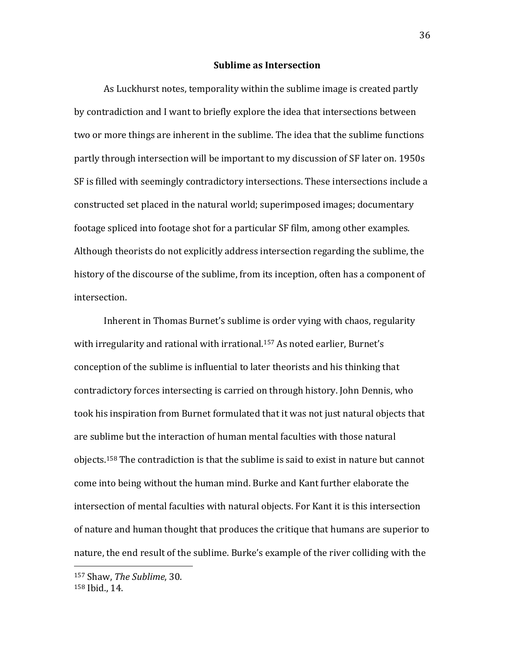#### **Sublime as Intersection**

As Luckhurst notes, temporality within the sublime image is created partly by contradiction and I want to briefly explore the idea that intersections between two or more things are inherent in the sublime. The idea that the sublime functions partly through intersection will be important to my discussion of SF later on. 1950s SF is filled with seemingly contradictory intersections. These intersections include a constructed set placed in the natural world; superimposed images; documentary footage spliced into footage shot for a particular SF film, among other examples. Although theorists do not explicitly address intersection regarding the sublime, the history of the discourse of the sublime, from its inception, often has a component of intersection.

Inherent in Thomas Burnet's sublime is order vying with chaos, regularity with irregularity and rational with irrational.<sup>157</sup> As noted earlier, Burnet's conception of the sublime is influential to later theorists and his thinking that contradictory forces intersecting is carried on through history. John Dennis, who took his inspiration from Burnet formulated that it was not just natural objects that are sublime but the interaction of human mental faculties with those natural objects.<sup>158</sup> The contradiction is that the sublime is said to exist in nature but cannot come into being without the human mind. Burke and Kant further elaborate the intersection of mental faculties with natural objects. For Kant it is this intersection of nature and human thought that produces the critique that humans are superior to nature, the end result of the sublime. Burke's example of the river colliding with the

<sup>157</sup> Shaw, *The Sublime*, 30. <sup>158</sup> Ibid., 14.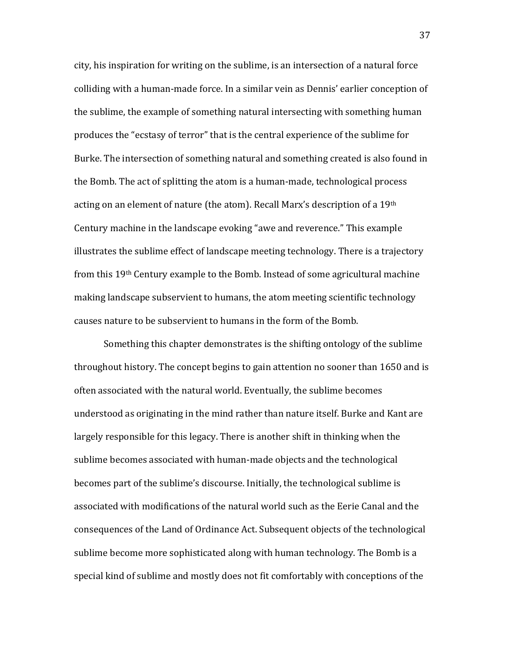city, his inspiration for writing on the sublime, is an intersection of a natural force colliding with a human-made force. In a similar vein as Dennis' earlier conception of the sublime, the example of something natural intersecting with something human produces the "ecstasy of terror" that is the central experience of the sublime for Burke. The intersection of something natural and something created is also found in the Bomb. The act of splitting the atom is a human-made, technological process acting on an element of nature (the atom). Recall Marx's description of a 19th Century machine in the landscape evoking "awe and reverence." This example illustrates the sublime effect of landscape meeting technology. There is a trajectory from this 19th Century example to the Bomb. Instead of some agricultural machine making landscape subservient to humans, the atom meeting scientific technology causes nature to be subservient to humans in the form of the Bomb.

Something this chapter demonstrates is the shifting ontology of the sublime throughout history. The concept begins to gain attention no sooner than 1650 and is often associated with the natural world. Eventually, the sublime becomes understood as originating in the mind rather than nature itself. Burke and Kant are largely responsible for this legacy. There is another shift in thinking when the sublime becomes associated with human-made objects and the technological becomes part of the sublime's discourse. Initially, the technological sublime is associated with modifications of the natural world such as the Eerie Canal and the consequences of the Land of Ordinance Act. Subsequent objects of the technological sublime become more sophisticated along with human technology. The Bomb is a special kind of sublime and mostly does not fit comfortably with conceptions of the

37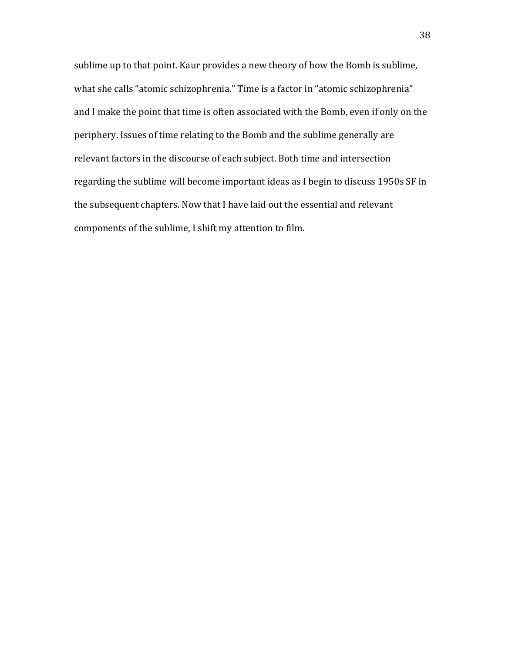sublime up to that point. Kaur provides a new theory of how the Bomb is sublime, what she calls "atomic schizophrenia." Time is a factor in "atomic schizophrenia" and I make the point that time is often associated with the Bomb, even if only on the periphery. Issues of time relating to the Bomb and the sublime generally are relevant factors in the discourse of each subject. Both time and intersection regarding the sublime will become important ideas as I begin to discuss 1950s SF in the subsequent chapters. Now that I have laid out the essential and relevant components of the sublime, I shift my attention to film.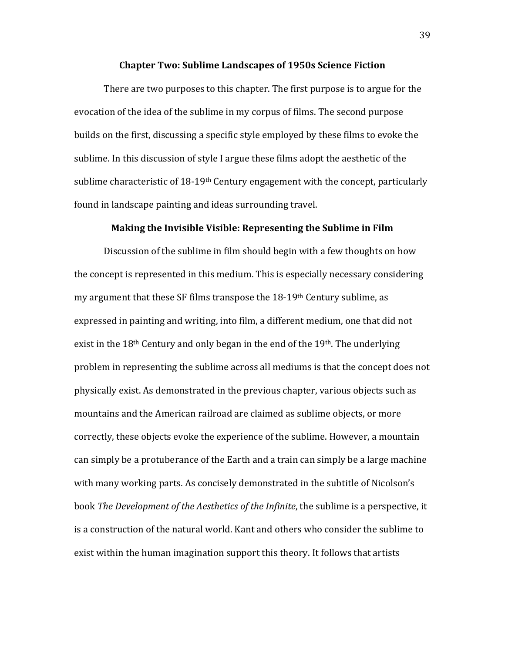#### **Chapter Two: Sublime Landscapes of 1950s Science Fiction**

There are two purposes to this chapter. The first purpose is to argue for the evocation of the idea of the sublime in my corpus of films. The second purpose builds on the first, discussing a specific style employed by these films to evoke the sublime. In this discussion of style I argue these films adopt the aesthetic of the sublime characteristic of  $18-19$ <sup>th</sup> Century engagement with the concept, particularly found in landscape painting and ideas surrounding travel.

# **Making the Invisible Visible: Representing the Sublime in Film**

Discussion of the sublime in film should begin with a few thoughts on how the concept is represented in this medium. This is especially necessary considering my argument that these SF films transpose the 18-19th Century sublime, as expressed in painting and writing, into film, a different medium, one that did not exist in the 18<sup>th</sup> Century and only began in the end of the 19<sup>th</sup>. The underlying problem in representing the sublime across all mediums is that the concept does not physically exist. As demonstrated in the previous chapter, various objects such as mountains and the American railroad are claimed as sublime objects, or more correctly, these objects evoke the experience of the sublime. However, a mountain can simply be a protuberance of the Earth and a train can simply be a large machine with many working parts. As concisely demonstrated in the subtitle of Nicolson's book *The Development of the Aesthetics of the Infinite*, the sublime is a perspective, it is a construction of the natural world. Kant and others who consider the sublime to exist within the human imagination support this theory. It follows that artists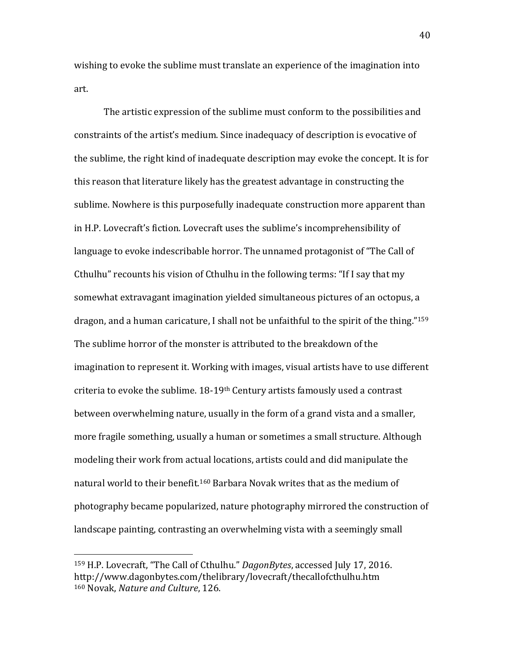wishing to evoke the sublime must translate an experience of the imagination into art.

The artistic expression of the sublime must conform to the possibilities and constraints of the artist's medium. Since inadequacy of description is evocative of the sublime, the right kind of inadequate description may evoke the concept. It is for this reason that literature likely has the greatest advantage in constructing the sublime. Nowhere is this purposefully inadequate construction more apparent than in H.P. Lovecraft's fiction. Lovecraft uses the sublime's incomprehensibility of language to evoke indescribable horror. The unnamed protagonist of "The Call of Cthulhu" recounts his vision of Cthulhu in the following terms: "If I say that my somewhat extravagant imagination yielded simultaneous pictures of an octopus, a dragon, and a human caricature, I shall not be unfaithful to the spirit of the thing."<sup>159</sup> The sublime horror of the monster is attributed to the breakdown of the imagination to represent it. Working with images, visual artists have to use different criteria to evoke the sublime. 18-19th Century artists famously used a contrast between overwhelming nature, usually in the form of a grand vista and a smaller, more fragile something, usually a human or sometimes a small structure. Although modeling their work from actual locations, artists could and did manipulate the natural world to their benefit.<sup>160</sup> Barbara Novak writes that as the medium of photography became popularized, nature photography mirrored the construction of landscape painting, contrasting an overwhelming vista with a seemingly small

 $\overline{a}$ 

40

<sup>159</sup> H.P. Lovecraft, "The Call of Cthulhu." *DagonBytes*, accessed July 17, 2016. http://www.dagonbytes.com/thelibrary/lovecraft/thecallofcthulhu.htm <sup>160</sup> Novak, *Nature and Culture*, 126.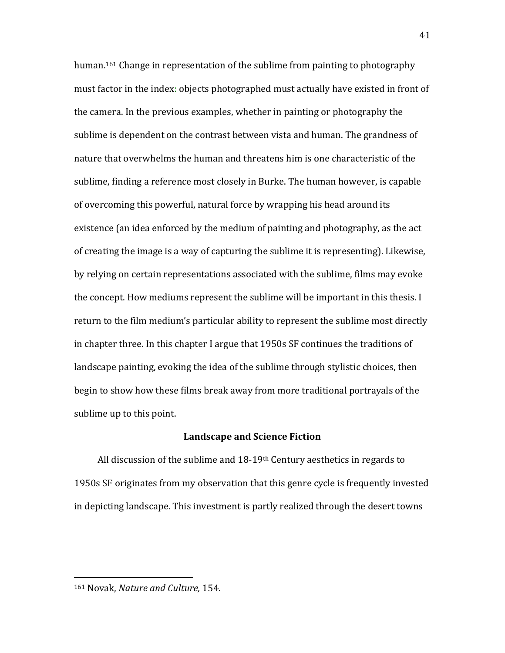human.<sup>161</sup> Change in representation of the sublime from painting to photography must factor in the index: objects photographed must actually have existed in front of the camera. In the previous examples, whether in painting or photography the sublime is dependent on the contrast between vista and human. The grandness of nature that overwhelms the human and threatens him is one characteristic of the sublime, finding a reference most closely in Burke. The human however, is capable of overcoming this powerful, natural force by wrapping his head around its existence (an idea enforced by the medium of painting and photography, as the act of creating the image is a way of capturing the sublime it is representing). Likewise, by relying on certain representations associated with the sublime, films may evoke the concept. How mediums represent the sublime will be important in this thesis. I return to the film medium's particular ability to represent the sublime most directly in chapter three. In this chapter I argue that 1950s SF continues the traditions of landscape painting, evoking the idea of the sublime through stylistic choices, then begin to show how these films break away from more traditional portrayals of the sublime up to this point.

## **Landscape and Science Fiction**

All discussion of the sublime and  $18-19$ <sup>th</sup> Century aesthetics in regards to 1950s SF originates from my observation that this genre cycle is frequently invested in depicting landscape. This investment is partly realized through the desert towns

<sup>161</sup> Novak, *Nature and Culture,* 154.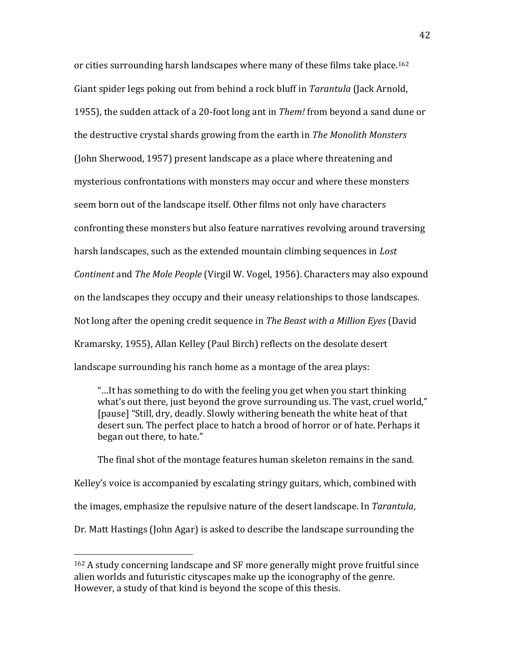or cities surrounding harsh landscapes where many of these films take place.<sup>162</sup> Giant spider legs poking out from behind a rock bluff in *Tarantula* (Jack Arnold, 1955), the sudden attack of a 20-foot long ant in *Them!* from beyond a sand dune or the destructive crystal shards growing from the earth in *The Monolith Monsters*  (John Sherwood, 1957) present landscape as a place where threatening and mysterious confrontations with monsters may occur and where these monsters seem born out of the landscape itself. Other films not only have characters confronting these monsters but also feature narratives revolving around traversing harsh landscapes, such as the extended mountain climbing sequences in *Lost Continent* and *The Mole People* (Virgil W. Vogel, 1956). Characters may also expound on the landscapes they occupy and their uneasy relationships to those landscapes. Not long after the opening credit sequence in *The Beast with a Million Eyes* (David Kramarsky, 1955), Allan Kelley (Paul Birch) reflects on the desolate desert landscape surrounding his ranch home as a montage of the area plays:

"…It has something to do with the feeling you get when you start thinking what's out there, just beyond the grove surrounding us. The vast, cruel world," [pause] "Still, dry, deadly. Slowly withering beneath the white heat of that desert sun. The perfect place to hatch a brood of horror or of hate. Perhaps it began out there, to hate."

The final shot of the montage features human skeleton remains in the sand. Kelley's voice is accompanied by escalating stringy guitars, which, combined with the images, emphasize the repulsive nature of the desert landscape. In *Tarantula*, Dr. Matt Hastings (John Agar) is asked to describe the landscape surrounding the

<sup>162</sup> A study concerning landscape and SF more generally might prove fruitful since alien worlds and futuristic cityscapes make up the iconography of the genre. However, a study of that kind is beyond the scope of this thesis.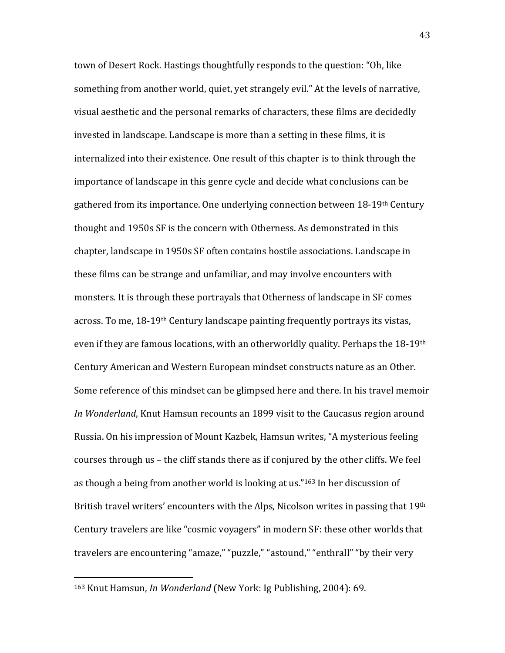town of Desert Rock. Hastings thoughtfully responds to the question: "Oh, like something from another world, quiet, yet strangely evil." At the levels of narrative, visual aesthetic and the personal remarks of characters, these films are decidedly invested in landscape. Landscape is more than a setting in these films, it is internalized into their existence. One result of this chapter is to think through the importance of landscape in this genre cycle and decide what conclusions can be gathered from its importance. One underlying connection between 18-19th Century thought and 1950s SF is the concern with Otherness. As demonstrated in this chapter, landscape in 1950s SF often contains hostile associations. Landscape in these films can be strange and unfamiliar, and may involve encounters with monsters. It is through these portrayals that Otherness of landscape in SF comes across. To me, 18-19th Century landscape painting frequently portrays its vistas, even if they are famous locations, with an otherworldly quality. Perhaps the 18-19th Century American and Western European mindset constructs nature as an Other. Some reference of this mindset can be glimpsed here and there. In his travel memoir *In Wonderland*, Knut Hamsun recounts an 1899 visit to the Caucasus region around Russia. On his impression of Mount Kazbek, Hamsun writes, "A mysterious feeling courses through us – the cliff stands there as if conjured by the other cliffs. We feel as though a being from another world is looking at us." <sup>163</sup> In her discussion of British travel writers' encounters with the Alps, Nicolson writes in passing that 19<sup>th</sup> Century travelers are like "cosmic voyagers" in modern SF: these other worlds that travelers are encountering "amaze," "puzzle," "astound," "enthrall" "by their very

<sup>163</sup> Knut Hamsun, *In Wonderland* (New York: Ig Publishing, 2004): 69.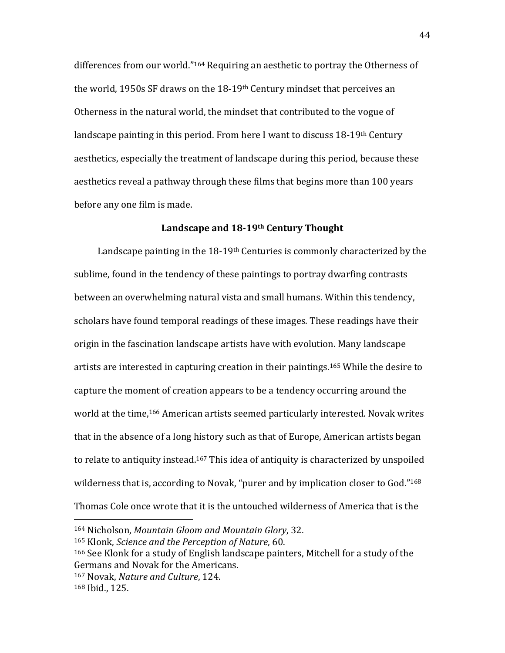differences from our world." <sup>164</sup> Requiring an aesthetic to portray the Otherness of the world, 1950s SF draws on the 18-19th Century mindset that perceives an Otherness in the natural world, the mindset that contributed to the vogue of landscape painting in this period. From here I want to discuss  $18-19<sup>th</sup>$  Century aesthetics, especially the treatment of landscape during this period, because these aesthetics reveal a pathway through these films that begins more than 100 years before any one film is made.

# **Landscape and 18-19th Century Thought**

Landscape painting in the  $18-19$ <sup>th</sup> Centuries is commonly characterized by the sublime, found in the tendency of these paintings to portray dwarfing contrasts between an overwhelming natural vista and small humans. Within this tendency, scholars have found temporal readings of these images. These readings have their origin in the fascination landscape artists have with evolution. Many landscape artists are interested in capturing creation in their paintings. <sup>165</sup> While the desire to capture the moment of creation appears to be a tendency occurring around the world at the time, <sup>166</sup> American artists seemed particularly interested. Novak writes that in the absence of a long history such as that of Europe, American artists began to relate to antiquity instead.<sup>167</sup> This idea of antiquity is characterized by unspoiled wilderness that is, according to Novak, "purer and by implication closer to God."<sup>168</sup> Thomas Cole once wrote that it is the untouched wilderness of America that is the

<sup>164</sup> Nicholson, *Mountain Gloom and Mountain Glory*, 32.

<sup>165</sup> Klonk, *Science and the Perception of Nature*, 60.

<sup>166</sup> See Klonk for a study of English landscape painters, Mitchell for a study of the Germans and Novak for the Americans. <sup>167</sup> Novak, *Nature and Culture*, 124.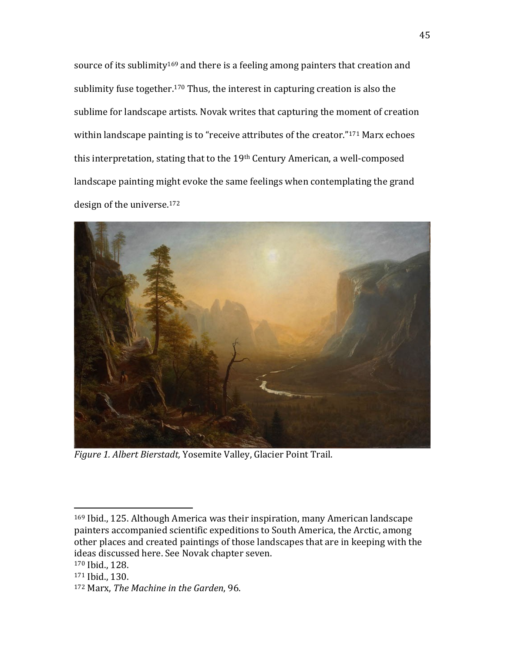source of its sublimity<sup>169</sup> and there is a feeling among painters that creation and sublimity fuse together.<sup>170</sup> Thus, the interest in capturing creation is also the sublime for landscape artists. Novak writes that capturing the moment of creation within landscape painting is to "receive attributes of the creator."<sup>171</sup> Marx echoes this interpretation, stating that to the 19th Century American, a well-composed landscape painting might evoke the same feelings when contemplating the grand design of the universe.<sup>172</sup>



*Figure 1. Albert Bierstadt,* Yosemite Valley, Glacier Point Trail.

<sup>169</sup> Ibid., 125. Although America was their inspiration, many American landscape painters accompanied scientific expeditions to South America, the Arctic, among other places and created paintings of those landscapes that are in keeping with the ideas discussed here. See Novak chapter seven.

<sup>170</sup> Ibid., 128.

<sup>171</sup> Ibid., 130.

<sup>172</sup> Marx, *The Machine in the Garden*, 96.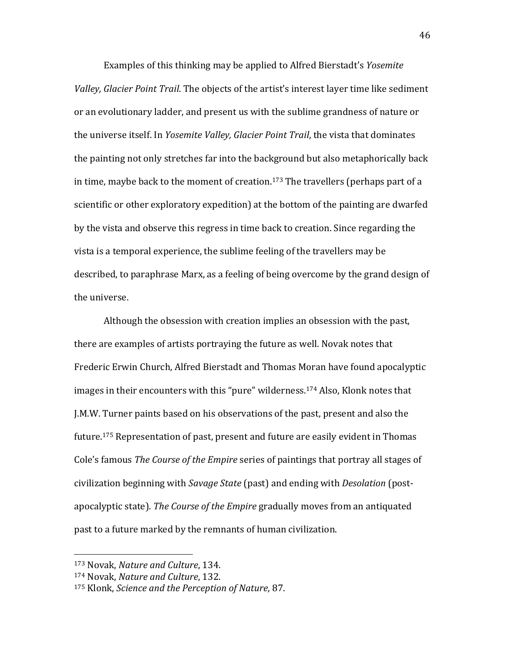Examples of this thinking may be applied to Alfred Bierstadt's *Yosemite Valley, Glacier Point Trail*. The objects of the artist's interest layer time like sediment or an evolutionary ladder, and present us with the sublime grandness of nature or the universe itself. In *Yosemite Valley, Glacier Point Trail*, the vista that dominates the painting not only stretches far into the background but also metaphorically back in time, maybe back to the moment of creation.<sup>173</sup> The travellers (perhaps part of a scientific or other exploratory expedition) at the bottom of the painting are dwarfed by the vista and observe this regress in time back to creation. Since regarding the vista is a temporal experience, the sublime feeling of the travellers may be described, to paraphrase Marx, as a feeling of being overcome by the grand design of the universe.

Although the obsession with creation implies an obsession with the past, there are examples of artists portraying the future as well. Novak notes that Frederic Erwin Church, Alfred Bierstadt and Thomas Moran have found apocalyptic images in their encounters with this "pure" wilderness.<sup>174</sup> Also, Klonk notes that J.M.W. Turner paints based on his observations of the past, present and also the future. <sup>175</sup> Representation of past, present and future are easily evident in Thomas Cole's famous *The Course of the Empire* series of paintings that portray all stages of civilization beginning with *Savage State* (past) and ending with *Desolation* (postapocalyptic state). *The Course of the Empire* gradually moves from an antiquated past to a future marked by the remnants of human civilization.

<sup>173</sup> Novak, *Nature and Culture*, 134.

<sup>174</sup> Novak, *Nature and Culture*, 132.

<sup>175</sup> Klonk, *Science and the Perception of Nature*, 87.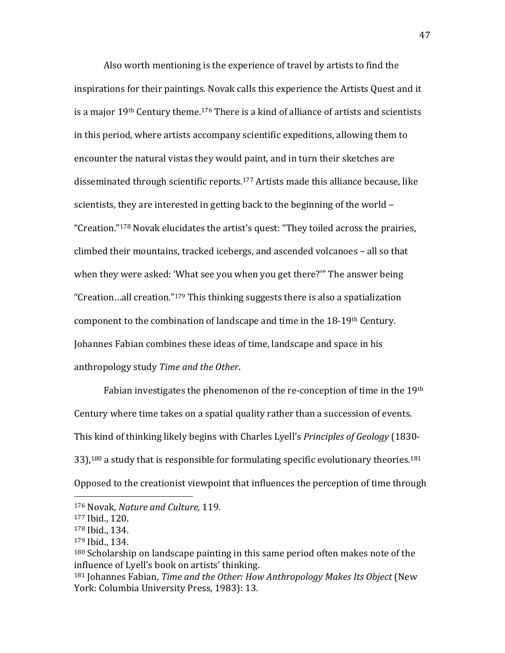Also worth mentioning is the experience of travel by artists to find the inspirations for their paintings. Novak calls this experience the Artists Quest and it is a major  $19<sup>th</sup>$  Century theme.<sup>176</sup> There is a kind of alliance of artists and scientists in this period, where artists accompany scientific expeditions, allowing them to encounter the natural vistas they would paint, and in turn their sketches are disseminated through scientific reports.<sup>177</sup> Artists made this alliance because, like scientists, they are interested in getting back to the beginning of the world – "Creation."<sup>178</sup> Novak elucidates the artist's quest: "They toiled across the prairies, climbed their mountains, tracked icebergs, and ascended volcanoes – all so that when they were asked: 'What see you when you get there?'" The answer being "Creation…all creation."<sup>179</sup> This thinking suggests there is also a spatialization component to the combination of landscape and time in the 18-19th Century. Johannes Fabian combines these ideas of time, landscape and space in his anthropology study *Time and the Other*.

Fabian investigates the phenomenon of the re-conception of time in the 19th Century where time takes on a spatial quality rather than a succession of events. This kind of thinking likely begins with Charles Lyell's *Principles of Geology* (1830-  $33$ ),<sup>180</sup> a study that is responsible for formulating specific evolutionary theories.<sup>181</sup> Opposed to the creationist viewpoint that influences the perception of time through

l

<sup>176</sup> Novak, *Nature and Culture,* 119.

<sup>177</sup> Ibid., 120.

<sup>178</sup> Ibid., 134.

<sup>179</sup> Ibid., 134.

<sup>&</sup>lt;sup>180</sup> Scholarship on landscape painting in this same period often makes note of the influence of Lyell's book on artists' thinking.

<sup>181</sup> Johannes Fabian, *Time and the Other: How Anthropology Makes Its Object* (New York: Columbia University Press, 1983): 13.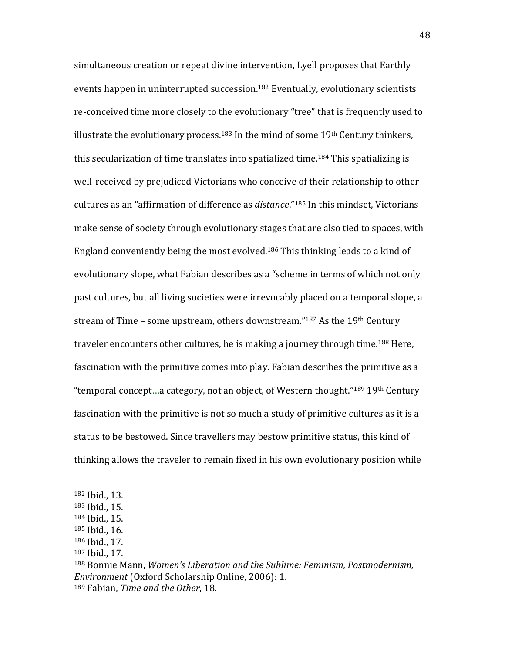simultaneous creation or repeat divine intervention, Lyell proposes that Earthly events happen in uninterrupted succession.<sup>182</sup> Eventually, evolutionary scientists re-conceived time more closely to the evolutionary "tree" that is frequently used to illustrate the evolutionary process.<sup>183</sup> In the mind of some  $19<sup>th</sup>$  Century thinkers, this secularization of time translates into spatialized time.<sup>184</sup> This spatializing is well-received by prejudiced Victorians who conceive of their relationship to other cultures as an "affirmation of difference as *distance*."<sup>185</sup> In this mindset, Victorians make sense of society through evolutionary stages that are also tied to spaces, with England conveniently being the most evolved.<sup>186</sup> This thinking leads to a kind of evolutionary slope, what Fabian describes as a "scheme in terms of which not only past cultures, but all living societies were irrevocably placed on a temporal slope, a stream of Time – some upstream, others downstream." $187$  As the 19<sup>th</sup> Century traveler encounters other cultures, he is making a journey through time.<sup>188</sup> Here, fascination with the primitive comes into play. Fabian describes the primitive as a "temporal concept...a category, not an object, of Western thought."<sup>189</sup> 19<sup>th</sup> Century fascination with the primitive is not so much a study of primitive cultures as it is a status to be bestowed. Since travellers may bestow primitive status, this kind of thinking allows the traveler to remain fixed in his own evolutionary position while

<sup>182</sup> Ibid., 13.

<sup>183</sup> Ibid., 15.

<sup>184</sup> Ibid., 15.

<sup>185</sup> Ibid., 16.

<sup>186</sup> Ibid., 17.

<sup>187</sup> Ibid., 17.

<sup>188</sup> Bonnie Mann, *Women's Liberation and the Sublime: Feminism, Postmodernism, Environment* (Oxford Scholarship Online, 2006): 1. <sup>189</sup> Fabian, *Time and the Other*, 18.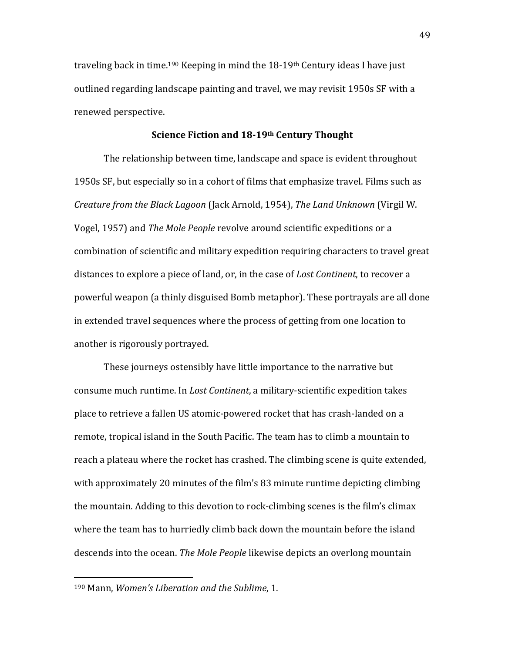traveling back in time.<sup>190</sup> Keeping in mind the 18-19<sup>th</sup> Century ideas I have just outlined regarding landscape painting and travel, we may revisit 1950s SF with a renewed perspective.

#### **Science Fiction and 18-19th Century Thought**

The relationship between time, landscape and space is evident throughout 1950s SF, but especially so in a cohort of films that emphasize travel. Films such as *Creature from the Black Lagoon* (Jack Arnold, 1954), *The Land Unknown* (Virgil W. Vogel, 1957) and *The Mole People* revolve around scientific expeditions or a combination of scientific and military expedition requiring characters to travel great distances to explore a piece of land, or, in the case of *Lost Continent*, to recover a powerful weapon (a thinly disguised Bomb metaphor). These portrayals are all done in extended travel sequences where the process of getting from one location to another is rigorously portrayed.

These journeys ostensibly have little importance to the narrative but consume much runtime. In *Lost Continent*, a military-scientific expedition takes place to retrieve a fallen US atomic-powered rocket that has crash-landed on a remote, tropical island in the South Pacific. The team has to climb a mountain to reach a plateau where the rocket has crashed. The climbing scene is quite extended, with approximately 20 minutes of the film's 83 minute runtime depicting climbing the mountain. Adding to this devotion to rock-climbing scenes is the film's climax where the team has to hurriedly climb back down the mountain before the island descends into the ocean. *The Mole People* likewise depicts an overlong mountain

<sup>190</sup> Mann, *Women's Liberation and the Sublime*, 1.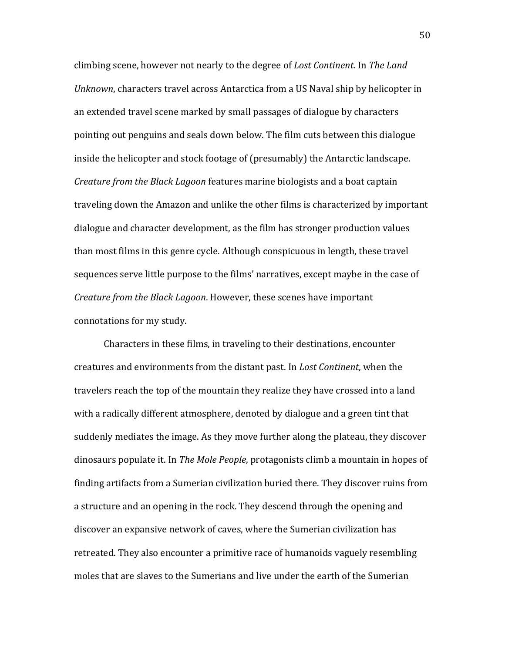climbing scene, however not nearly to the degree of *Lost Continent*. In *The Land Unknown*, characters travel across Antarctica from a US Naval ship by helicopter in an extended travel scene marked by small passages of dialogue by characters pointing out penguins and seals down below. The film cuts between this dialogue inside the helicopter and stock footage of (presumably) the Antarctic landscape. *Creature from the Black Lagoon* features marine biologists and a boat captain traveling down the Amazon and unlike the other films is characterized by important dialogue and character development, as the film has stronger production values than most films in this genre cycle. Although conspicuous in length, these travel sequences serve little purpose to the films' narratives, except maybe in the case of *Creature from the Black Lagoon*. However, these scenes have important connotations for my study.

Characters in these films, in traveling to their destinations, encounter creatures and environments from the distant past. In *Lost Continent*, when the travelers reach the top of the mountain they realize they have crossed into a land with a radically different atmosphere, denoted by dialogue and a green tint that suddenly mediates the image. As they move further along the plateau, they discover dinosaurs populate it. In *The Mole People*, protagonists climb a mountain in hopes of finding artifacts from a Sumerian civilization buried there. They discover ruins from a structure and an opening in the rock. They descend through the opening and discover an expansive network of caves, where the Sumerian civilization has retreated. They also encounter a primitive race of humanoids vaguely resembling moles that are slaves to the Sumerians and live under the earth of the Sumerian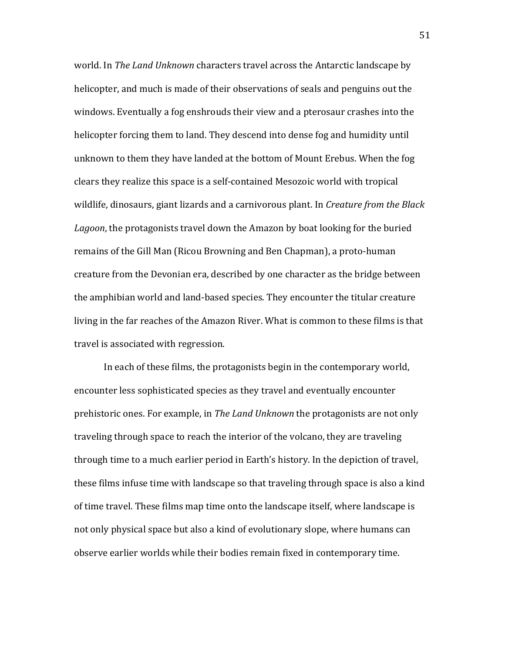world. In *The Land Unknown* characters travel across the Antarctic landscape by helicopter, and much is made of their observations of seals and penguins out the windows. Eventually a fog enshrouds their view and a pterosaur crashes into the helicopter forcing them to land. They descend into dense fog and humidity until unknown to them they have landed at the bottom of Mount Erebus. When the fog clears they realize this space is a self-contained Mesozoic world with tropical wildlife, dinosaurs, giant lizards and a carnivorous plant. In *Creature from the Black Lagoon*, the protagonists travel down the Amazon by boat looking for the buried remains of the Gill Man (Ricou Browning and Ben Chapman), a proto-human creature from the Devonian era, described by one character as the bridge between the amphibian world and land-based species. They encounter the titular creature living in the far reaches of the Amazon River. What is common to these films is that travel is associated with regression.

In each of these films, the protagonists begin in the contemporary world, encounter less sophisticated species as they travel and eventually encounter prehistoric ones. For example, in *The Land Unknown* the protagonists are not only traveling through space to reach the interior of the volcano, they are traveling through time to a much earlier period in Earth's history. In the depiction of travel, these films infuse time with landscape so that traveling through space is also a kind of time travel. These films map time onto the landscape itself, where landscape is not only physical space but also a kind of evolutionary slope, where humans can observe earlier worlds while their bodies remain fixed in contemporary time.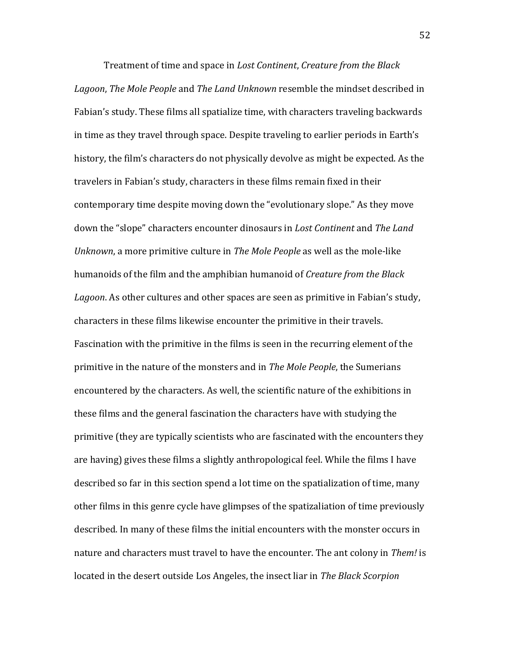Treatment of time and space in *Lost Continent*, *Creature from the Black Lagoon*, *The Mole People* and *The Land Unknown* resemble the mindset described in Fabian's study. These films all spatialize time, with characters traveling backwards in time as they travel through space. Despite traveling to earlier periods in Earth's history, the film's characters do not physically devolve as might be expected. As the travelers in Fabian's study, characters in these films remain fixed in their contemporary time despite moving down the "evolutionary slope." As they move down the "slope" characters encounter dinosaurs in *Lost Continent* and *The Land Unknown*, a more primitive culture in *The Mole People* as well as the mole-like humanoids of the film and the amphibian humanoid of *Creature from the Black Lagoon*. As other cultures and other spaces are seen as primitive in Fabian's study, characters in these films likewise encounter the primitive in their travels. Fascination with the primitive in the films is seen in the recurring element of the primitive in the nature of the monsters and in *The Mole People*, the Sumerians encountered by the characters. As well, the scientific nature of the exhibitions in these films and the general fascination the characters have with studying the primitive (they are typically scientists who are fascinated with the encounters they are having) gives these films a slightly anthropological feel. While the films I have described so far in this section spend a lot time on the spatialization of time, many other films in this genre cycle have glimpses of the spatizaliation of time previously described. In many of these films the initial encounters with the monster occurs in nature and characters must travel to have the encounter. The ant colony in *Them!* is located in the desert outside Los Angeles, the insect liar in *The Black Scorpion*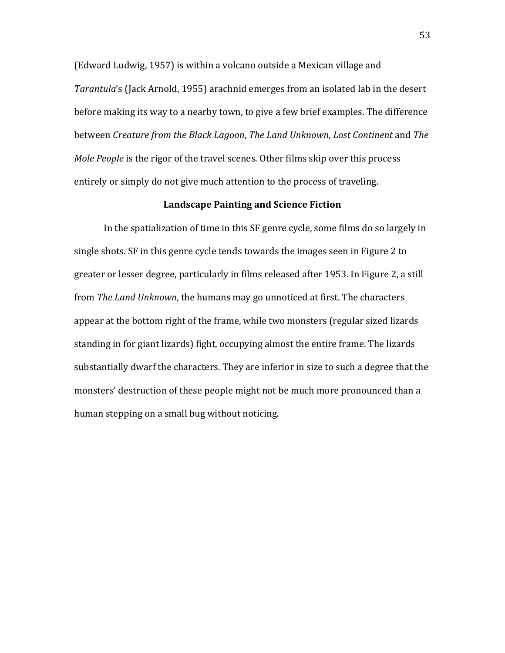(Edward Ludwig, 1957) is within a volcano outside a Mexican village and *Tarantula*'s (Jack Arnold, 1955) arachnid emerges from an isolated lab in the desert before making its way to a nearby town, to give a few brief examples. The difference between *Creature from the Black Lagoon*, *The Land Unknown*, *Lost Continent* and *The Mole People* is the rigor of the travel scenes. Other films skip over this process entirely or simply do not give much attention to the process of traveling.

### **Landscape Painting and Science Fiction**

In the spatialization of time in this SF genre cycle, some films do so largely in single shots. SF in this genre cycle tends towards the images seen in Figure 2 to greater or lesser degree, particularly in films released after 1953. In Figure 2, a still from *The Land Unknown*, the humans may go unnoticed at first. The characters appear at the bottom right of the frame, while two monsters (regular sized lizards standing in for giant lizards) fight, occupying almost the entire frame. The lizards substantially dwarf the characters. They are inferior in size to such a degree that the monsters' destruction of these people might not be much more pronounced than a human stepping on a small bug without noticing.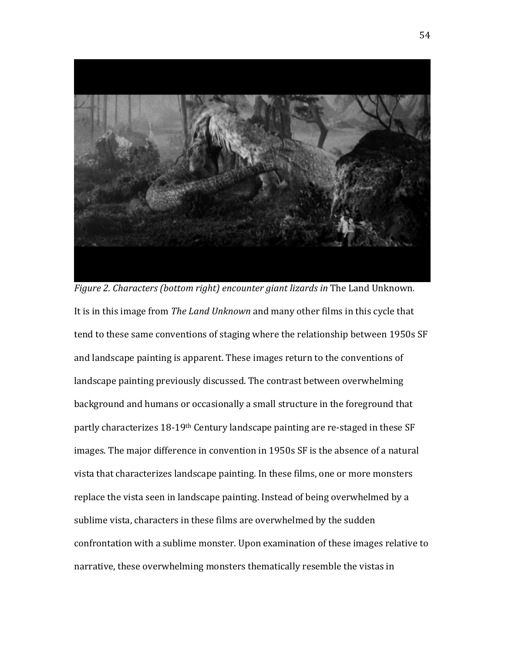

*Figure 2. Characters (bottom right) encounter giant lizards in* The Land Unknown*.* It is in this image from *The Land Unknown* and many other films in this cycle that tend to these same conventions of staging where the relationship between 1950s SF and landscape painting is apparent. These images return to the conventions of landscape painting previously discussed. The contrast between overwhelming background and humans or occasionally a small structure in the foreground that partly characterizes 18-19th Century landscape painting are re-staged in these SF images. The major difference in convention in 1950s SF is the absence of a natural vista that characterizes landscape painting. In these films, one or more monsters replace the vista seen in landscape painting. Instead of being overwhelmed by a sublime vista, characters in these films are overwhelmed by the sudden confrontation with a sublime monster. Upon examination of these images relative to narrative, these overwhelming monsters thematically resemble the vistas in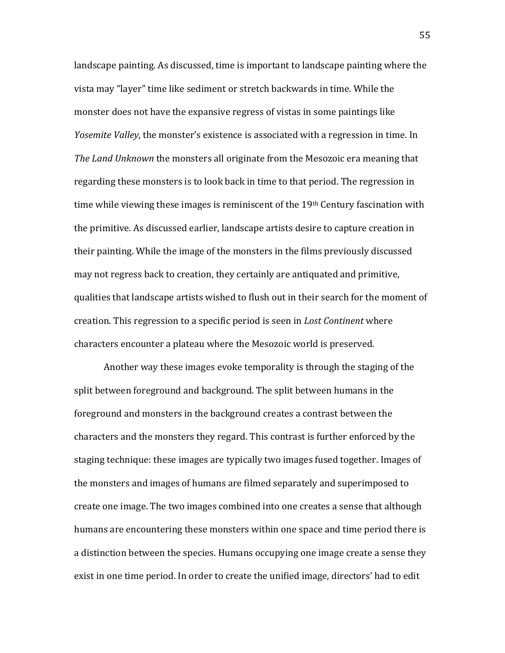landscape painting. As discussed, time is important to landscape painting where the vista may "layer" time like sediment or stretch backwards in time. While the monster does not have the expansive regress of vistas in some paintings like *Yosemite Valley*, the monster's existence is associated with a regression in time. In *The Land Unknown* the monsters all originate from the Mesozoic era meaning that regarding these monsters is to look back in time to that period. The regression in time while viewing these images is reminiscent of the  $19<sup>th</sup>$  Century fascination with the primitive. As discussed earlier, landscape artists desire to capture creation in their painting. While the image of the monsters in the films previously discussed may not regress back to creation, they certainly are antiquated and primitive, qualities that landscape artists wished to flush out in their search for the moment of creation. This regression to a specific period is seen in *Lost Continent* where characters encounter a plateau where the Mesozoic world is preserved.

Another way these images evoke temporality is through the staging of the split between foreground and background. The split between humans in the foreground and monsters in the background creates a contrast between the characters and the monsters they regard. This contrast is further enforced by the staging technique: these images are typically two images fused together. Images of the monsters and images of humans are filmed separately and superimposed to create one image. The two images combined into one creates a sense that although humans are encountering these monsters within one space and time period there is a distinction between the species. Humans occupying one image create a sense they exist in one time period. In order to create the unified image, directors' had to edit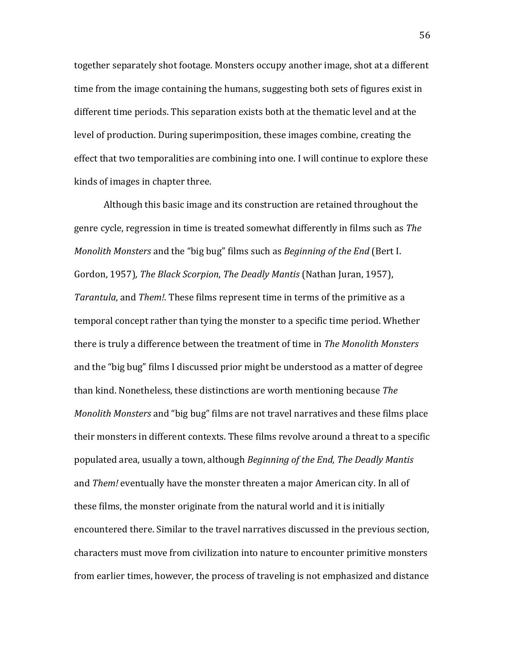together separately shot footage. Monsters occupy another image, shot at a different time from the image containing the humans, suggesting both sets of figures exist in different time periods. This separation exists both at the thematic level and at the level of production. During superimposition, these images combine, creating the effect that two temporalities are combining into one. I will continue to explore these kinds of images in chapter three.

Although this basic image and its construction are retained throughout the genre cycle, regression in time is treated somewhat differently in films such as *The Monolith Monsters* and the "big bug" films such as *Beginning of the End* (Bert I. Gordon, 1957)*, The Black Scorpion*, *The Deadly Mantis* (Nathan Juran, 1957), *Tarantula*, and *Them!*. These films represent time in terms of the primitive as a temporal concept rather than tying the monster to a specific time period. Whether there is truly a difference between the treatment of time in *The Monolith Monsters*  and the "big bug" films I discussed prior might be understood as a matter of degree than kind. Nonetheless, these distinctions are worth mentioning because *The Monolith Monsters* and "big bug" films are not travel narratives and these films place their monsters in different contexts. These films revolve around a threat to a specific populated area, usually a town, although *Beginning of the End, The Deadly Mantis*  and *Them!* eventually have the monster threaten a major American city. In all of these films, the monster originate from the natural world and it is initially encountered there. Similar to the travel narratives discussed in the previous section, characters must move from civilization into nature to encounter primitive monsters from earlier times, however, the process of traveling is not emphasized and distance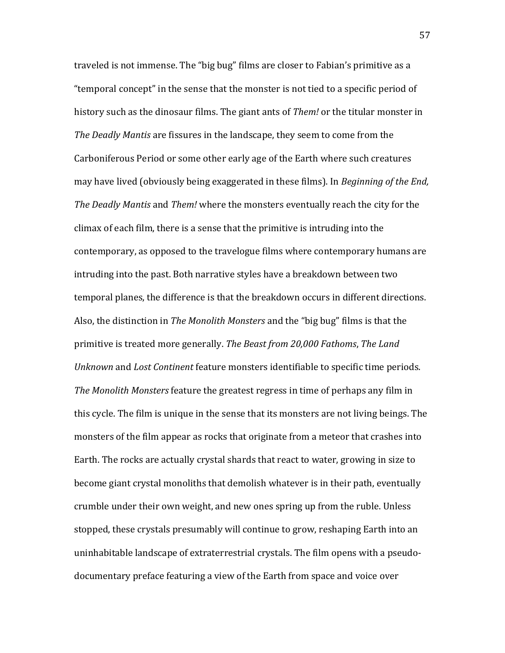traveled is not immense. The "big bug" films are closer to Fabian's primitive as a "temporal concept" in the sense that the monster is not tied to a specific period of history such as the dinosaur films. The giant ants of *Them!* or the titular monster in *The Deadly Mantis* are fissures in the landscape, they seem to come from the Carboniferous Period or some other early age of the Earth where such creatures may have lived (obviously being exaggerated in these films). In *Beginning of the End, The Deadly Mantis* and *Them!* where the monsters eventually reach the city for the climax of each film, there is a sense that the primitive is intruding into the contemporary, as opposed to the travelogue films where contemporary humans are intruding into the past. Both narrative styles have a breakdown between two temporal planes, the difference is that the breakdown occurs in different directions. Also, the distinction in *The Monolith Monsters* and the "big bug" films is that the primitive is treated more generally. *The Beast from 20,000 Fathoms*, *The Land Unknown* and *Lost Continent* feature monsters identifiable to specific time periods. *The Monolith Monsters* feature the greatest regress in time of perhaps any film in this cycle. The film is unique in the sense that its monsters are not living beings. The monsters of the film appear as rocks that originate from a meteor that crashes into Earth. The rocks are actually crystal shards that react to water, growing in size to become giant crystal monoliths that demolish whatever is in their path, eventually crumble under their own weight, and new ones spring up from the ruble. Unless stopped, these crystals presumably will continue to grow, reshaping Earth into an uninhabitable landscape of extraterrestrial crystals. The film opens with a pseudodocumentary preface featuring a view of the Earth from space and voice over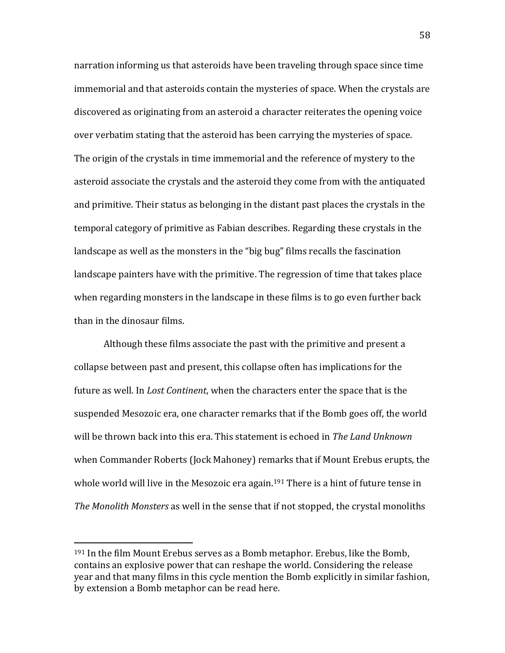narration informing us that asteroids have been traveling through space since time immemorial and that asteroids contain the mysteries of space. When the crystals are discovered as originating from an asteroid a character reiterates the opening voice over verbatim stating that the asteroid has been carrying the mysteries of space. The origin of the crystals in time immemorial and the reference of mystery to the asteroid associate the crystals and the asteroid they come from with the antiquated and primitive. Their status as belonging in the distant past places the crystals in the temporal category of primitive as Fabian describes. Regarding these crystals in the landscape as well as the monsters in the "big bug" films recalls the fascination landscape painters have with the primitive. The regression of time that takes place when regarding monsters in the landscape in these films is to go even further back than in the dinosaur films.

Although these films associate the past with the primitive and present a collapse between past and present, this collapse often has implications for the future as well. In *Lost Continent*, when the characters enter the space that is the suspended Mesozoic era, one character remarks that if the Bomb goes off, the world will be thrown back into this era. This statement is echoed in *The Land Unknown*  when Commander Roberts (Jock Mahoney) remarks that if Mount Erebus erupts, the whole world will live in the Mesozoic era again.<sup>191</sup> There is a hint of future tense in *The Monolith Monsters* as well in the sense that if not stopped, the crystal monoliths

<sup>191</sup> In the film Mount Erebus serves as a Bomb metaphor. Erebus, like the Bomb, contains an explosive power that can reshape the world. Considering the release year and that many films in this cycle mention the Bomb explicitly in similar fashion, by extension a Bomb metaphor can be read here.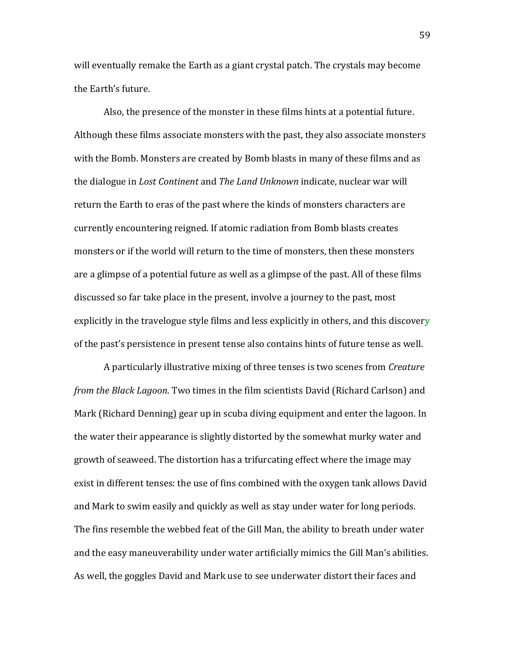will eventually remake the Earth as a giant crystal patch. The crystals may become the Earth's future.

Also, the presence of the monster in these films hints at a potential future. Although these films associate monsters with the past, they also associate monsters with the Bomb. Monsters are created by Bomb blasts in many of these films and as the dialogue in *Lost Continent* and *The Land Unknown* indicate, nuclear war will return the Earth to eras of the past where the kinds of monsters characters are currently encountering reigned. If atomic radiation from Bomb blasts creates monsters or if the world will return to the time of monsters, then these monsters are a glimpse of a potential future as well as a glimpse of the past. All of these films discussed so far take place in the present, involve a journey to the past, most explicitly in the travelogue style films and less explicitly in others, and this discovery of the past's persistence in present tense also contains hints of future tense as well.

A particularly illustrative mixing of three tenses is two scenes from *Creature from the Black Lagoon*. Two times in the film scientists David (Richard Carlson) and Mark (Richard Denning) gear up in scuba diving equipment and enter the lagoon. In the water their appearance is slightly distorted by the somewhat murky water and growth of seaweed. The distortion has a trifurcating effect where the image may exist in different tenses: the use of fins combined with the oxygen tank allows David and Mark to swim easily and quickly as well as stay under water for long periods. The fins resemble the webbed feat of the Gill Man, the ability to breath under water and the easy maneuverability under water artificially mimics the Gill Man's abilities. As well, the goggles David and Mark use to see underwater distort their faces and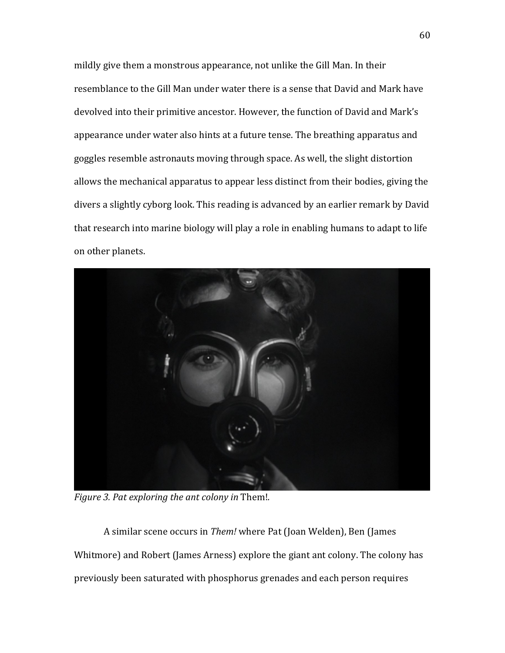mildly give them a monstrous appearance, not unlike the Gill Man. In their resemblance to the Gill Man under water there is a sense that David and Mark have devolved into their primitive ancestor. However, the function of David and Mark's appearance under water also hints at a future tense. The breathing apparatus and goggles resemble astronauts moving through space. As well, the slight distortion allows the mechanical apparatus to appear less distinct from their bodies, giving the divers a slightly cyborg look. This reading is advanced by an earlier remark by David that research into marine biology will play a role in enabling humans to adapt to life on other planets.



*Figure 3. Pat exploring the ant colony in* Them!*.*

A similar scene occurs in *Them!* where Pat (Joan Welden), Ben (James Whitmore) and Robert (James Arness) explore the giant ant colony. The colony has previously been saturated with phosphorus grenades and each person requires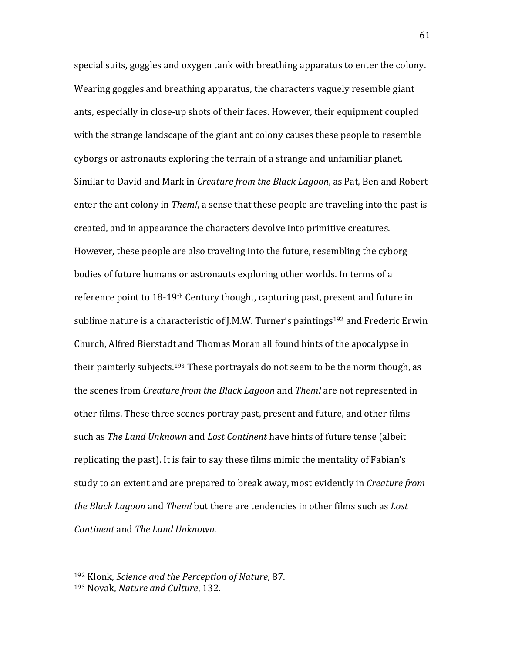special suits, goggles and oxygen tank with breathing apparatus to enter the colony. Wearing goggles and breathing apparatus, the characters vaguely resemble giant ants, especially in close-up shots of their faces. However, their equipment coupled with the strange landscape of the giant ant colony causes these people to resemble cyborgs or astronauts exploring the terrain of a strange and unfamiliar planet. Similar to David and Mark in *Creature from the Black Lagoon*, as Pat, Ben and Robert enter the ant colony in *Them!*, a sense that these people are traveling into the past is created, and in appearance the characters devolve into primitive creatures. However, these people are also traveling into the future, resembling the cyborg bodies of future humans or astronauts exploring other worlds. In terms of a reference point to 18-19th Century thought, capturing past, present and future in sublime nature is a characteristic of J.M.W. Turner's paintings<sup>192</sup> and Frederic Erwin Church, Alfred Bierstadt and Thomas Moran all found hints of the apocalypse in their painterly subjects.<sup>193</sup> These portrayals do not seem to be the norm though, as the scenes from *Creature from the Black Lagoon* and *Them!* are not represented in other films. These three scenes portray past, present and future, and other films such as *The Land Unknown* and *Lost Continent* have hints of future tense (albeit replicating the past). It is fair to say these films mimic the mentality of Fabian's study to an extent and are prepared to break away, most evidently in *Creature from the Black Lagoon* and *Them!* but there are tendencies in other films such as *Lost Continent* and *The Land Unknown*.

<sup>192</sup> Klonk, *Science and the Perception of Nature*, 87.

<sup>193</sup> Novak, *Nature and Culture*, 132.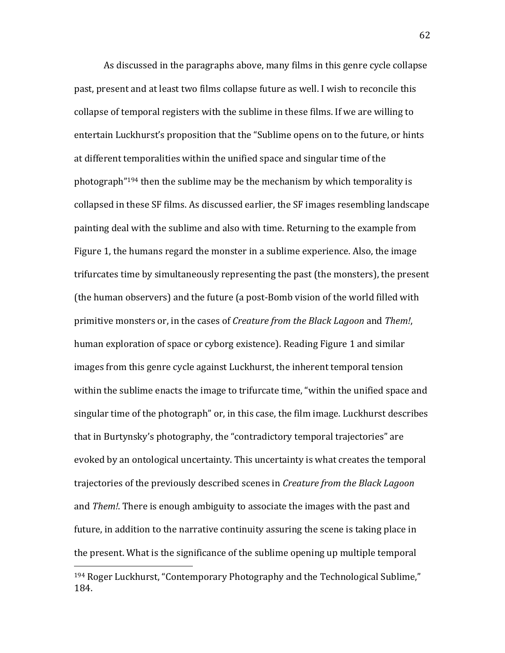As discussed in the paragraphs above, many films in this genre cycle collapse past, present and at least two films collapse future as well. I wish to reconcile this collapse of temporal registers with the sublime in these films. If we are willing to entertain Luckhurst's proposition that the "Sublime opens on to the future, or hints at different temporalities within the unified space and singular time of the photograph"<sup>194</sup> then the sublime may be the mechanism by which temporality is collapsed in these SF films. As discussed earlier, the SF images resembling landscape painting deal with the sublime and also with time. Returning to the example from Figure 1, the humans regard the monster in a sublime experience. Also, the image trifurcates time by simultaneously representing the past (the monsters), the present (the human observers) and the future (a post-Bomb vision of the world filled with primitive monsters or, in the cases of *Creature from the Black Lagoon* and *Them!*, human exploration of space or cyborg existence). Reading Figure 1 and similar images from this genre cycle against Luckhurst, the inherent temporal tension within the sublime enacts the image to trifurcate time, "within the unified space and singular time of the photograph" or, in this case, the film image. Luckhurst describes that in Burtynsky's photography, the "contradictory temporal trajectories" are evoked by an ontological uncertainty. This uncertainty is what creates the temporal trajectories of the previously described scenes in *Creature from the Black Lagoon*  and *Them!*. There is enough ambiguity to associate the images with the past and future, in addition to the narrative continuity assuring the scene is taking place in the present. What is the significance of the sublime opening up multiple temporal

<sup>194</sup> Roger Luckhurst, "Contemporary Photography and the Technological Sublime," 184.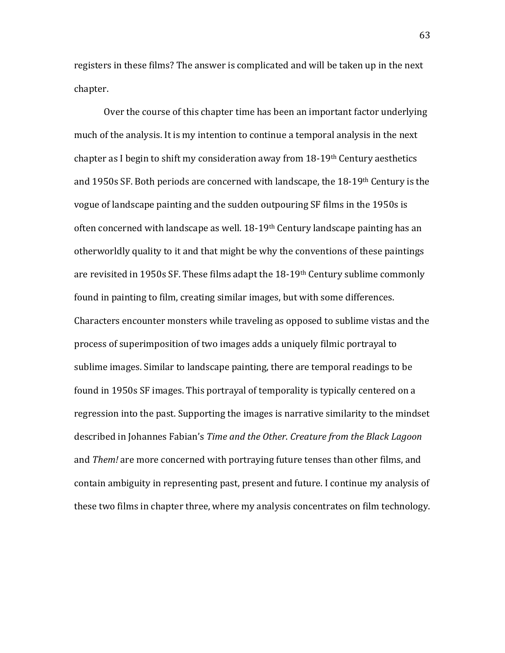registers in these films? The answer is complicated and will be taken up in the next chapter.

Over the course of this chapter time has been an important factor underlying much of the analysis. It is my intention to continue a temporal analysis in the next chapter as I begin to shift my consideration away from 18-19th Century aesthetics and 1950s SF. Both periods are concerned with landscape, the 18-19th Century is the vogue of landscape painting and the sudden outpouring SF films in the 1950s is often concerned with landscape as well. 18-19th Century landscape painting has an otherworldly quality to it and that might be why the conventions of these paintings are revisited in 1950s SF. These films adapt the 18-19th Century sublime commonly found in painting to film, creating similar images, but with some differences. Characters encounter monsters while traveling as opposed to sublime vistas and the process of superimposition of two images adds a uniquely filmic portrayal to sublime images. Similar to landscape painting, there are temporal readings to be found in 1950s SF images. This portrayal of temporality is typically centered on a regression into the past. Supporting the images is narrative similarity to the mindset described in Johannes Fabian's *Time and the Other*. *Creature from the Black Lagoon*  and *Them!* are more concerned with portraying future tenses than other films, and contain ambiguity in representing past, present and future. I continue my analysis of these two films in chapter three, where my analysis concentrates on film technology.

63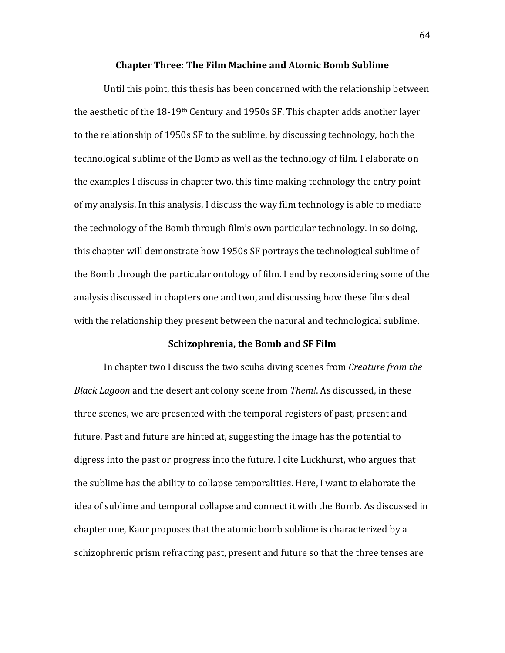#### **Chapter Three: The Film Machine and Atomic Bomb Sublime**

Until this point, this thesis has been concerned with the relationship between the aesthetic of the 18-19th Century and 1950s SF. This chapter adds another layer to the relationship of 1950s SF to the sublime, by discussing technology, both the technological sublime of the Bomb as well as the technology of film. I elaborate on the examples I discuss in chapter two, this time making technology the entry point of my analysis. In this analysis, I discuss the way film technology is able to mediate the technology of the Bomb through film's own particular technology. In so doing, this chapter will demonstrate how 1950s SF portrays the technological sublime of the Bomb through the particular ontology of film. I end by reconsidering some of the analysis discussed in chapters one and two, and discussing how these films deal with the relationship they present between the natural and technological sublime.

## **Schizophrenia, the Bomb and SF Film**

In chapter two I discuss the two scuba diving scenes from *Creature from the Black Lagoon* and the desert ant colony scene from *Them!*. As discussed, in these three scenes, we are presented with the temporal registers of past, present and future. Past and future are hinted at, suggesting the image has the potential to digress into the past or progress into the future. I cite Luckhurst, who argues that the sublime has the ability to collapse temporalities. Here, I want to elaborate the idea of sublime and temporal collapse and connect it with the Bomb. As discussed in chapter one, Kaur proposes that the atomic bomb sublime is characterized by a schizophrenic prism refracting past, present and future so that the three tenses are

64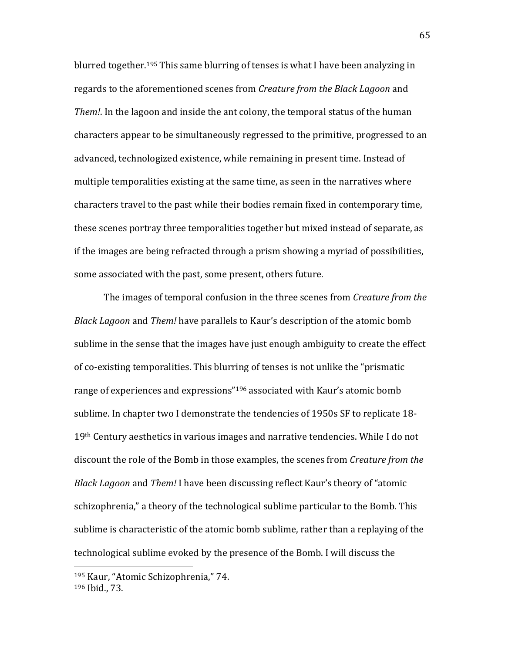blurred together.<sup>195</sup> This same blurring of tenses is what I have been analyzing in regards to the aforementioned scenes from *Creature from the Black Lagoon* and *Them!*. In the lagoon and inside the ant colony, the temporal status of the human characters appear to be simultaneously regressed to the primitive, progressed to an advanced, technologized existence, while remaining in present time. Instead of multiple temporalities existing at the same time, as seen in the narratives where characters travel to the past while their bodies remain fixed in contemporary time, these scenes portray three temporalities together but mixed instead of separate, as if the images are being refracted through a prism showing a myriad of possibilities, some associated with the past, some present, others future.

The images of temporal confusion in the three scenes from *Creature from the Black Lagoon* and *Them!* have parallels to Kaur's description of the atomic bomb sublime in the sense that the images have just enough ambiguity to create the effect of co-existing temporalities. This blurring of tenses is not unlike the "prismatic range of experiences and expressions"<sup>196</sup> associated with Kaur's atomic bomb sublime. In chapter two I demonstrate the tendencies of 1950s SF to replicate 18-  $19<sup>th</sup>$  Century aesthetics in various images and narrative tendencies. While I do not discount the role of the Bomb in those examples, the scenes from *Creature from the Black Lagoon* and *Them!* I have been discussing reflect Kaur's theory of "atomic schizophrenia," a theory of the technological sublime particular to the Bomb. This sublime is characteristic of the atomic bomb sublime, rather than a replaying of the technological sublime evoked by the presence of the Bomb. I will discuss the

<sup>195</sup> Kaur, "Atomic Schizophrenia," 74. <sup>196</sup> Ibid., 73.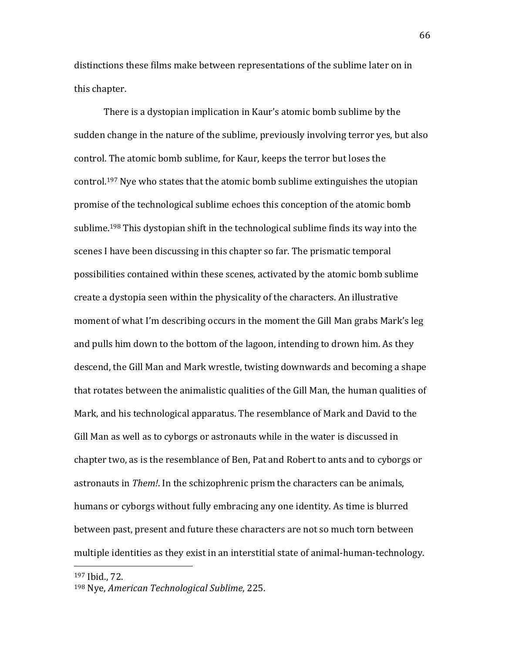distinctions these films make between representations of the sublime later on in this chapter.

There is a dystopian implication in Kaur's atomic bomb sublime by the sudden change in the nature of the sublime, previously involving terror yes, but also control. The atomic bomb sublime, for Kaur, keeps the terror but loses the control.<sup>197</sup> Nye who states that the atomic bomb sublime extinguishes the utopian promise of the technological sublime echoes this conception of the atomic bomb sublime.<sup>198</sup> This dystopian shift in the technological sublime finds its way into the scenes I have been discussing in this chapter so far. The prismatic temporal possibilities contained within these scenes, activated by the atomic bomb sublime create a dystopia seen within the physicality of the characters. An illustrative moment of what I'm describing occurs in the moment the Gill Man grabs Mark's leg and pulls him down to the bottom of the lagoon, intending to drown him. As they descend, the Gill Man and Mark wrestle, twisting downwards and becoming a shape that rotates between the animalistic qualities of the Gill Man, the human qualities of Mark, and his technological apparatus. The resemblance of Mark and David to the Gill Man as well as to cyborgs or astronauts while in the water is discussed in chapter two, as is the resemblance of Ben, Pat and Robert to ants and to cyborgs or astronauts in *Them!*. In the schizophrenic prism the characters can be animals, humans or cyborgs without fully embracing any one identity. As time is blurred between past, present and future these characters are not so much torn between multiple identities as they exist in an interstitial state of animal-human-technology.

<sup>197</sup> Ibid., 72.

<sup>198</sup> Nye, *American Technological Sublime*, 225.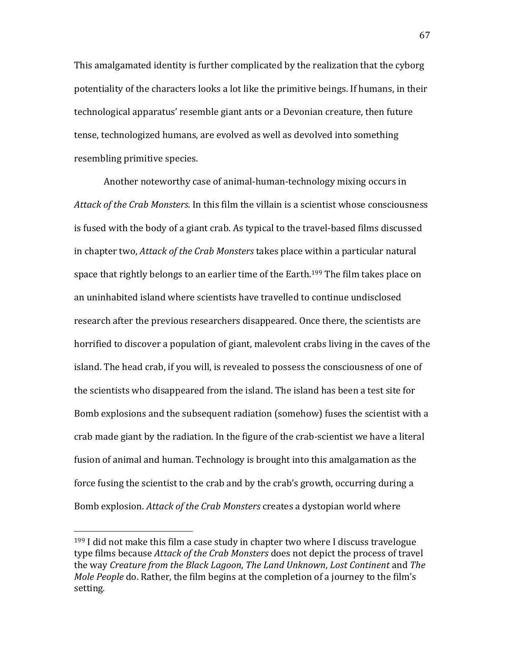This amalgamated identity is further complicated by the realization that the cyborg potentiality of the characters looks a lot like the primitive beings. If humans, in their technological apparatus' resemble giant ants or a Devonian creature, then future tense, technologized humans, are evolved as well as devolved into something resembling primitive species.

Another noteworthy case of animal-human-technology mixing occurs in *Attack of the Crab Monsters*. In this film the villain is a scientist whose consciousness is fused with the body of a giant crab. As typical to the travel-based films discussed in chapter two, *Attack of the Crab Monsters* takes place within a particular natural space that rightly belongs to an earlier time of the Earth.<sup>199</sup> The film takes place on an uninhabited island where scientists have travelled to continue undisclosed research after the previous researchers disappeared. Once there, the scientists are horrified to discover a population of giant, malevolent crabs living in the caves of the island. The head crab, if you will, is revealed to possess the consciousness of one of the scientists who disappeared from the island. The island has been a test site for Bomb explosions and the subsequent radiation (somehow) fuses the scientist with a crab made giant by the radiation. In the figure of the crab-scientist we have a literal fusion of animal and human. Technology is brought into this amalgamation as the force fusing the scientist to the crab and by the crab's growth, occurring during a Bomb explosion. *Attack of the Crab Monsters* creates a dystopian world where

 $199$  I did not make this film a case study in chapter two where I discuss travelogue type films because *Attack of the Crab Monsters* does not depict the process of travel the way *Creature from the Black Lagoon*, *The Land Unknown*, *Lost Continent* and *The Mole People* do. Rather, the film begins at the completion of a journey to the film's setting.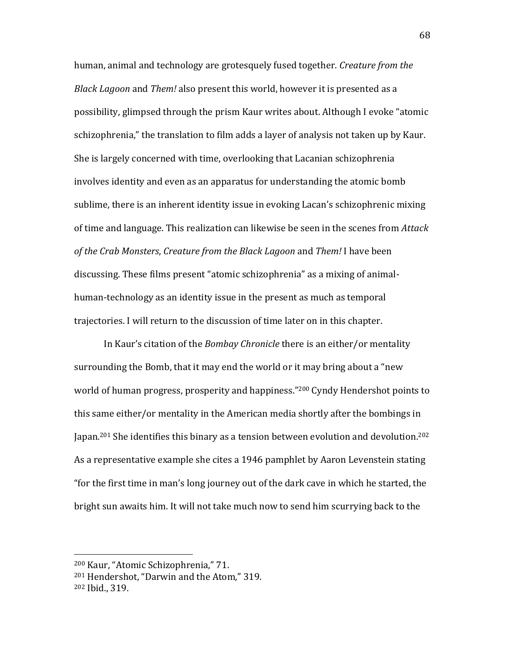human, animal and technology are grotesquely fused together. *Creature from the Black Lagoon* and *Them!* also present this world, however it is presented as a possibility, glimpsed through the prism Kaur writes about. Although I evoke "atomic schizophrenia," the translation to film adds a layer of analysis not taken up by Kaur. She is largely concerned with time, overlooking that Lacanian schizophrenia involves identity and even as an apparatus for understanding the atomic bomb sublime, there is an inherent identity issue in evoking Lacan's schizophrenic mixing of time and language. This realization can likewise be seen in the scenes from *Attack of the Crab Monsters*, *Creature from the Black Lagoon* and *Them!* I have been discussing. These films present "atomic schizophrenia" as a mixing of animalhuman-technology as an identity issue in the present as much as temporal trajectories. I will return to the discussion of time later on in this chapter.

In Kaur's citation of the *Bombay Chronicle* there is an either/or mentality surrounding the Bomb, that it may end the world or it may bring about a "new world of human progress, prosperity and happiness."<sup>200</sup> Cyndy Hendershot points to this same either/or mentality in the American media shortly after the bombings in Japan.<sup>201</sup> She identifies this binary as a tension between evolution and devolution.<sup>202</sup> As a representative example she cites a 1946 pamphlet by Aaron Levenstein stating "for the first time in man's long journey out of the dark cave in which he started, the bright sun awaits him. It will not take much now to send him scurrying back to the

<sup>200</sup> Kaur, "Atomic Schizophrenia," 71.

<sup>201</sup> Hendershot, "Darwin and the Atom," 319.

<sup>202</sup> Ibid., 319.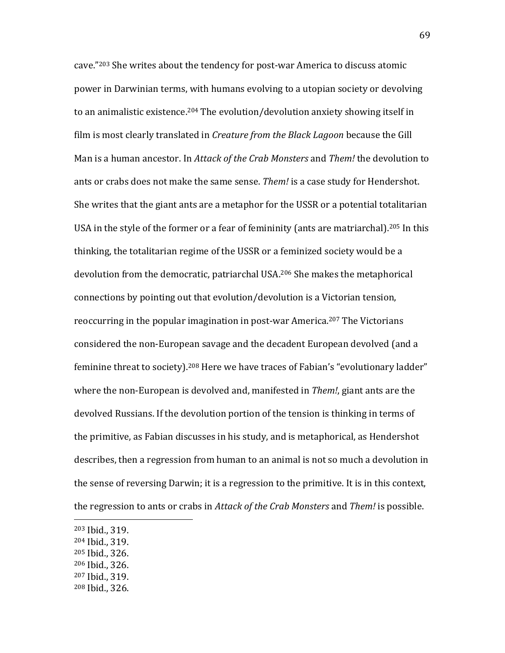cave."<sup>203</sup> She writes about the tendency for post-war America to discuss atomic power in Darwinian terms, with humans evolving to a utopian society or devolving to an animalistic existence.<sup>204</sup> The evolution/devolution anxiety showing itself in film is most clearly translated in *Creature from the Black Lagoon* because the Gill Man is a human ancestor. In *Attack of the Crab Monsters* and *Them!* the devolution to ants or crabs does not make the same sense. *Them!* is a case study for Hendershot. She writes that the giant ants are a metaphor for the USSR or a potential totalitarian USA in the style of the former or a fear of femininity (ants are matriarchal).<sup>205</sup> In this thinking, the totalitarian regime of the USSR or a feminized society would be a devolution from the democratic, patriarchal USA.<sup>206</sup> She makes the metaphorical connections by pointing out that evolution/devolution is a Victorian tension, reoccurring in the popular imagination in post-war America.<sup>207</sup> The Victorians considered the non-European savage and the decadent European devolved (and a feminine threat to society).<sup>208</sup> Here we have traces of Fabian's "evolutionary ladder" where the non-European is devolved and, manifested in *Them!*, giant ants are the devolved Russians. If the devolution portion of the tension is thinking in terms of the primitive, as Fabian discusses in his study, and is metaphorical, as Hendershot describes, then a regression from human to an animal is not so much a devolution in the sense of reversing Darwin; it is a regression to the primitive. It is in this context, the regression to ants or crabs in *Attack of the Crab Monsters* and *Them!* is possible.

 $\overline{a}$ 

- <sup>204</sup> Ibid., 319.
- <sup>205</sup> Ibid., 326.
- <sup>206</sup> Ibid., 326.
- <sup>207</sup> Ibid., 319.
- <sup>208</sup> Ibid., 326.

<sup>203</sup> Ibid., 319.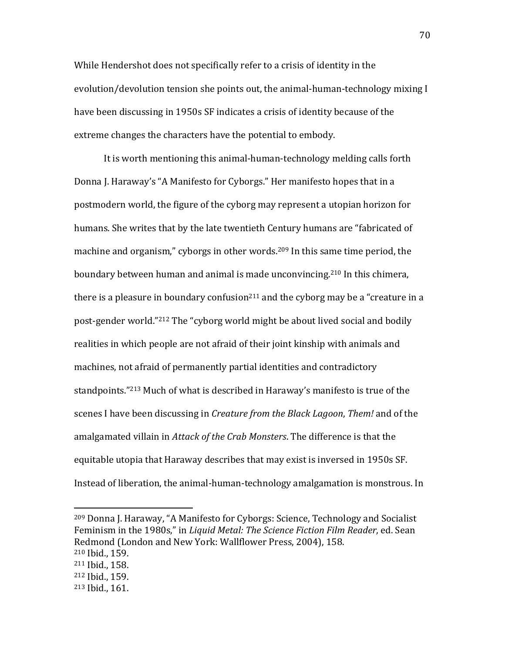While Hendershot does not specifically refer to a crisis of identity in the evolution/devolution tension she points out, the animal-human-technology mixing I have been discussing in 1950s SF indicates a crisis of identity because of the extreme changes the characters have the potential to embody.

It is worth mentioning this animal-human-technology melding calls forth Donna J. Haraway's "A Manifesto for Cyborgs." Her manifesto hopes that in a postmodern world, the figure of the cyborg may represent a utopian horizon for humans. She writes that by the late twentieth Century humans are "fabricated of machine and organism," cyborgs in other words.<sup>209</sup> In this same time period, the boundary between human and animal is made unconvincing.<sup>210</sup> In this chimera, there is a pleasure in boundary confusion<sup>211</sup> and the cyborg may be a "creature in a post-gender world."<sup>212</sup> The "cyborg world might be about lived social and bodily realities in which people are not afraid of their joint kinship with animals and machines, not afraid of permanently partial identities and contradictory standpoints."<sup>213</sup> Much of what is described in Haraway's manifesto is true of the scenes I have been discussing in *Creature from the Black Lagoon*, *Them!* and of the amalgamated villain in *Attack of the Crab Monsters*. The difference is that the equitable utopia that Haraway describes that may exist is inversed in 1950s SF. Instead of liberation, the animal-human-technology amalgamation is monstrous. In

<sup>209</sup> Donna J. Haraway, "A Manifesto for Cyborgs: Science, Technology and Socialist Feminism in the 1980s," in *Liquid Metal: The Science Fiction Film Reader*, ed. Sean Redmond (London and New York: Wallflower Press, 2004), 158.

 $\overline{\phantom{a}}$ 

<sup>212</sup> Ibid., 159.

<sup>210</sup> Ibid., 159.

<sup>211</sup> Ibid., 158.

<sup>213</sup> Ibid., 161.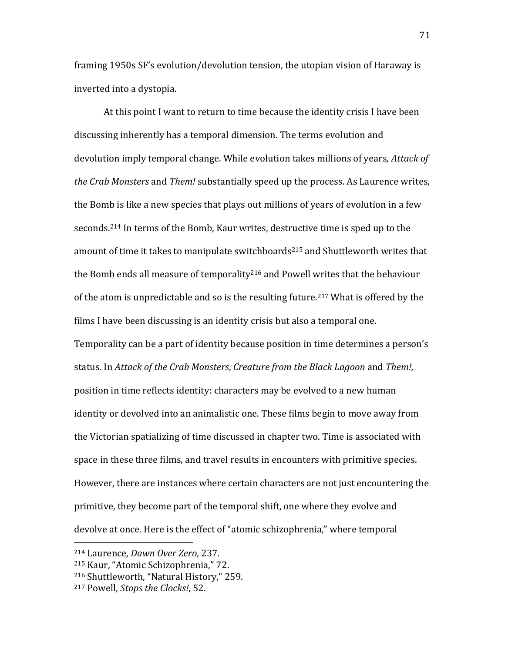framing 1950s SF's evolution/devolution tension, the utopian vision of Haraway is inverted into a dystopia.

At this point I want to return to time because the identity crisis I have been discussing inherently has a temporal dimension. The terms evolution and devolution imply temporal change. While evolution takes millions of years, *Attack of the Crab Monsters* and *Them!* substantially speed up the process. As Laurence writes, the Bomb is like a new species that plays out millions of years of evolution in a few seconds.<sup>214</sup> In terms of the Bomb, Kaur writes, destructive time is sped up to the amount of time it takes to manipulate switchboards<sup>215</sup> and Shuttleworth writes that the Bomb ends all measure of temporality<sup>216</sup> and Powell writes that the behaviour of the atom is unpredictable and so is the resulting future.<sup>217</sup> What is offered by the films I have been discussing is an identity crisis but also a temporal one. Temporality can be a part of identity because position in time determines a person's status. In *Attack of the Crab Monsters*, *Creature from the Black Lagoon* and *Them!,*  position in time reflects identity: characters may be evolved to a new human identity or devolved into an animalistic one. These films begin to move away from the Victorian spatializing of time discussed in chapter two. Time is associated with space in these three films, and travel results in encounters with primitive species. However, there are instances where certain characters are not just encountering the primitive, they become part of the temporal shift, one where they evolve and devolve at once. Here is the effect of "atomic schizophrenia," where temporal

<sup>214</sup> Laurence, *Dawn Over Zero*, 237.

<sup>215</sup> Kaur, "Atomic Schizophrenia," 72.

<sup>216</sup> Shuttleworth, "Natural History," 259.

<sup>217</sup> Powell, *Stops the Clocks!*, 52.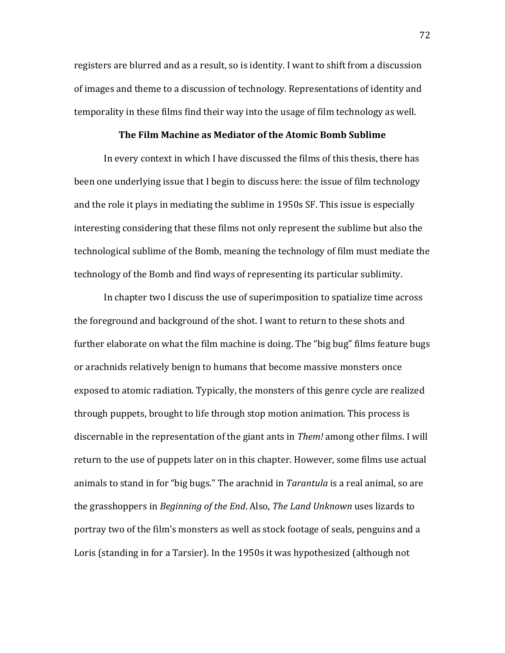registers are blurred and as a result, so is identity. I want to shift from a discussion of images and theme to a discussion of technology. Representations of identity and temporality in these films find their way into the usage of film technology as well.

## **The Film Machine as Mediator of the Atomic Bomb Sublime**

In every context in which I have discussed the films of this thesis, there has been one underlying issue that I begin to discuss here: the issue of film technology and the role it plays in mediating the sublime in 1950s SF. This issue is especially interesting considering that these films not only represent the sublime but also the technological sublime of the Bomb, meaning the technology of film must mediate the technology of the Bomb and find ways of representing its particular sublimity.

In chapter two I discuss the use of superimposition to spatialize time across the foreground and background of the shot. I want to return to these shots and further elaborate on what the film machine is doing. The "big bug" films feature bugs or arachnids relatively benign to humans that become massive monsters once exposed to atomic radiation. Typically, the monsters of this genre cycle are realized through puppets, brought to life through stop motion animation. This process is discernable in the representation of the giant ants in *Them!* among other films. I will return to the use of puppets later on in this chapter. However, some films use actual animals to stand in for "big bugs." The arachnid in *Tarantula* is a real animal, so are the grasshoppers in *Beginning of the End*. Also, *The Land Unknown* uses lizards to portray two of the film's monsters as well as stock footage of seals, penguins and a Loris (standing in for a Tarsier). In the 1950s it was hypothesized (although not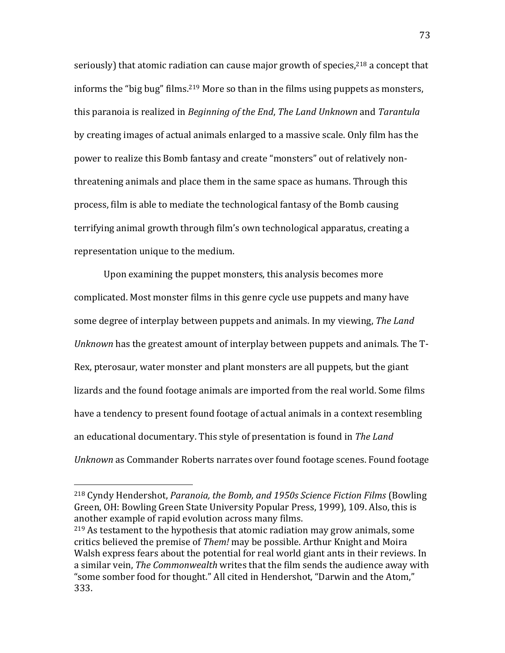seriously) that atomic radiation can cause major growth of species,  $218$  a concept that informs the "big bug" films.<sup>219</sup> More so than in the films using puppets as monsters, this paranoia is realized in *Beginning of the End*, *The Land Unknown* and *Tarantula*  by creating images of actual animals enlarged to a massive scale. Only film has the power to realize this Bomb fantasy and create "monsters" out of relatively nonthreatening animals and place them in the same space as humans. Through this process, film is able to mediate the technological fantasy of the Bomb causing terrifying animal growth through film's own technological apparatus, creating a representation unique to the medium.

Upon examining the puppet monsters, this analysis becomes more complicated. Most monster films in this genre cycle use puppets and many have some degree of interplay between puppets and animals. In my viewing, *The Land Unknown* has the greatest amount of interplay between puppets and animals. The T-Rex, pterosaur, water monster and plant monsters are all puppets, but the giant lizards and the found footage animals are imported from the real world. Some films have a tendency to present found footage of actual animals in a context resembling an educational documentary. This style of presentation is found in *The Land Unknown* as Commander Roberts narrates over found footage scenes. Found footage

<sup>218</sup> Cyndy Hendershot, *Paranoia, the Bomb, and 1950s Science Fiction Films* (Bowling Green, OH: Bowling Green State University Popular Press, 1999), 109. Also, this is another example of rapid evolution across many films.

<sup>&</sup>lt;sup>219</sup> As testament to the hypothesis that atomic radiation may grow animals, some critics believed the premise of *Them!* may be possible. Arthur Knight and Moira Walsh express fears about the potential for real world giant ants in their reviews. In a similar vein, *The Commonwealth* writes that the film sends the audience away with "some somber food for thought." All cited in Hendershot, "Darwin and the Atom," 333.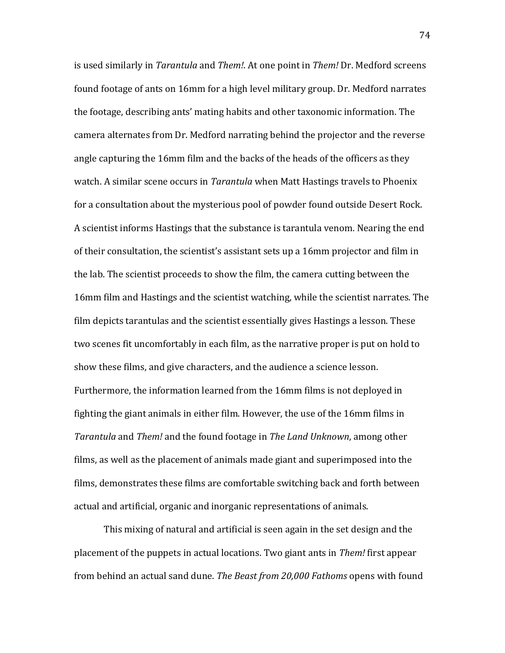is used similarly in *Tarantula* and *Them!*. At one point in *Them!* Dr. Medford screens found footage of ants on 16mm for a high level military group. Dr. Medford narrates the footage, describing ants' mating habits and other taxonomic information. The camera alternates from Dr. Medford narrating behind the projector and the reverse angle capturing the 16mm film and the backs of the heads of the officers as they watch. A similar scene occurs in *Tarantula* when Matt Hastings travels to Phoenix for a consultation about the mysterious pool of powder found outside Desert Rock. A scientist informs Hastings that the substance is tarantula venom. Nearing the end of their consultation, the scientist's assistant sets up a 16mm projector and film in the lab. The scientist proceeds to show the film, the camera cutting between the 16mm film and Hastings and the scientist watching, while the scientist narrates. The film depicts tarantulas and the scientist essentially gives Hastings a lesson. These two scenes fit uncomfortably in each film, as the narrative proper is put on hold to show these films, and give characters, and the audience a science lesson. Furthermore, the information learned from the 16mm films is not deployed in fighting the giant animals in either film. However, the use of the 16mm films in *Tarantula* and *Them!* and the found footage in *The Land Unknown*, among other films, as well as the placement of animals made giant and superimposed into the films, demonstrates these films are comfortable switching back and forth between actual and artificial, organic and inorganic representations of animals.

This mixing of natural and artificial is seen again in the set design and the placement of the puppets in actual locations. Two giant ants in *Them!* first appear from behind an actual sand dune. *The Beast from 20,000 Fathoms* opens with found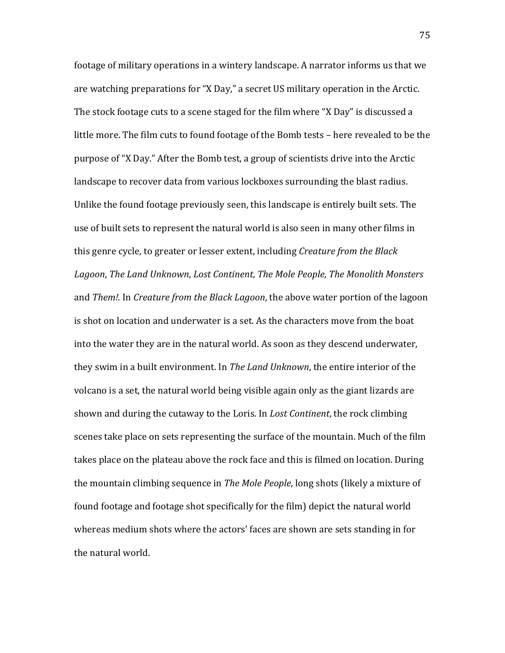footage of military operations in a wintery landscape. A narrator informs us that we are watching preparations for "X Day," a secret US military operation in the Arctic. The stock footage cuts to a scene staged for the film where "X Day" is discussed a little more. The film cuts to found footage of the Bomb tests – here revealed to be the purpose of "X Day." After the Bomb test, a group of scientists drive into the Arctic landscape to recover data from various lockboxes surrounding the blast radius. Unlike the found footage previously seen, this landscape is entirely built sets. The use of built sets to represent the natural world is also seen in many other films in this genre cycle, to greater or lesser extent, including *Creature from the Black Lagoon*, *The Land Unknown*, *Lost Continent*, *The Mole People, The Monolith Monsters*  and *Them!.* In *Creature from the Black Lagoon*, the above water portion of the lagoon is shot on location and underwater is a set. As the characters move from the boat into the water they are in the natural world. As soon as they descend underwater, they swim in a built environment. In *The Land Unknown*, the entire interior of the volcano is a set, the natural world being visible again only as the giant lizards are shown and during the cutaway to the Loris. In *Lost Continent*, the rock climbing scenes take place on sets representing the surface of the mountain. Much of the film takes place on the plateau above the rock face and this is filmed on location. During the mountain climbing sequence in *The Mole People*, long shots (likely a mixture of found footage and footage shot specifically for the film) depict the natural world whereas medium shots where the actors' faces are shown are sets standing in for the natural world.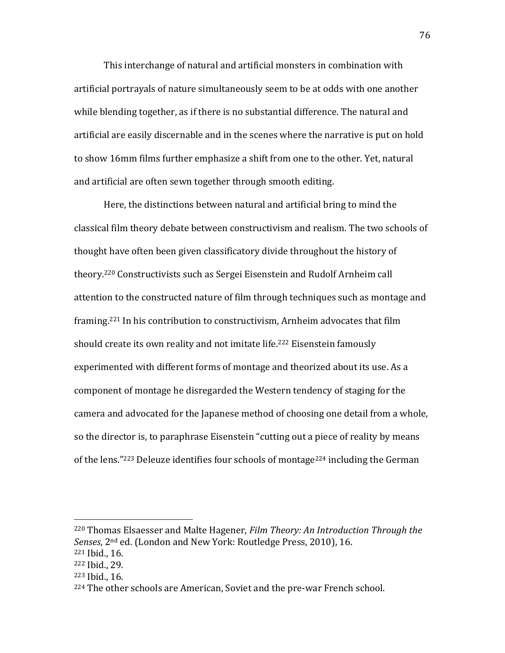This interchange of natural and artificial monsters in combination with artificial portrayals of nature simultaneously seem to be at odds with one another while blending together, as if there is no substantial difference. The natural and artificial are easily discernable and in the scenes where the narrative is put on hold to show 16mm films further emphasize a shift from one to the other. Yet, natural and artificial are often sewn together through smooth editing.

Here, the distinctions between natural and artificial bring to mind the classical film theory debate between constructivism and realism. The two schools of thought have often been given classificatory divide throughout the history of theory.<sup>220</sup> Constructivists such as Sergei Eisenstein and Rudolf Arnheim call attention to the constructed nature of film through techniques such as montage and framing.<sup>221</sup> In his contribution to constructivism, Arnheim advocates that film should create its own reality and not imitate life.<sup>222</sup> Eisenstein famously experimented with different forms of montage and theorized about its use. As a component of montage he disregarded the Western tendency of staging for the camera and advocated for the Japanese method of choosing one detail from a whole, so the director is, to paraphrase Eisenstein "cutting out a piece of reality by means of the lens."<sup>223</sup> Deleuze identifies four schools of montage<sup>224</sup> including the German

<sup>220</sup> Thomas Elsaesser and Malte Hagener, *Film Theory: An Introduction Through the Senses*, 2nd ed. (London and New York: Routledge Press, 2010), 16. <sup>221</sup> Ibid., 16.

<sup>222</sup> Ibid., 29.

<sup>223</sup> Ibid., 16.

<sup>&</sup>lt;sup>224</sup> The other schools are American, Soviet and the pre-war French school.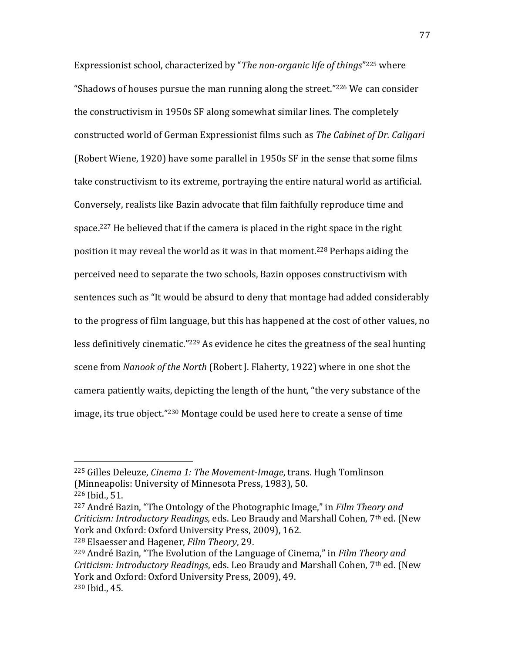Expressionist school, characterized by "*The non-organic life of things*" <sup>225</sup> where "Shadows of houses pursue the man running along the street."<sup>226</sup> We can consider the constructivism in 1950s SF along somewhat similar lines. The completely constructed world of German Expressionist films such as *The Cabinet of Dr. Caligari*  (Robert Wiene, 1920) have some parallel in 1950s SF in the sense that some films take constructivism to its extreme, portraying the entire natural world as artificial. Conversely, realists like Bazin advocate that film faithfully reproduce time and space.<sup>227</sup> He believed that if the camera is placed in the right space in the right position it may reveal the world as it was in that moment.<sup>228</sup> Perhaps aiding the perceived need to separate the two schools, Bazin opposes constructivism with sentences such as "It would be absurd to deny that montage had added considerably to the progress of film language, but this has happened at the cost of other values, no less definitively cinematic."<sup>229</sup> As evidence he cites the greatness of the seal hunting scene from *Nanook of the North* (Robert J. Flaherty, 1922) where in one shot the camera patiently waits, depicting the length of the hunt, "the very substance of the image, its true object."<sup>230</sup> Montage could be used here to create a sense of time

 $\overline{\phantom{a}}$ 

<sup>228</sup> Elsaesser and Hagener, *Film Theory*, 29.

<sup>225</sup> Gilles Deleuze, *Cinema 1: The Movement-Image*, trans. Hugh Tomlinson (Minneapolis: University of Minnesota Press, 1983), 50.

<sup>226</sup> Ibid., 51.

<sup>227</sup> André Bazin, "The Ontology of the Photographic Image," in *Film Theory and Criticism: Introductory Readings,* eds. Leo Braudy and Marshall Cohen, 7th ed. (New York and Oxford: Oxford University Press, 2009), 162.

<sup>229</sup> André Bazin, "The Evolution of the Language of Cinema," in *Film Theory and Criticism: Introductory Readings*, eds. Leo Braudy and Marshall Cohen, 7th ed. (New York and Oxford: Oxford University Press, 2009), 49. <sup>230</sup> Ibid., 45.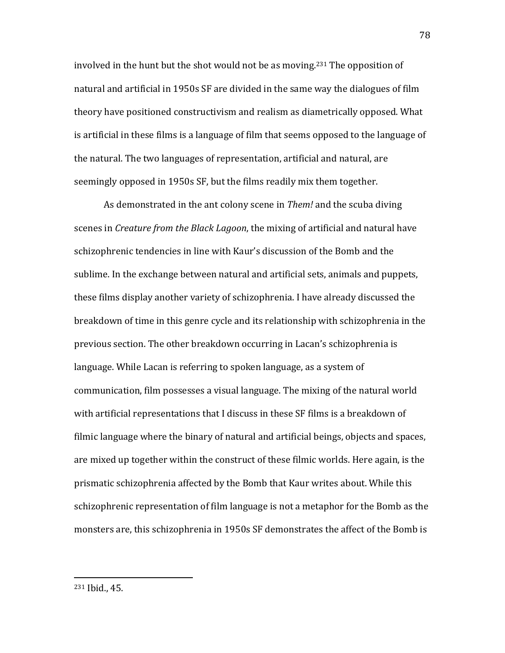involved in the hunt but the shot would not be as moving.<sup>231</sup> The opposition of natural and artificial in 1950s SF are divided in the same way the dialogues of film theory have positioned constructivism and realism as diametrically opposed. What is artificial in these films is a language of film that seems opposed to the language of the natural. The two languages of representation, artificial and natural, are seemingly opposed in 1950s SF, but the films readily mix them together.

As demonstrated in the ant colony scene in *Them!* and the scuba diving scenes in *Creature from the Black Lagoon*, the mixing of artificial and natural have schizophrenic tendencies in line with Kaur's discussion of the Bomb and the sublime. In the exchange between natural and artificial sets, animals and puppets, these films display another variety of schizophrenia. I have already discussed the breakdown of time in this genre cycle and its relationship with schizophrenia in the previous section. The other breakdown occurring in Lacan's schizophrenia is language. While Lacan is referring to spoken language, as a system of communication, film possesses a visual language. The mixing of the natural world with artificial representations that I discuss in these SF films is a breakdown of filmic language where the binary of natural and artificial beings, objects and spaces, are mixed up together within the construct of these filmic worlds. Here again, is the prismatic schizophrenia affected by the Bomb that Kaur writes about. While this schizophrenic representation of film language is not a metaphor for the Bomb as the monsters are, this schizophrenia in 1950s SF demonstrates the affect of the Bomb is

<sup>231</sup> Ibid., 45.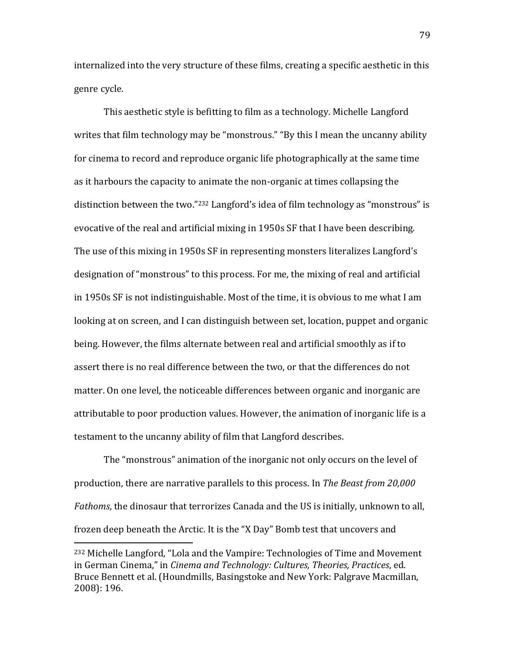internalized into the very structure of these films, creating a specific aesthetic in this genre cycle.

This aesthetic style is befitting to film as a technology. Michelle Langford writes that film technology may be "monstrous." "By this I mean the uncanny ability for cinema to record and reproduce organic life photographically at the same time as it harbours the capacity to animate the non-organic at times collapsing the distinction between the two."<sup>232</sup> Langford's idea of film technology as "monstrous" is evocative of the real and artificial mixing in 1950s SF that I have been describing. The use of this mixing in 1950s SF in representing monsters literalizes Langford's designation of "monstrous" to this process. For me, the mixing of real and artificial in 1950s SF is not indistinguishable. Most of the time, it is obvious to me what I am looking at on screen, and I can distinguish between set, location, puppet and organic being. However, the films alternate between real and artificial smoothly as if to assert there is no real difference between the two, or that the differences do not matter. On one level, the noticeable differences between organic and inorganic are attributable to poor production values. However, the animation of inorganic life is a testament to the uncanny ability of film that Langford describes.

The "monstrous" animation of the inorganic not only occurs on the level of production, there are narrative parallels to this process. In *The Beast from 20,000 Fathoms*, the dinosaur that terrorizes Canada and the US is initially, unknown to all, frozen deep beneath the Arctic. It is the "X Day" Bomb test that uncovers and

<sup>232</sup> Michelle Langford, "Lola and the Vampire: Technologies of Time and Movement in German Cinema," in *Cinema and Technology: Cultures, Theories, Practices*, ed. Bruce Bennett et al. (Houndmills, Basingstoke and New York: Palgrave Macmillan, 2008): 196.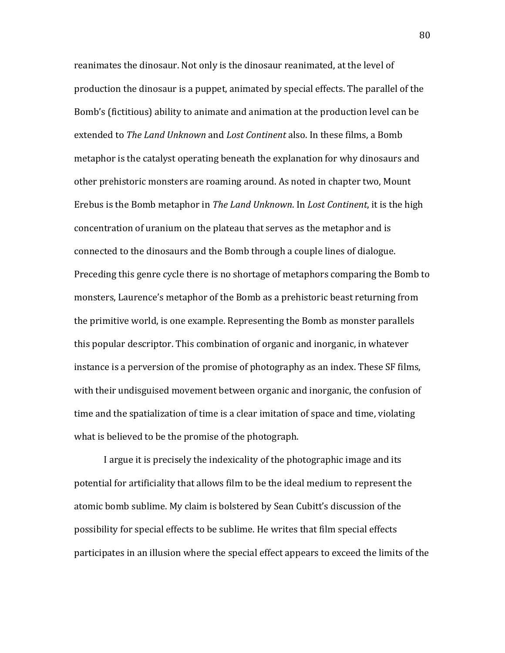reanimates the dinosaur. Not only is the dinosaur reanimated, at the level of production the dinosaur is a puppet, animated by special effects. The parallel of the Bomb's (fictitious) ability to animate and animation at the production level can be extended to *The Land Unknown* and *Lost Continent* also. In these films, a Bomb metaphor is the catalyst operating beneath the explanation for why dinosaurs and other prehistoric monsters are roaming around. As noted in chapter two, Mount Erebus is the Bomb metaphor in *The Land Unknown*. In *Lost Continent*, it is the high concentration of uranium on the plateau that serves as the metaphor and is connected to the dinosaurs and the Bomb through a couple lines of dialogue. Preceding this genre cycle there is no shortage of metaphors comparing the Bomb to monsters, Laurence's metaphor of the Bomb as a prehistoric beast returning from the primitive world, is one example. Representing the Bomb as monster parallels this popular descriptor. This combination of organic and inorganic, in whatever instance is a perversion of the promise of photography as an index. These SF films, with their undisguised movement between organic and inorganic, the confusion of time and the spatialization of time is a clear imitation of space and time, violating what is believed to be the promise of the photograph.

I argue it is precisely the indexicality of the photographic image and its potential for artificiality that allows film to be the ideal medium to represent the atomic bomb sublime. My claim is bolstered by Sean Cubitt's discussion of the possibility for special effects to be sublime. He writes that film special effects participates in an illusion where the special effect appears to exceed the limits of the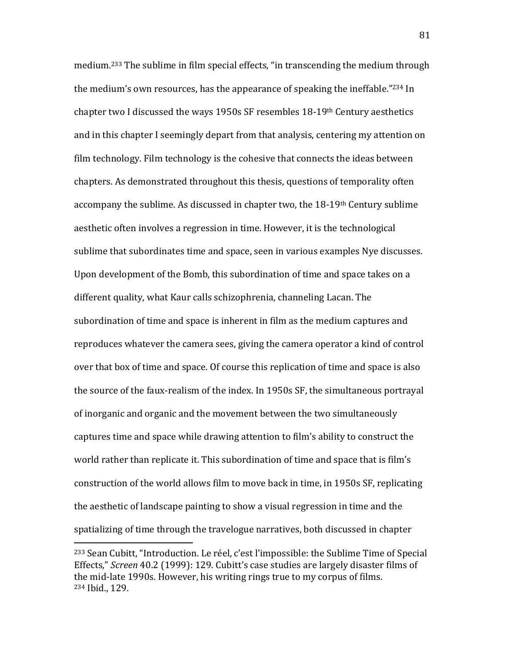medium. <sup>233</sup> The sublime in film special effects, "in transcending the medium through the medium's own resources, has the appearance of speaking the ineffable." <sup>234</sup> In chapter two I discussed the ways 1950s SF resembles 18-19th Century aesthetics and in this chapter I seemingly depart from that analysis, centering my attention on film technology. Film technology is the cohesive that connects the ideas between chapters. As demonstrated throughout this thesis, questions of temporality often accompany the sublime. As discussed in chapter two, the  $18-19$ <sup>th</sup> Century sublime aesthetic often involves a regression in time. However, it is the technological sublime that subordinates time and space, seen in various examples Nye discusses. Upon development of the Bomb, this subordination of time and space takes on a different quality, what Kaur calls schizophrenia, channeling Lacan. The subordination of time and space is inherent in film as the medium captures and reproduces whatever the camera sees, giving the camera operator a kind of control over that box of time and space. Of course this replication of time and space is also the source of the faux-realism of the index. In 1950s SF, the simultaneous portrayal of inorganic and organic and the movement between the two simultaneously captures time and space while drawing attention to film's ability to construct the world rather than replicate it. This subordination of time and space that is film's construction of the world allows film to move back in time, in 1950s SF, replicating the aesthetic of landscape painting to show a visual regression in time and the spatializing of time through the travelogue narratives, both discussed in chapter

<sup>233</sup> Sean Cubitt, "Introduction. Le réel, c'est l'impossible: the Sublime Time of Special Effects," *Screen* 40.2 (1999): 129. Cubitt's case studies are largely disaster films of the mid-late 1990s. However, his writing rings true to my corpus of films. <sup>234</sup> Ibid., 129.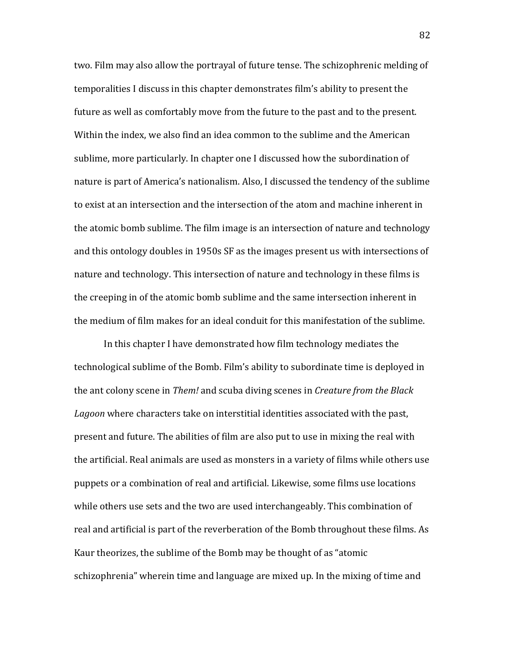two. Film may also allow the portrayal of future tense. The schizophrenic melding of temporalities I discuss in this chapter demonstrates film's ability to present the future as well as comfortably move from the future to the past and to the present. Within the index, we also find an idea common to the sublime and the American sublime, more particularly. In chapter one I discussed how the subordination of nature is part of America's nationalism. Also, I discussed the tendency of the sublime to exist at an intersection and the intersection of the atom and machine inherent in the atomic bomb sublime. The film image is an intersection of nature and technology and this ontology doubles in 1950s SF as the images present us with intersections of nature and technology. This intersection of nature and technology in these films is the creeping in of the atomic bomb sublime and the same intersection inherent in the medium of film makes for an ideal conduit for this manifestation of the sublime.

In this chapter I have demonstrated how film technology mediates the technological sublime of the Bomb. Film's ability to subordinate time is deployed in the ant colony scene in *Them!* and scuba diving scenes in *Creature from the Black Lagoon* where characters take on interstitial identities associated with the past, present and future. The abilities of film are also put to use in mixing the real with the artificial. Real animals are used as monsters in a variety of films while others use puppets or a combination of real and artificial. Likewise, some films use locations while others use sets and the two are used interchangeably. This combination of real and artificial is part of the reverberation of the Bomb throughout these films. As Kaur theorizes, the sublime of the Bomb may be thought of as "atomic schizophrenia" wherein time and language are mixed up. In the mixing of time and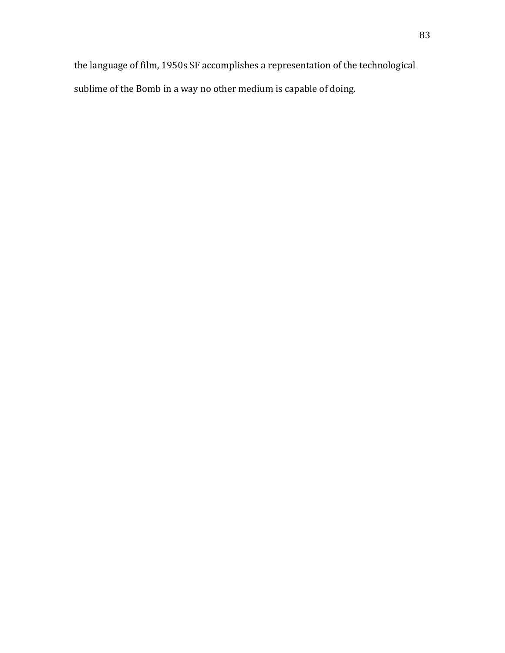the language of film, 1950s SF accomplishes a representation of the technological sublime of the Bomb in a way no other medium is capable of doing.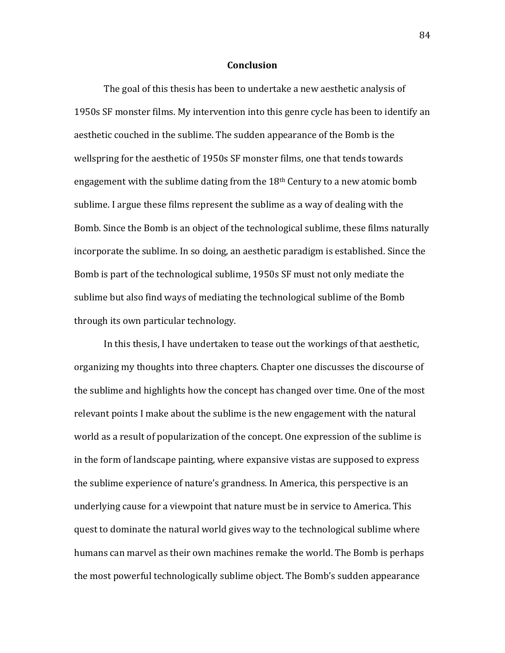## **Conclusion**

The goal of this thesis has been to undertake a new aesthetic analysis of 1950s SF monster films. My intervention into this genre cycle has been to identify an aesthetic couched in the sublime. The sudden appearance of the Bomb is the wellspring for the aesthetic of 1950s SF monster films, one that tends towards engagement with the sublime dating from the  $18<sup>th</sup>$  Century to a new atomic bomb sublime. I argue these films represent the sublime as a way of dealing with the Bomb. Since the Bomb is an object of the technological sublime, these films naturally incorporate the sublime. In so doing, an aesthetic paradigm is established. Since the Bomb is part of the technological sublime, 1950s SF must not only mediate the sublime but also find ways of mediating the technological sublime of the Bomb through its own particular technology.

In this thesis, I have undertaken to tease out the workings of that aesthetic, organizing my thoughts into three chapters. Chapter one discusses the discourse of the sublime and highlights how the concept has changed over time. One of the most relevant points I make about the sublime is the new engagement with the natural world as a result of popularization of the concept. One expression of the sublime is in the form of landscape painting, where expansive vistas are supposed to express the sublime experience of nature's grandness. In America, this perspective is an underlying cause for a viewpoint that nature must be in service to America. This quest to dominate the natural world gives way to the technological sublime where humans can marvel as their own machines remake the world. The Bomb is perhaps the most powerful technologically sublime object. The Bomb's sudden appearance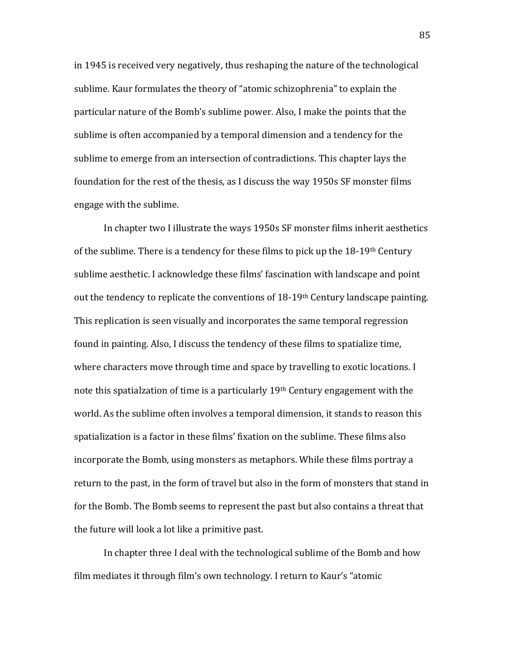in 1945 is received very negatively, thus reshaping the nature of the technological sublime. Kaur formulates the theory of "atomic schizophrenia" to explain the particular nature of the Bomb's sublime power. Also, I make the points that the sublime is often accompanied by a temporal dimension and a tendency for the sublime to emerge from an intersection of contradictions. This chapter lays the foundation for the rest of the thesis, as I discuss the way 1950s SF monster films engage with the sublime.

In chapter two I illustrate the ways 1950s SF monster films inherit aesthetics of the sublime. There is a tendency for these films to pick up the  $18-19$ <sup>th</sup> Century sublime aesthetic. I acknowledge these films' fascination with landscape and point out the tendency to replicate the conventions of 18-19th Century landscape painting. This replication is seen visually and incorporates the same temporal regression found in painting. Also, I discuss the tendency of these films to spatialize time, where characters move through time and space by travelling to exotic locations. I note this spatialzation of time is a particularly 19th Century engagement with the world. As the sublime often involves a temporal dimension, it stands to reason this spatialization is a factor in these films' fixation on the sublime. These films also incorporate the Bomb, using monsters as metaphors. While these films portray a return to the past, in the form of travel but also in the form of monsters that stand in for the Bomb. The Bomb seems to represent the past but also contains a threat that the future will look a lot like a primitive past.

In chapter three I deal with the technological sublime of the Bomb and how film mediates it through film's own technology. I return to Kaur's "atomic

85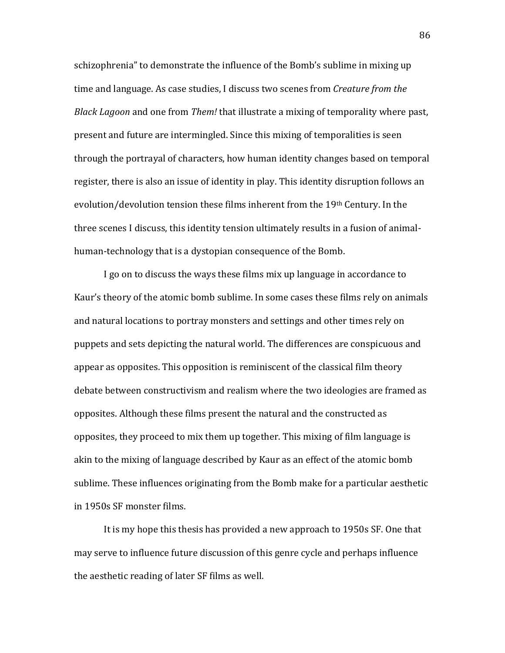schizophrenia" to demonstrate the influence of the Bomb's sublime in mixing up time and language. As case studies, I discuss two scenes from *Creature from the Black Lagoon* and one from *Them!* that illustrate a mixing of temporality where past, present and future are intermingled. Since this mixing of temporalities is seen through the portrayal of characters, how human identity changes based on temporal register, there is also an issue of identity in play. This identity disruption follows an evolution/devolution tension these films inherent from the 19th Century. In the three scenes I discuss, this identity tension ultimately results in a fusion of animalhuman-technology that is a dystopian consequence of the Bomb.

I go on to discuss the ways these films mix up language in accordance to Kaur's theory of the atomic bomb sublime. In some cases these films rely on animals and natural locations to portray monsters and settings and other times rely on puppets and sets depicting the natural world. The differences are conspicuous and appear as opposites. This opposition is reminiscent of the classical film theory debate between constructivism and realism where the two ideologies are framed as opposites. Although these films present the natural and the constructed as opposites, they proceed to mix them up together. This mixing of film language is akin to the mixing of language described by Kaur as an effect of the atomic bomb sublime. These influences originating from the Bomb make for a particular aesthetic in 1950s SF monster films.

It is my hope this thesis has provided a new approach to 1950s SF. One that may serve to influence future discussion of this genre cycle and perhaps influence the aesthetic reading of later SF films as well.

86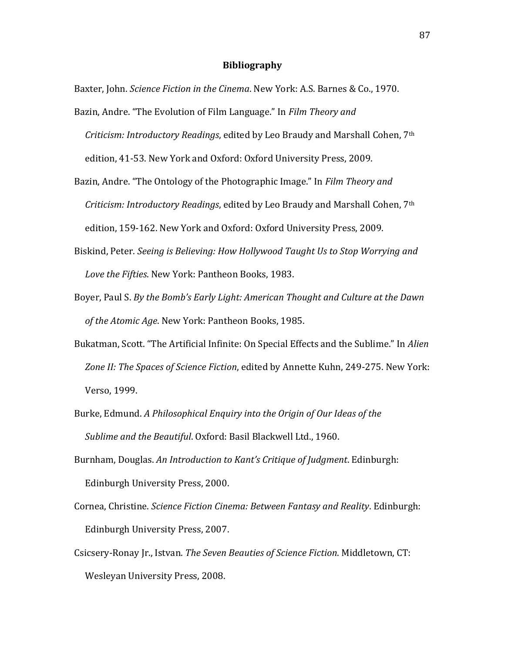## **Bibliography**

Baxter, John. *Science Fiction in the Cinema*. New York: A.S. Barnes & Co., 1970.

- Bazin, Andre. "The Evolution of Film Language." In *Film Theory and Criticism: Introductory Readings*, edited by Leo Braudy and Marshall Cohen, 7th edition, 41-53. New York and Oxford: Oxford University Press, 2009.
- Bazin, Andre. "The Ontology of the Photographic Image." In *Film Theory and Criticism: Introductory Readings*, edited by Leo Braudy and Marshall Cohen, 7th edition, 159-162. New York and Oxford: Oxford University Press, 2009.
- Biskind, Peter. *Seeing is Believing: How Hollywood Taught Us to Stop Worrying and Love the Fifties*. New York: Pantheon Books, 1983.
- Boyer, Paul S. *By the Bomb's Early Light: American Thought and Culture at the Dawn of the Atomic Age*. New York: Pantheon Books, 1985.
- Bukatman, Scott. "The Artificial Infinite: On Special Effects and the Sublime." In *Alien Zone II: The Spaces of Science Fiction*, edited by Annette Kuhn, 249-275. New York: Verso, 1999.
- Burke, Edmund. *A Philosophical Enquiry into the Origin of Our Ideas of the Sublime and the Beautiful*. Oxford: Basil Blackwell Ltd., 1960.
- Burnham, Douglas. *An Introduction to Kant's Critique of Judgment*. Edinburgh: Edinburgh University Press, 2000.
- Cornea, Christine. *Science Fiction Cinema: Between Fantasy and Reality*. Edinburgh: Edinburgh University Press, 2007.
- Csicsery-Ronay Jr., Istvan. *The Seven Beauties of Science Fiction*. Middletown, CT: Wesleyan University Press, 2008.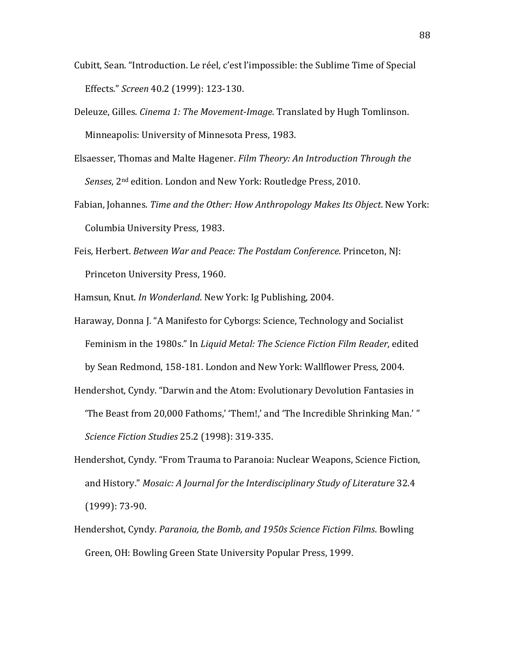- Cubitt, Sean. "Introduction. Le réel, c'est l'impossible: the Sublime Time of Special Effects." *Screen* 40.2 (1999): 123-130.
- Deleuze, Gilles. *Cinema 1: The Movement-Image*. Translated by Hugh Tomlinson. Minneapolis: University of Minnesota Press, 1983.
- Elsaesser, Thomas and Malte Hagener. *Film Theory: An Introduction Through the Senses*, 2nd edition. London and New York: Routledge Press, 2010.
- Fabian, Johannes. *Time and the Other: How Anthropology Makes Its Object*. New York: Columbia University Press, 1983.
- Feis, Herbert. *Between War and Peace: The Postdam Conference*. Princeton, NJ: Princeton University Press, 1960.

Hamsun, Knut. *In Wonderland*. New York: Ig Publishing, 2004.

Haraway, Donna J. "A Manifesto for Cyborgs: Science, Technology and Socialist Feminism in the 1980s." In *Liquid Metal: The Science Fiction Film Reader*, edited by Sean Redmond, 158-181. London and New York: Wallflower Press, 2004.

Hendershot, Cyndy. "Darwin and the Atom: Evolutionary Devolution Fantasies in 'The Beast from 20,000 Fathoms,' 'Them!,' and 'The Incredible Shrinking Man.' " *Science Fiction Studies* 25.2 (1998): 319-335.

- Hendershot, Cyndy. "From Trauma to Paranoia: Nuclear Weapons, Science Fiction, and History." *Mosaic: A Journal for the Interdisciplinary Study of Literature* 32.4 (1999): 73-90.
- Hendershot, Cyndy. *Paranoia, the Bomb, and 1950s Science Fiction Films*. Bowling Green, OH: Bowling Green State University Popular Press, 1999.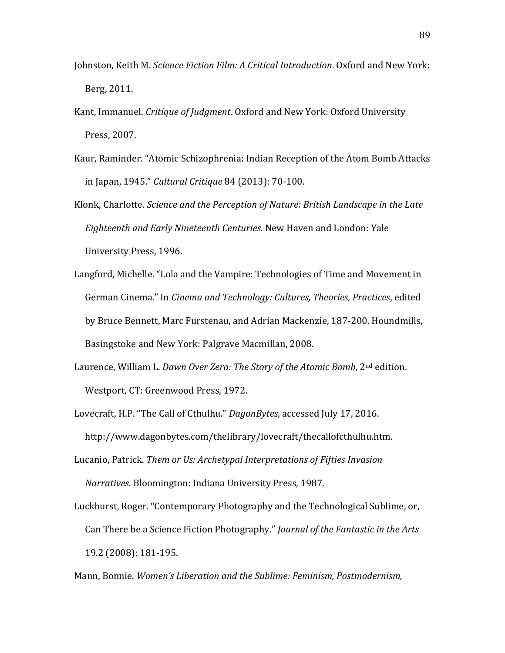- Johnston, Keith M. *Science Fiction Film: A Critical Introduction*. Oxford and New York: Berg, 2011.
- Kant, Immanuel. *Critique of Judgment*. Oxford and New York: Oxford University Press, 2007.
- Kaur, Raminder. "Atomic Schizophrenia: Indian Reception of the Atom Bomb Attacks in Japan, 1945." *Cultural Critique* 84 (2013): 70-100.
- Klonk, Charlotte. *Science and the Perception of Nature: British Landscape in the Late Eighteenth and Early Nineteenth Centuries.* New Haven and London: Yale University Press, 1996.
- Langford, Michelle. "Lola and the Vampire: Technologies of Time and Movement in German Cinema." In *Cinema and Technology: Cultures, Theories, Practices*, edited by Bruce Bennett, Marc Furstenau, and Adrian Mackenzie, 187-200. Houndmills, Basingstoke and New York: Palgrave Macmillan, 2008.
- Laurence, William L. *Dawn Over Zero: The Story of the Atomic Bomb*, 2nd edition. Westport, CT: Greenwood Press, 1972.
- Lovecraft, H.P. "The Call of Cthulhu." *DagonBytes*, accessed July 17, 2016. http://www.dagonbytes.com/thelibrary/lovecraft/thecallofcthulhu.htm.
- Lucanio, Patrick. *Them or Us: Archetypal Interpretations of Fifties Invasion Narratives*. Bloomington: Indiana University Press, 1987.
- Luckhurst, Roger. "Contemporary Photography and the Technological Sublime, or, Can There be a Science Fiction Photography." *Journal of the Fantastic in the Arts* 19.2 (2008): 181-195.

Mann, Bonnie. *Women's Liberation and the Sublime: Feminism, Postmodernism,*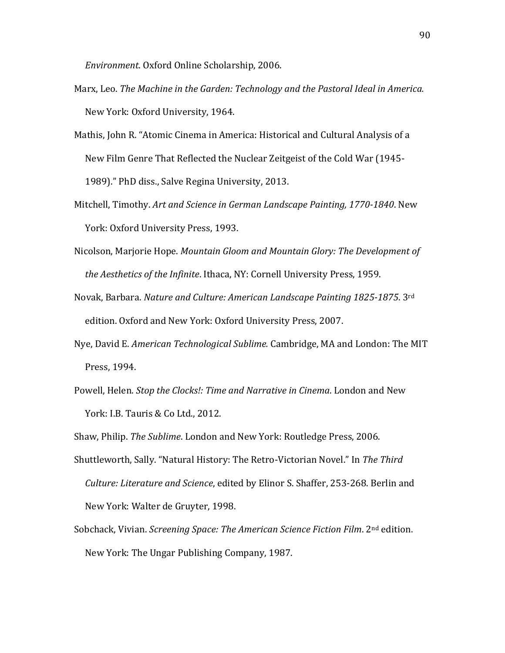*Environment*. Oxford Online Scholarship, 2006.

- Marx, Leo. *The Machine in the Garden: Technology and the Pastoral Ideal in America.* New York: Oxford University, 1964.
- Mathis, John R. "Atomic Cinema in America: Historical and Cultural Analysis of a New Film Genre That Reflected the Nuclear Zeitgeist of the Cold War (1945- 1989)." PhD diss., Salve Regina University, 2013.
- Mitchell, Timothy. *Art and Science in German Landscape Painting, 1770-1840*. New York: Oxford University Press, 1993.
- Nicolson, Marjorie Hope. *Mountain Gloom and Mountain Glory: The Development of the Aesthetics of the Infinite*. Ithaca, NY: Cornell University Press, 1959.
- Novak, Barbara. *Nature and Culture: American Landscape Painting 1825-1875*. 3rd edition. Oxford and New York: Oxford University Press, 2007.
- Nye, David E. *American Technological Sublime.* Cambridge, MA and London: The MIT Press, 1994.
- Powell, Helen. *Stop the Clocks!: Time and Narrative in Cinema*. London and New York: I.B. Tauris & Co Ltd., 2012.

Shaw, Philip. *The Sublime*. London and New York: Routledge Press, 2006.

- Shuttleworth, Sally. "Natural History: The Retro-Victorian Novel." In *The Third Culture: Literature and Science*, edited by Elinor S. Shaffer, 253-268. Berlin and New York: Walter de Gruyter, 1998.
- Sobchack, Vivian. *Screening Space: The American Science Fiction Film*. 2nd edition. New York: The Ungar Publishing Company, 1987.